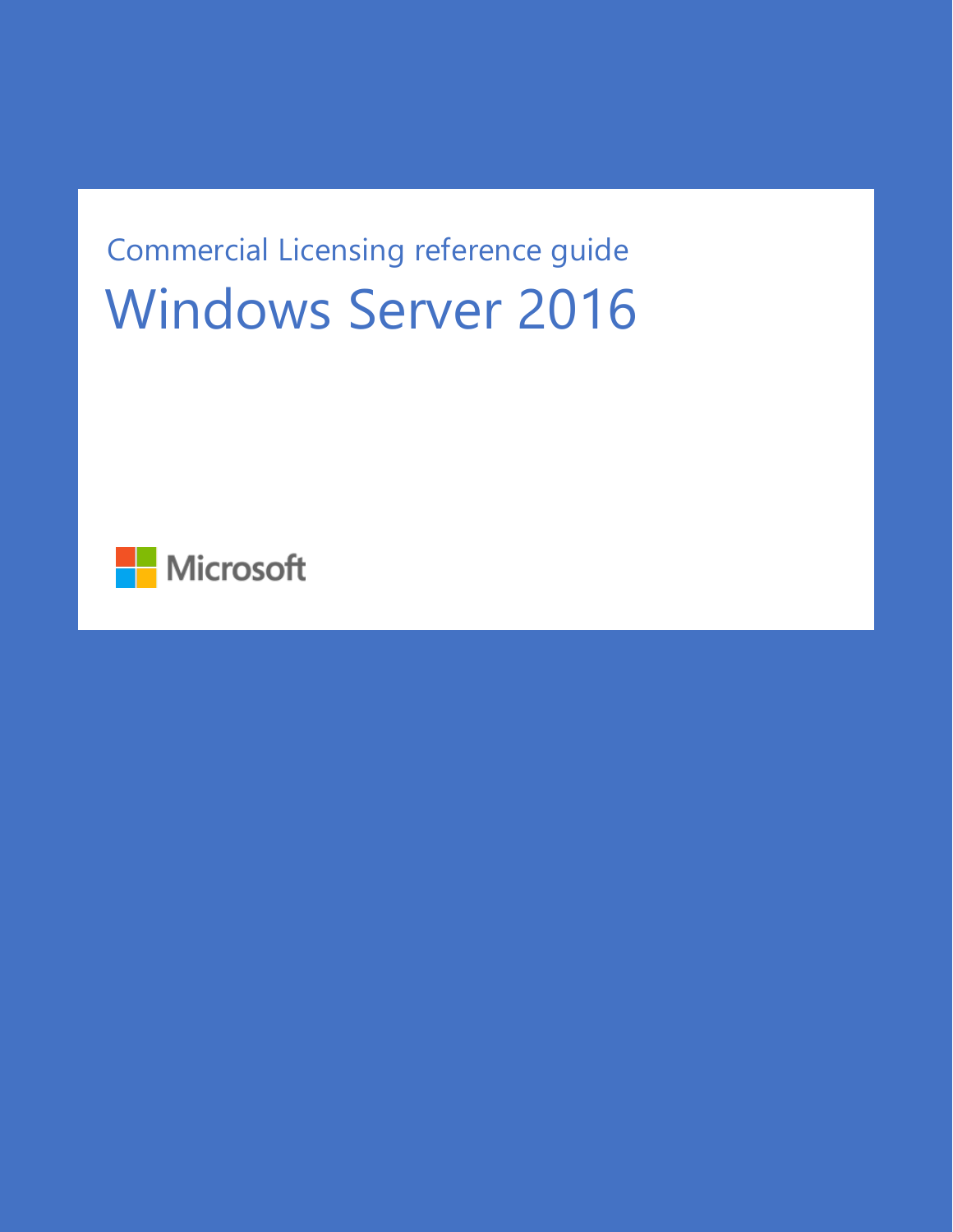Commercial Licensing reference guide Windows Server 2016

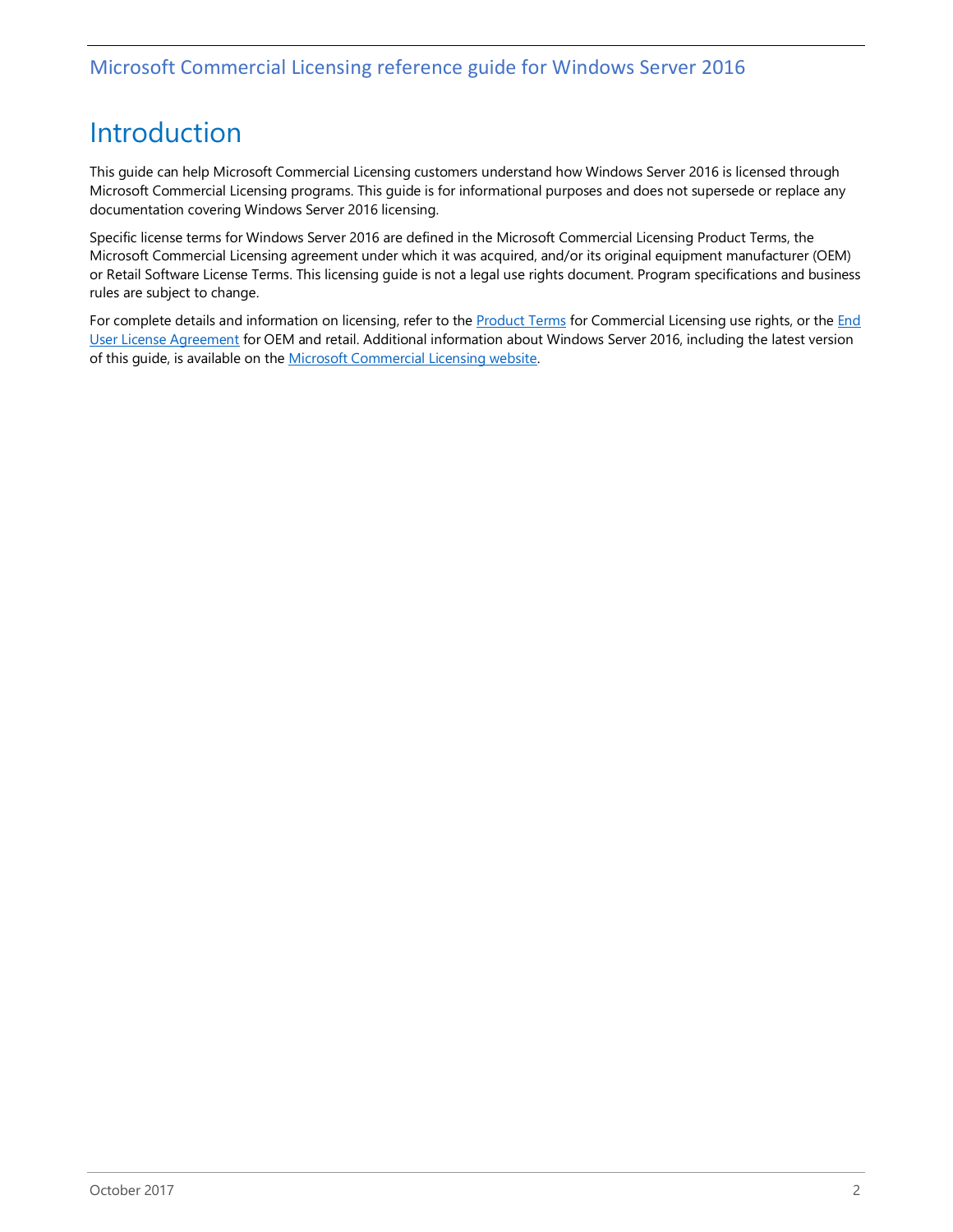# <span id="page-1-0"></span>Introduction

This guide can help Microsoft Commercial Licensing customers understand how Windows Server 2016 is licensed through Microsoft Commercial Licensing programs. This guide is for informational purposes and does not supersede or replace any documentation covering Windows Server 2016 licensing.

Specific license terms for Windows Server 2016 are defined in the Microsoft Commercial Licensing Product Terms, the Microsoft Commercial Licensing agreement under which it was acquired, and/or its original equipment manufacturer (OEM) or Retail Software License Terms. This licensing guide is not a legal use rights document. Program specifications and business rules are subject to change.

For complete details and information on licensing, refer to the [Product Terms](https://www.microsoft.com/en-us/licensing/product-licensing/products.aspx#PT) for Commercial Licensing use rights, or the End [User License Agreement](http://www.microsoft.com/en-us/legal/intellectualproperty/UseTerms/default.aspx%22﷟HYPERLINK%20%22http:/www.microsoft.com/en-us/legal/intellectualproperty/UseTerms/default.aspx%22﷟HYPERLINK%20%22http:/www.microsoft.com/en-us/legal/intellectualproperty/UseTerms/default.aspx) for OEM and retail. Additional information about Windows Server 2016, including the latest version of this quide, is available on th[e Microsoft Commercial Licensing website.](https://www.microsoft.com/en-us/Licensing/product-licensing/windows-server-2016.aspx)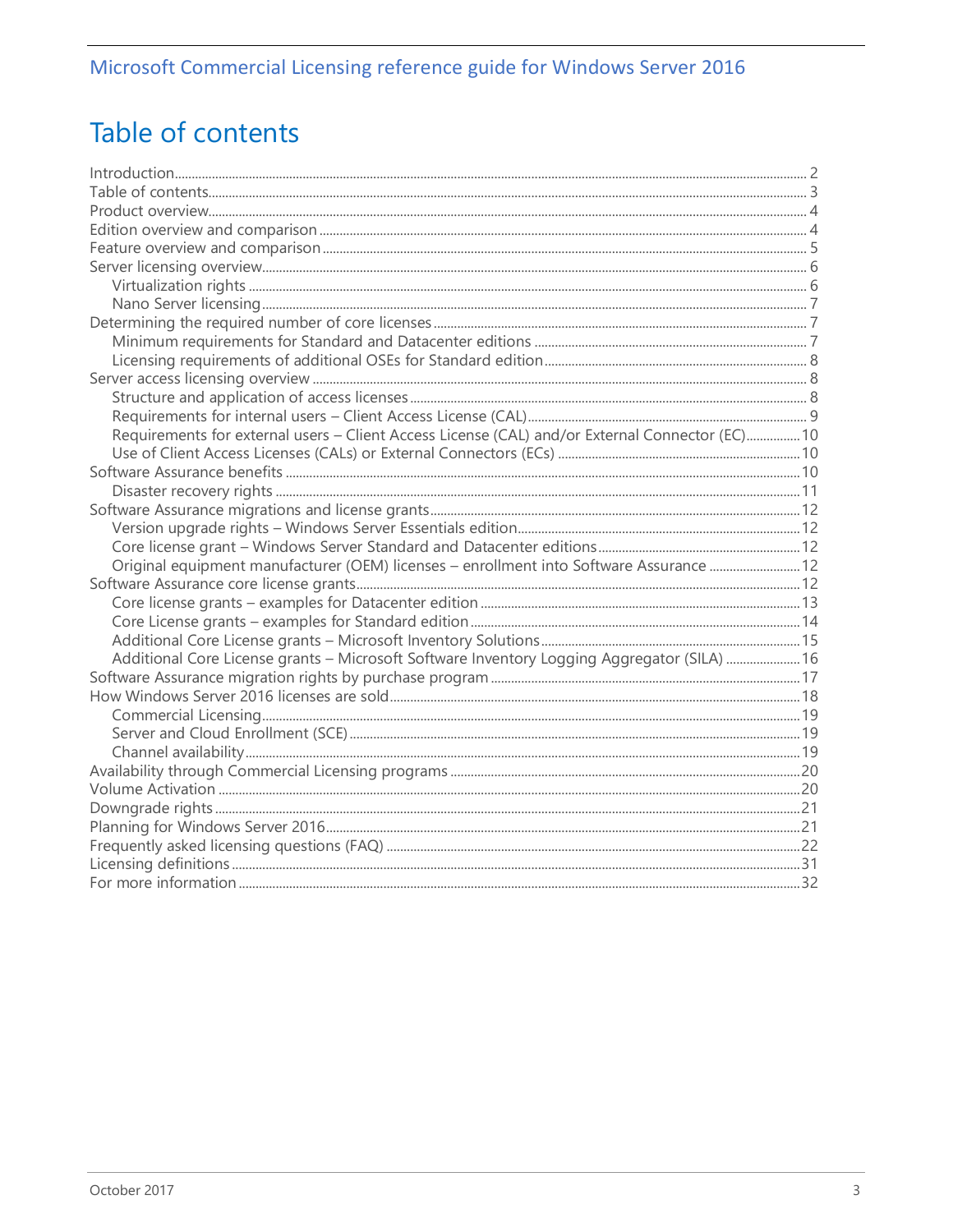# <span id="page-2-0"></span>Table of contents

| Requirements for external users - Client Access License (CAL) and/or External Connector (EC)10 |  |
|------------------------------------------------------------------------------------------------|--|
|                                                                                                |  |
|                                                                                                |  |
|                                                                                                |  |
|                                                                                                |  |
|                                                                                                |  |
|                                                                                                |  |
| Original equipment manufacturer (OEM) licenses - enrollment into Software Assurance 12         |  |
|                                                                                                |  |
|                                                                                                |  |
|                                                                                                |  |
|                                                                                                |  |
| Additional Core License grants - Microsoft Software Inventory Logging Aggregator (SILA) 16     |  |
|                                                                                                |  |
|                                                                                                |  |
|                                                                                                |  |
|                                                                                                |  |
|                                                                                                |  |
|                                                                                                |  |
|                                                                                                |  |
|                                                                                                |  |
|                                                                                                |  |
|                                                                                                |  |
|                                                                                                |  |
|                                                                                                |  |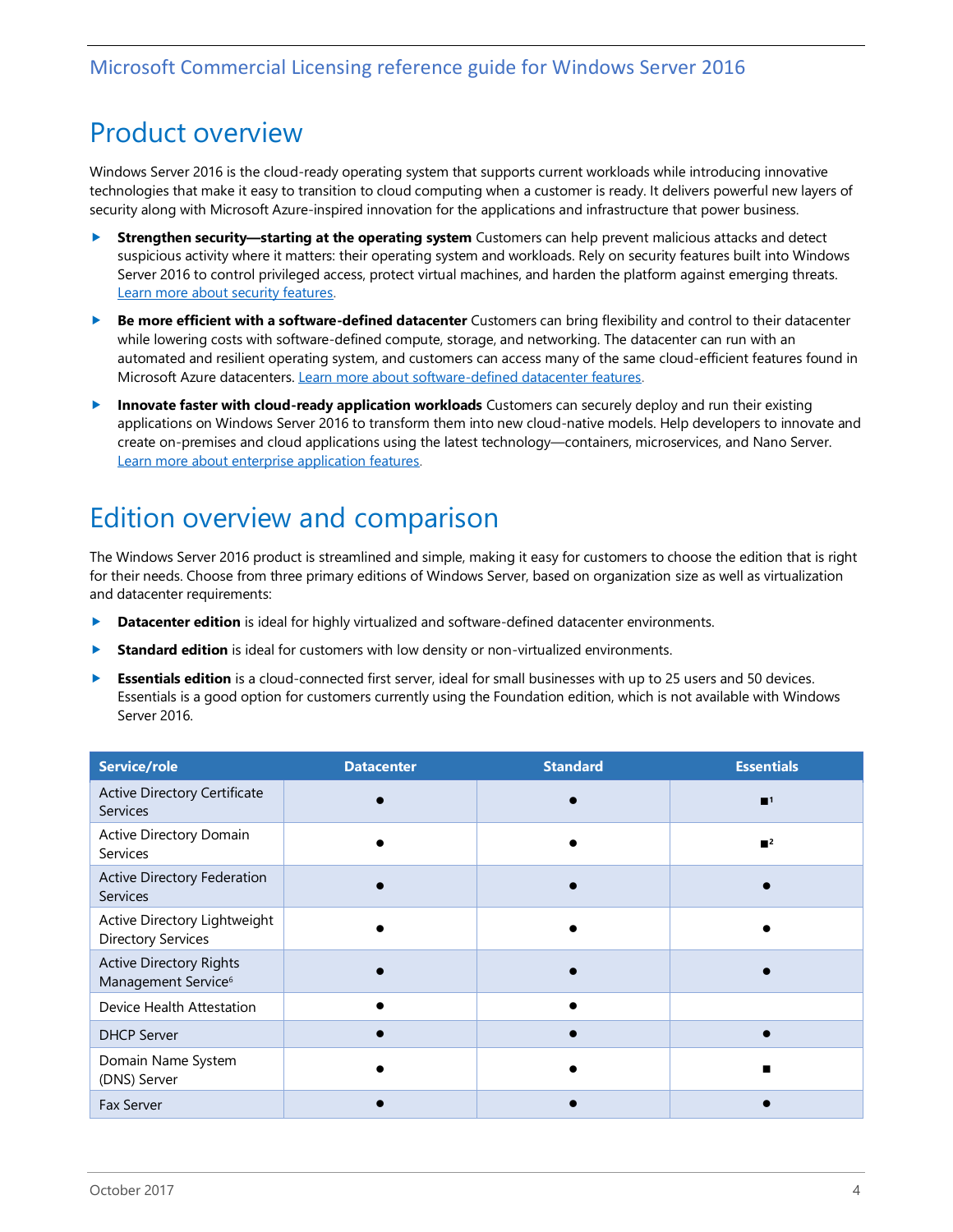# <span id="page-3-0"></span>Product overview

Windows Server 2016 is the cloud-ready operating system that supports current workloads while introducing innovative technologies that make it easy to transition to cloud computing when a customer is ready. It delivers powerful new layers of security along with Microsoft Azure-inspired innovation for the applications and infrastructure that power business.

- **Strengthen security—starting at the operating system** Customers can help prevent malicious attacks and detect suspicious activity where it matters: their operating system and workloads. Rely on security features built into Windows Server 2016 to control privileged access, protect virtual machines, and harden the platform against emerging threats. [Learn more about security features.](https://www.microsoft.com/en-us/cloud-platform/windows-server-security)
- **Be more efficient with a software-defined datacenter** Customers can bring flexibility and control to their datacenter while lowering costs with software-defined compute, storage, and networking. The datacenter can run with an automated and resilient operating system, and customers can access many of the same cloud-efficient features found in Microsoft Azure datacenters[. Learn more about software-defined datacenter features.](https://www.microsoft.com/en-us/cloud-platform/software-defined-datacenter)
- **Innovate faster with cloud-ready application workloads** Customers can securely deploy and run their existing applications on Windows Server 2016 to transform them into new cloud-native models. Help developers to innovate and create on-premises and cloud applications using the latest technology—containers, microservices, and Nano Server. Learn more about enterprise application features.

# <span id="page-3-1"></span>Edition overview and comparison

The Windows Server 2016 product is streamlined and simple, making it easy for customers to choose the edition that is right for their needs. Choose from three primary editions of Windows Server, based on organization size as well as virtualization and datacenter requirements:

- **Datacenter edition** is ideal for highly virtualized and software-defined datacenter environments.
- **Standard edition** is ideal for customers with low density or non-virtualized environments.
- **Essentials edition** is a cloud-connected first server, ideal for small businesses with up to 25 users and 50 devices. Essentials is a good option for customers currently using the Foundation edition, which is not available with Windows Server 2016.

| Service/role                                                      | <b>Datacenter</b> | <b>Standard</b> | <b>Essentials</b> |
|-------------------------------------------------------------------|-------------------|-----------------|-------------------|
| <b>Active Directory Certificate</b><br><b>Services</b>            |                   |                 | $\blacksquare$ 1  |
| Active Directory Domain<br><b>Services</b>                        |                   |                 | $\blacksquare$    |
| <b>Active Directory Federation</b><br>Services                    |                   |                 |                   |
| Active Directory Lightweight<br><b>Directory Services</b>         |                   |                 |                   |
| <b>Active Directory Rights</b><br>Management Service <sup>6</sup> |                   |                 |                   |
| Device Health Attestation                                         |                   |                 |                   |
| <b>DHCP Server</b>                                                |                   |                 |                   |
| Domain Name System<br>(DNS) Server                                |                   |                 |                   |
| <b>Fax Server</b>                                                 |                   |                 |                   |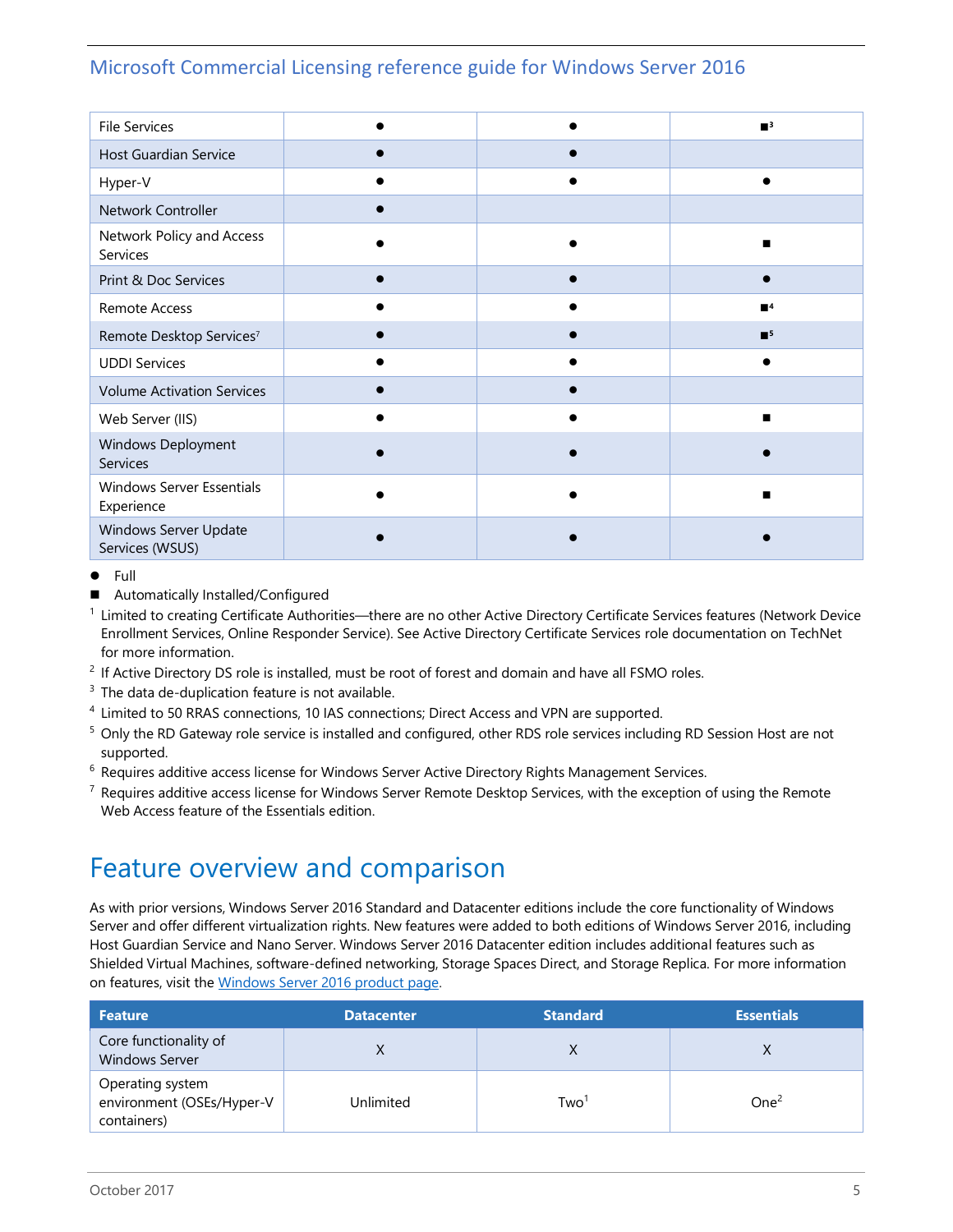| File Services                                  |  | $\blacksquare$ <sup>3</sup> |
|------------------------------------------------|--|-----------------------------|
| Host Guardian Service                          |  |                             |
| Hyper-V                                        |  |                             |
| Network Controller                             |  |                             |
| Network Policy and Access<br>Services          |  |                             |
| Print & Doc Services                           |  |                             |
| Remote Access                                  |  | $\blacksquare$ <sup>4</sup> |
| Remote Desktop Services7                       |  | $\blacksquare$ <sup>5</sup> |
| <b>UDDI Services</b>                           |  |                             |
| <b>Volume Activation Services</b>              |  |                             |
| Web Server (IIS)                               |  |                             |
| Windows Deployment<br>Services                 |  |                             |
| <b>Windows Server Essentials</b><br>Experience |  |                             |
| Windows Server Update<br>Services (WSUS)       |  |                             |

⚫ Full

- Automatically Installed/Configured
- 1 Limited to creating Certificate Authorities―there are no other Active Directory Certificate Services features (Network Device Enrollment Services, Online Responder Service). See Active Directory Certificate Services role documentation on TechNet for more information.
- <sup>2</sup> If Active Directory DS role is installed, must be root of forest and domain and have all FSMO roles.
- $3$  The data de-duplication feature is not available.
- 4 Limited to 50 RRAS connections, 10 IAS connections; Direct Access and VPN are supported.
- <sup>5</sup> Only the RD Gateway role service is installed and configured, other RDS role services including RD Session Host are not supported.
- $6$  Requires additive access license for Windows Server Active Directory Rights Management Services.
- <sup>7</sup> Requires additive access license for Windows Server Remote Desktop Services, with the exception of using the Remote Web Access feature of the Essentials edition.

## <span id="page-4-0"></span>Feature overview and comparison

As with prior versions, Windows Server 2016 Standard and Datacenter editions include the core functionality of Windows Server and offer different virtualization rights. New features were added to both editions of Windows Server 2016, including Host Guardian Service and Nano Server. Windows Server 2016 Datacenter edition includes additional features such as Shielded Virtual Machines, software-defined networking, Storage Spaces Direct, and Storage Replica. For more information on features, visit the Windows Server [2016 product page.](https://www.microsoft.com/en-us/cloud-platform/windows-server-2016)

| <b>Feature</b>                                               | <b>Datacenter</b> | <b>Standard</b>  | <b>Essentials</b> |
|--------------------------------------------------------------|-------------------|------------------|-------------------|
| Core functionality of<br><b>Windows Server</b>               |                   | ⌒                | $\Lambda$         |
| Operating system<br>environment (OSEs/Hyper-V<br>containers) | Unlimited         | Two <sup>1</sup> | One <sup>2</sup>  |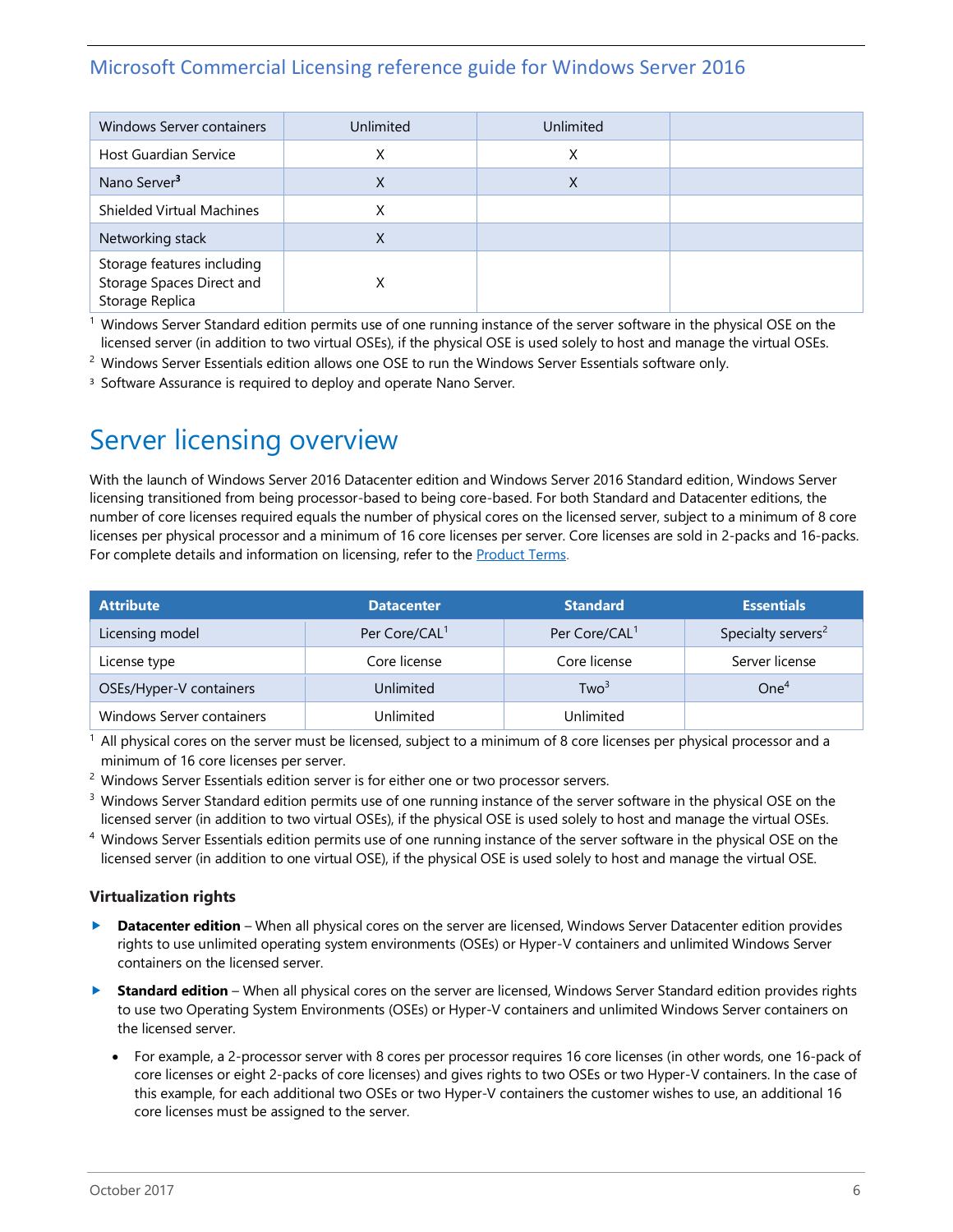| <b>Windows Server containers</b>                                           | Unlimited | Unlimited |
|----------------------------------------------------------------------------|-----------|-----------|
| <b>Host Guardian Service</b>                                               | X         | Х         |
| Nano Server <sup>3</sup>                                                   | X         | X         |
| <b>Shielded Virtual Machines</b>                                           | Χ         |           |
| Networking stack                                                           | Χ         |           |
| Storage features including<br>Storage Spaces Direct and<br>Storage Replica |           |           |

 $1$  Windows Server Standard edition permits use of one running instance of the server software in the physical OSE on the licensed server (in addition to two virtual OSEs), if the physical OSE is used solely to host and manage the virtual OSEs.

 $2$  Windows Server Essentials edition allows one OSE to run the Windows Server Essentials software only.

<span id="page-5-0"></span><sup>3</sup> Software Assurance is required to deploy and operate Nano Server*.*

# Server licensing overview

With the launch of Windows Server 2016 Datacenter edition and Windows Server 2016 Standard edition, Windows Server licensing transitioned from being processor-based to being core-based. For both Standard and Datacenter editions, the number of core licenses required equals the number of physical cores on the licensed server, subject to a minimum of 8 core licenses per physical processor and a minimum of 16 core licenses per server. Core licenses are sold in 2-packs and 16-packs. For complete details and information on licensing, refer to the **Product Terms**.

| <b>Attribute</b>          | <b>Datacenter</b>         | <b>Standard</b>           | <b>Essentials</b>              |
|---------------------------|---------------------------|---------------------------|--------------------------------|
| Licensing model           | Per Core/CAL <sup>1</sup> | Per Core/CAL <sup>1</sup> | Specialty servers <sup>2</sup> |
| License type              | Core license              | Core license              | Server license                 |
| OSEs/Hyper-V containers   | Unlimited                 | Two <sup>3</sup>          | One <sup>4</sup>               |
| Windows Server containers | Unlimited                 | Unlimited                 |                                |

 $1$  All physical cores on the server must be licensed, subject to a minimum of 8 core licenses per physical processor and a minimum of 16 core licenses per server.

<sup>2</sup> Windows Server Essentials edition server is for either one or two processor servers.

<sup>3</sup> Windows Server Standard edition permits use of one running instance of the server software in the physical OSE on the licensed server (in addition to two virtual OSEs), if the physical OSE is used solely to host and manage the virtual OSEs.

<sup>4</sup> Windows Server Essentials edition permits use of one running instance of the server software in the physical OSE on the licensed server (in addition to one virtual OSE), if the physical OSE is used solely to host and manage the virtual OSE.

### <span id="page-5-1"></span>**Virtualization rights**

- ▶ **Datacenter edition** When all physical cores on the server are licensed, Windows Server Datacenter edition provides rights to use unlimited operating system environments (OSEs) or Hyper-V containers and unlimited Windows Server containers on the licensed server.
- **► Standard edition** When all physical cores on the server are licensed, Windows Server Standard edition provides rights to use two Operating System Environments (OSEs) or Hyper-V containers and unlimited Windows Server containers on the licensed server.
	- For example, a 2-processor server with 8 cores per processor requires 16 core licenses (in other words, one 16-pack of core licenses or eight 2-packs of core licenses) and gives rights to two OSEs or two Hyper-V containers. In the case of this example, for each additional two OSEs or two Hyper-V containers the customer wishes to use, an additional 16 core licenses must be assigned to the server.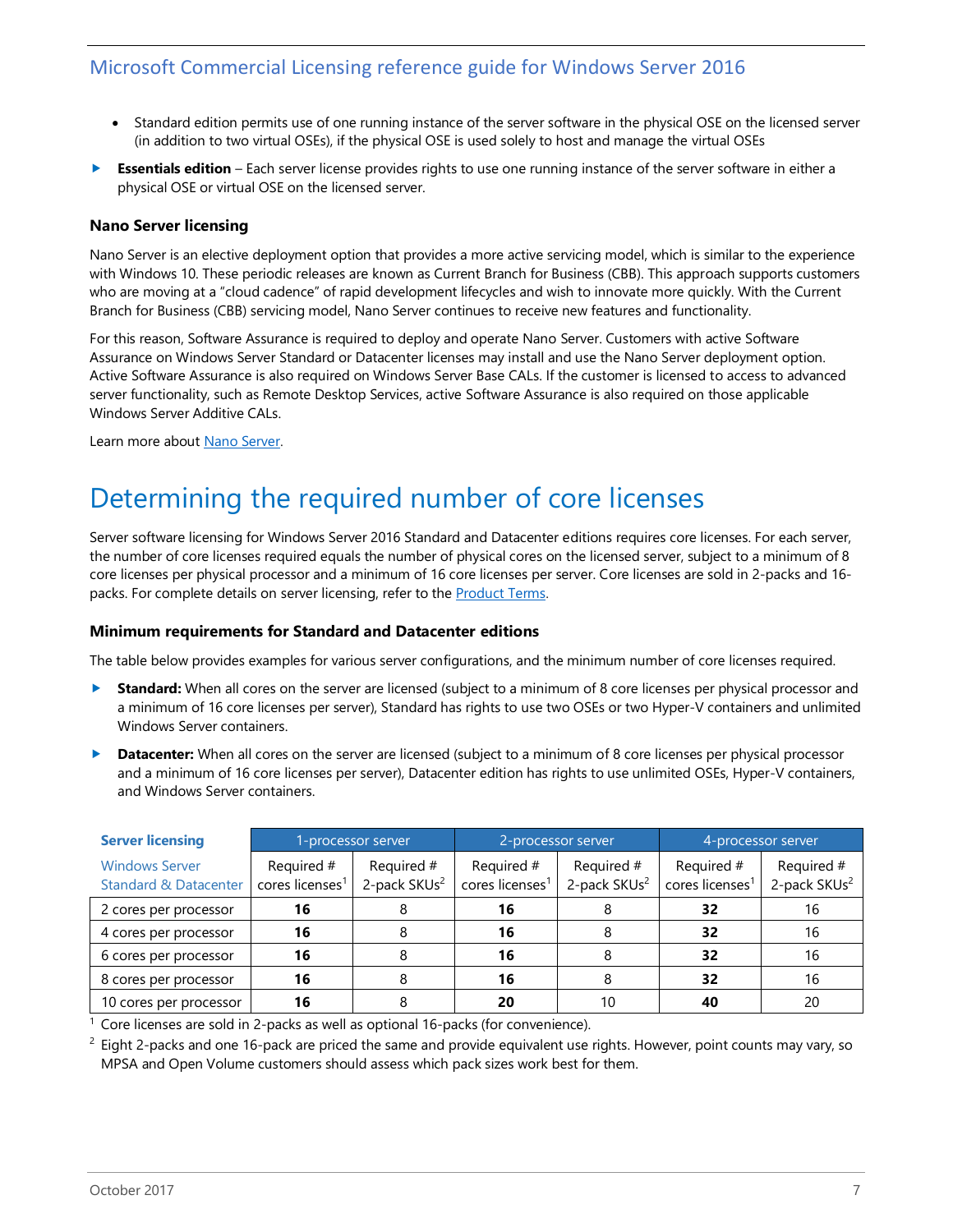- Standard edition permits use of one running instance of the server software in the physical OSE on the licensed server (in addition to two virtual OSEs), if the physical OSE is used solely to host and manage the virtual OSEs
- ► **Essentials edition** Each server license provides rights to use one running instance of the server software in either a physical OSE or virtual OSE on the licensed server.

#### <span id="page-6-0"></span>**Nano Server licensing**

Nano Server is an elective deployment option that provides a more active servicing model, which is similar to the experience with Windows 10. These periodic releases are known as Current Branch for Business (CBB). This approach supports customers who are moving at a "cloud cadence" of rapid development lifecycles and wish to innovate more quickly. With the Current Branch for Business (CBB) servicing model, Nano Server continues to receive new features and functionality.

For this reason, Software Assurance is required to deploy and operate Nano Server. Customers with active Software Assurance on Windows Server Standard or Datacenter licenses may install and use the Nano Server deployment option. Active Software Assurance is also required on Windows Server Base CALs. If the customer is licensed to access to advanced server functionality, such as Remote Desktop Services, active Software Assurance is also required on those applicable Windows Server Additive CALs.

Learn more about [Nano Server.](https://technet.microsoft.com/en-us/windows-server-docs/get-started/getting-started-with-nano-server)

## <span id="page-6-1"></span>Determining the required number of core licenses

Server software licensing for Windows Server 2016 Standard and Datacenter editions requires core licenses. For each server, the number of core licenses required equals the number of physical cores on the licensed server, subject to a minimum of 8 core licenses per physical processor and a minimum of 16 core licenses per server. Core licenses are sold in 2-packs and 16 packs. For complete details on server licensing, refer to the **Product Terms**.

#### <span id="page-6-2"></span>**Minimum requirements for Standard and Datacenter editions**

The table below provides examples for various server configurations, and the minimum number of core licenses required.

- **Standard:** When all cores on the server are licensed (subject to a minimum of 8 core licenses per physical processor and a minimum of 16 core licenses per server), Standard has rights to use two OSEs or two Hyper-V containers and unlimited Windows Server containers.
- **Datacenter:** When all cores on the server are licensed (subject to a minimum of 8 core licenses per physical processor and a minimum of 16 core licenses per server), Datacenter edition has rights to use unlimited OSEs, Hyper-V containers, and Windows Server containers.

| <b>Server licensing</b>                                   | 1-processor server                        |                                        | 2-processor server                        |                                        | 4-processor server                        |                                        |
|-----------------------------------------------------------|-------------------------------------------|----------------------------------------|-------------------------------------------|----------------------------------------|-------------------------------------------|----------------------------------------|
| <b>Windows Server</b><br><b>Standard &amp; Datacenter</b> | Required #<br>cores licenses <sup>1</sup> | Required #<br>2-pack SKUs <sup>2</sup> | Required #<br>cores licenses <sup>1</sup> | Required #<br>2-pack SKUs <sup>2</sup> | Required #<br>cores licenses <sup>1</sup> | Required #<br>2-pack SKUs <sup>2</sup> |
| 2 cores per processor                                     | 16                                        |                                        | 16                                        |                                        | 32                                        | 16                                     |
| 4 cores per processor                                     | 16                                        |                                        | 16                                        |                                        | 32                                        | 16                                     |
| 6 cores per processor                                     | 16                                        |                                        | 16                                        |                                        | 32                                        | 16                                     |
| 8 cores per processor                                     | 16                                        |                                        | 16                                        |                                        | 32                                        | 16                                     |
| 10 cores per processor                                    | 16                                        |                                        | 20                                        | 10                                     | 40                                        | 20                                     |

 $1$  Core licenses are sold in 2-packs as well as optional 16-packs (for convenience).

 $2$  Eight 2-packs and one 16-pack are priced the same and provide equivalent use rights. However, point counts may vary, so MPSA and Open Volume customers should assess which pack sizes work best for them.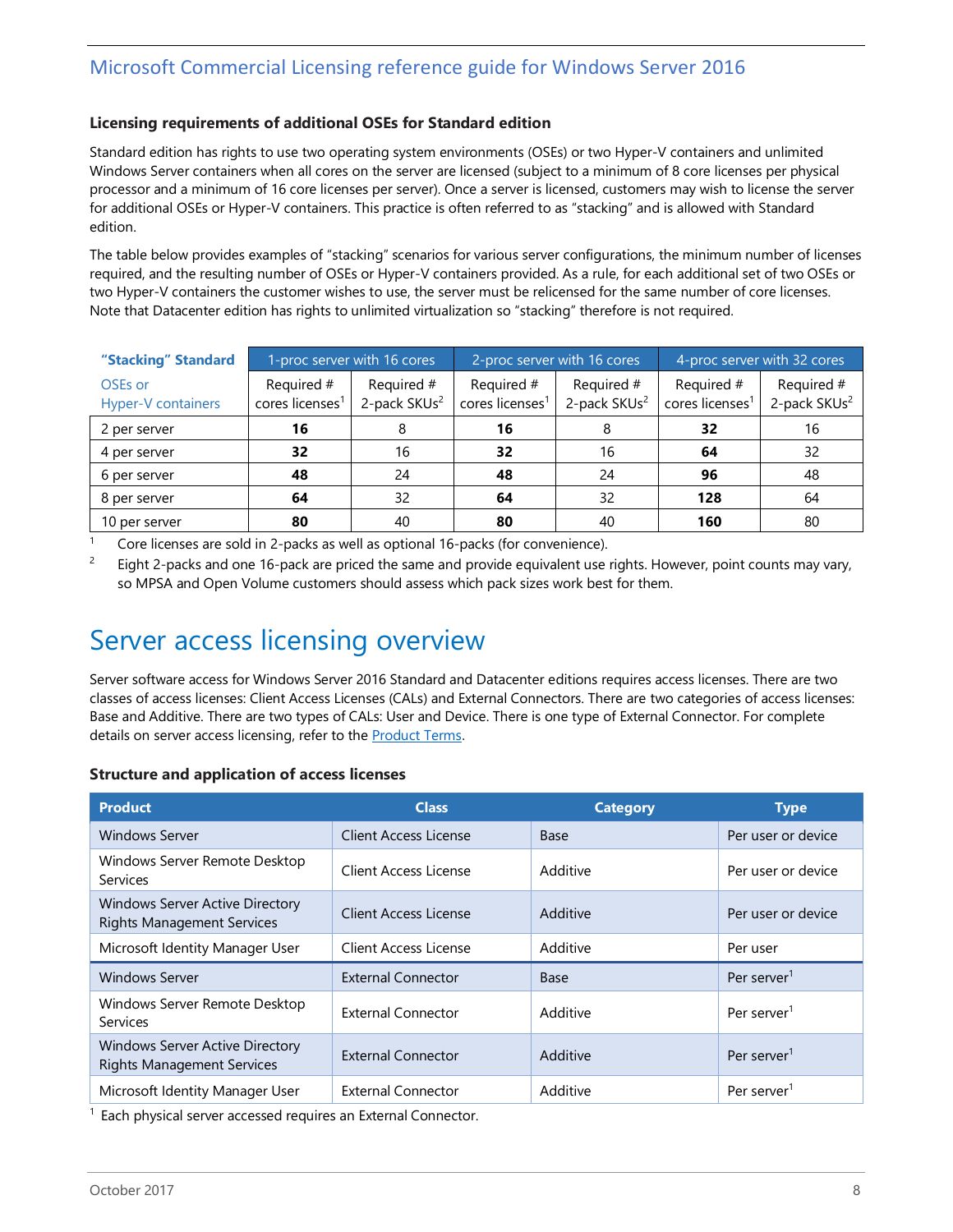#### <span id="page-7-0"></span>**Licensing requirements of additional OSEs for Standard edition**

Standard edition has rights to use two operating system environments (OSEs) or two Hyper-V containers and unlimited Windows Server containers when all cores on the server are licensed (subject to a minimum of 8 core licenses per physical processor and a minimum of 16 core licenses per server). Once a server is licensed, customers may wish to license the server for additional OSEs or Hyper-V containers. This practice is often referred to as "stacking" and is allowed with Standard edition.

The table below provides examples of "stacking" scenarios for various server configurations, the minimum number of licenses required, and the resulting number of OSEs or Hyper-V containers provided. As a rule, for each additional set of two OSEs or two Hyper-V containers the customer wishes to use, the server must be relicensed for the same number of core licenses. Note that Datacenter edition has rights to unlimited virtualization so "stacking" therefore is not required.

| "Stacking" Standard                  | 1-proc server with 16 cores               |                                        | 2-proc server with 16 cores               |                                        | 4-proc server with 32 cores               |                                        |
|--------------------------------------|-------------------------------------------|----------------------------------------|-------------------------------------------|----------------------------------------|-------------------------------------------|----------------------------------------|
| OSEs or<br><b>Hyper-V</b> containers | Required #<br>cores licenses <sup>1</sup> | Required #<br>2-pack SKUs <sup>2</sup> | Required #<br>cores licenses <sup>1</sup> | Required #<br>2-pack SKUs <sup>2</sup> | Required #<br>cores licenses <sup>1</sup> | Required #<br>2-pack SKUs <sup>2</sup> |
| 2 per server                         | 16                                        |                                        | 16                                        |                                        | 32                                        | 16                                     |
| 4 per server                         | 32                                        | 16                                     | 32                                        | 16                                     | 64                                        | 32                                     |
| 6 per server                         | 48                                        | 24                                     | 48                                        | 24                                     | 96                                        | 48                                     |
| 8 per server                         | 64                                        | 32                                     | 64                                        | 32                                     | 128                                       | 64                                     |
| 10 per server                        | 80                                        | 40                                     | 80                                        | 40                                     | 160                                       | 80                                     |

Core licenses are sold in 2-packs as well as optional 16-packs (for convenience).

2 Eight 2-packs and one 16-pack are priced the same and provide equivalent use rights. However, point counts may vary, so MPSA and Open Volume customers should assess which pack sizes work best for them.

## <span id="page-7-1"></span>Server access licensing overview

Server software access for Windows Server 2016 Standard and Datacenter editions requires access licenses. There are two classes of access licenses: Client Access Licenses (CALs) and External Connectors. There are two categories of access licenses: Base and Additive. There are two types of CALs: User and Device. There is one type of External Connector. For complete details on server access licensing, refer to the **Product Terms**.

#### <span id="page-7-2"></span>**Structure and application of access licenses**

| <b>Product</b>                                                              | <b>Class</b>              | <b>Category</b> | <b>Type</b>             |
|-----------------------------------------------------------------------------|---------------------------|-----------------|-------------------------|
| <b>Windows Server</b>                                                       | Client Access License     | Base            | Per user or device      |
| Windows Server Remote Desktop<br>Services                                   | Client Access License     | Additive        | Per user or device      |
| <b>Windows Server Active Directory</b><br><b>Rights Management Services</b> | Client Access License     | Additive        | Per user or device      |
| Microsoft Identity Manager User                                             | Client Access License     | Additive        | Per user                |
| <b>Windows Server</b>                                                       | <b>External Connector</b> | Base            | Per server <sup>1</sup> |
| Windows Server Remote Desktop<br>Services                                   | <b>External Connector</b> | Additive        | Per server <sup>1</sup> |
| <b>Windows Server Active Directory</b><br><b>Rights Management Services</b> | <b>External Connector</b> | Additive        | Per server <sup>1</sup> |
| Microsoft Identity Manager User                                             | <b>External Connector</b> | Additive        | Per server <sup>1</sup> |

<sup>1</sup> Each physical server accessed requires an External Connector.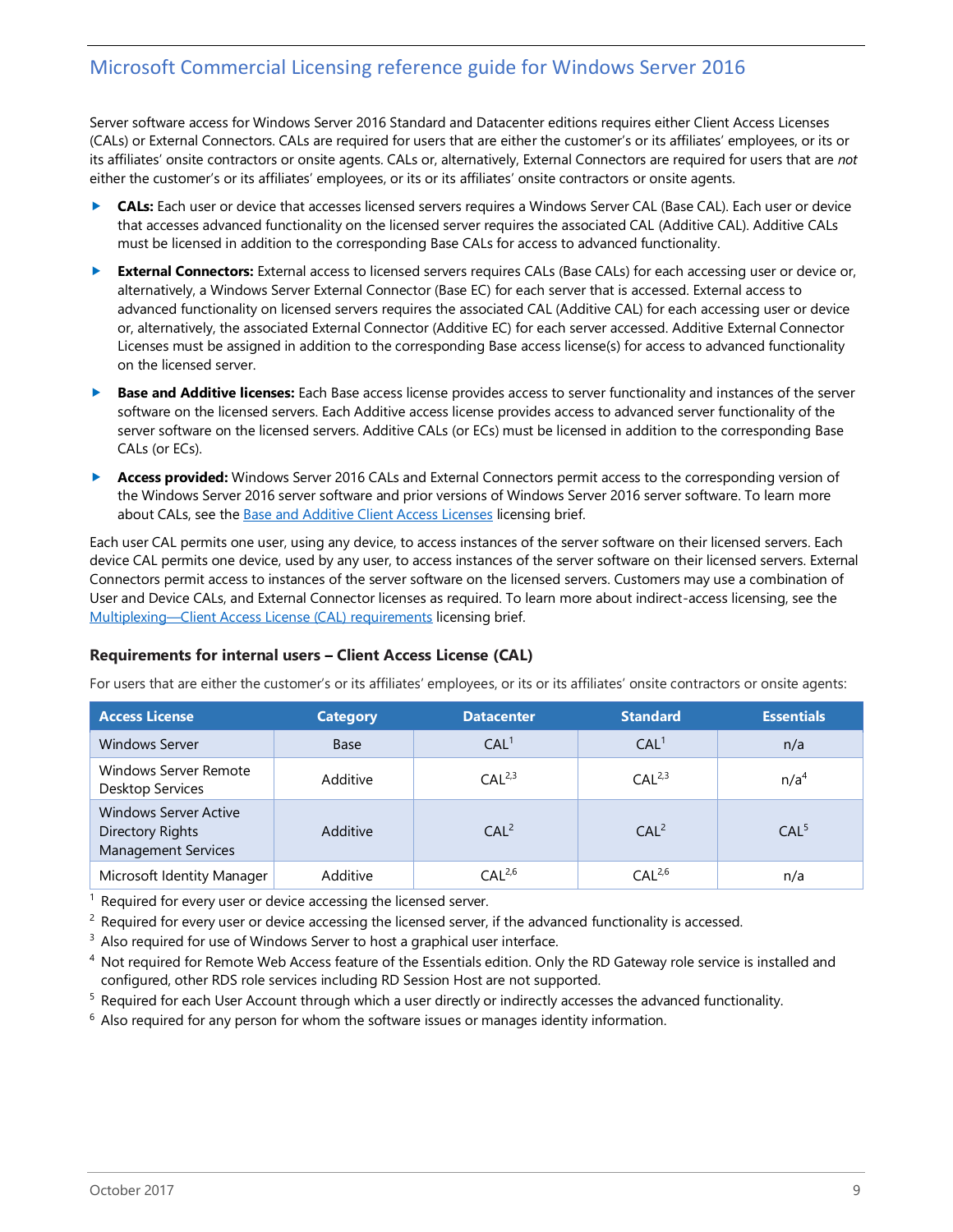Server software access for Windows Server 2016 Standard and Datacenter editions requires either Client Access Licenses (CALs) or External Connectors. CALs are required for users that are either the customer's or its affiliates' employees, or its or its affiliates' onsite contractors or onsite agents. CALs or, alternatively, External Connectors are required for users that are *not* either the customer's or its affiliates' employees, or its or its affiliates' onsite contractors or onsite agents.

- ▶ CALs: Each user or device that accesses licensed servers requires a Windows Server CAL (Base CAL). Each user or device that accesses advanced functionality on the licensed server requires the associated CAL (Additive CAL). Additive CALs must be licensed in addition to the corresponding Base CALs for access to advanced functionality.
- **External Connectors:** External access to licensed servers requires CALs (Base CALs) for each accessing user or device or, alternatively, a Windows Server External Connector (Base EC) for each server that is accessed. External access to advanced functionality on licensed servers requires the associated CAL (Additive CAL) for each accessing user or device or, alternatively, the associated External Connector (Additive EC) for each server accessed. Additive External Connector Licenses must be assigned in addition to the corresponding Base access license(s) for access to advanced functionality on the licensed server.
- **Base and Additive licenses:** Each Base access license provides access to server functionality and instances of the server software on the licensed servers. Each Additive access license provides access to advanced server functionality of the server software on the licensed servers. Additive CALs (or ECs) must be licensed in addition to the corresponding Base CALs (or ECs).
- **Access provided:** Windows Server 2016 CALs and External Connectors permit access to the corresponding version of the Windows Server 2016 server software and prior versions of Windows Server 2016 server software. To learn more about CALs, see th[e Base and Additive Client Access Licenses](https://download.microsoft.com/download/3/D/4/3D42BDC2-6725-4B29-B75A-A5B04179958B/Base_and_Additive_Client_Access_Licenses.pdf) licensing brief.

Each user CAL permits one user, using any device, to access instances of the server software on their licensed servers. Each device CAL permits one device, used by any user, to access instances of the server software on their licensed servers. External Connectors permit access to instances of the server software on the licensed servers. Customers may use a combination of User and Device CALs, and External Connector licenses as required. To learn more about indirect-access licensing, see the [Multiplexing―Client Access License \(CAL\)](http://download.microsoft.com/download/8/7/3/8733d036-92b0-4cb8-8912-3b6ab966b8b2/multiplexing.pdf) requirements licensing brief.

### <span id="page-8-0"></span>**Requirements for internal users – Client Access License (CAL)**

For users that are either the customer's or its affiliates' employees, or its or its affiliates' onsite contractors or onsite agents:

| <b>Access License</b>                                                                 | <b>Category</b> | <b>Datacenter</b>  | <b>Standard</b>    | <b>Essentials</b> |
|---------------------------------------------------------------------------------------|-----------------|--------------------|--------------------|-------------------|
| <b>Windows Server</b>                                                                 | Base            | CAL <sup>1</sup>   | CAL <sup>1</sup>   | n/a               |
| Windows Server Remote<br>Desktop Services                                             | Additive        | CAI <sup>2,3</sup> | CAI <sup>2,3</sup> | n/a <sup>4</sup>  |
| <b>Windows Server Active</b><br><b>Directory Rights</b><br><b>Management Services</b> | Additive        | CAI <sup>2</sup>   | CAI <sup>2</sup>   | CAI <sup>5</sup>  |
| Microsoft Identity Manager                                                            | Additive        | CAI <sup>2,6</sup> | CAI <sup>2,6</sup> | n/a               |

 $1$  Required for every user or device accessing the licensed server.

 $2$  Required for every user or device accessing the licensed server, if the advanced functionality is accessed.

 $3$  Also required for use of Windows Server to host a graphical user interface.

- <sup>4</sup> Not required for Remote Web Access feature of the Essentials edition. Only the RD Gateway role service is installed and configured, other RDS role services including RD Session Host are not supported.
- <sup>5</sup> Required for each User Account through which a user directly or indirectly accesses the advanced functionality.

 $6$  Also required for any person for whom the software issues or manages identity information.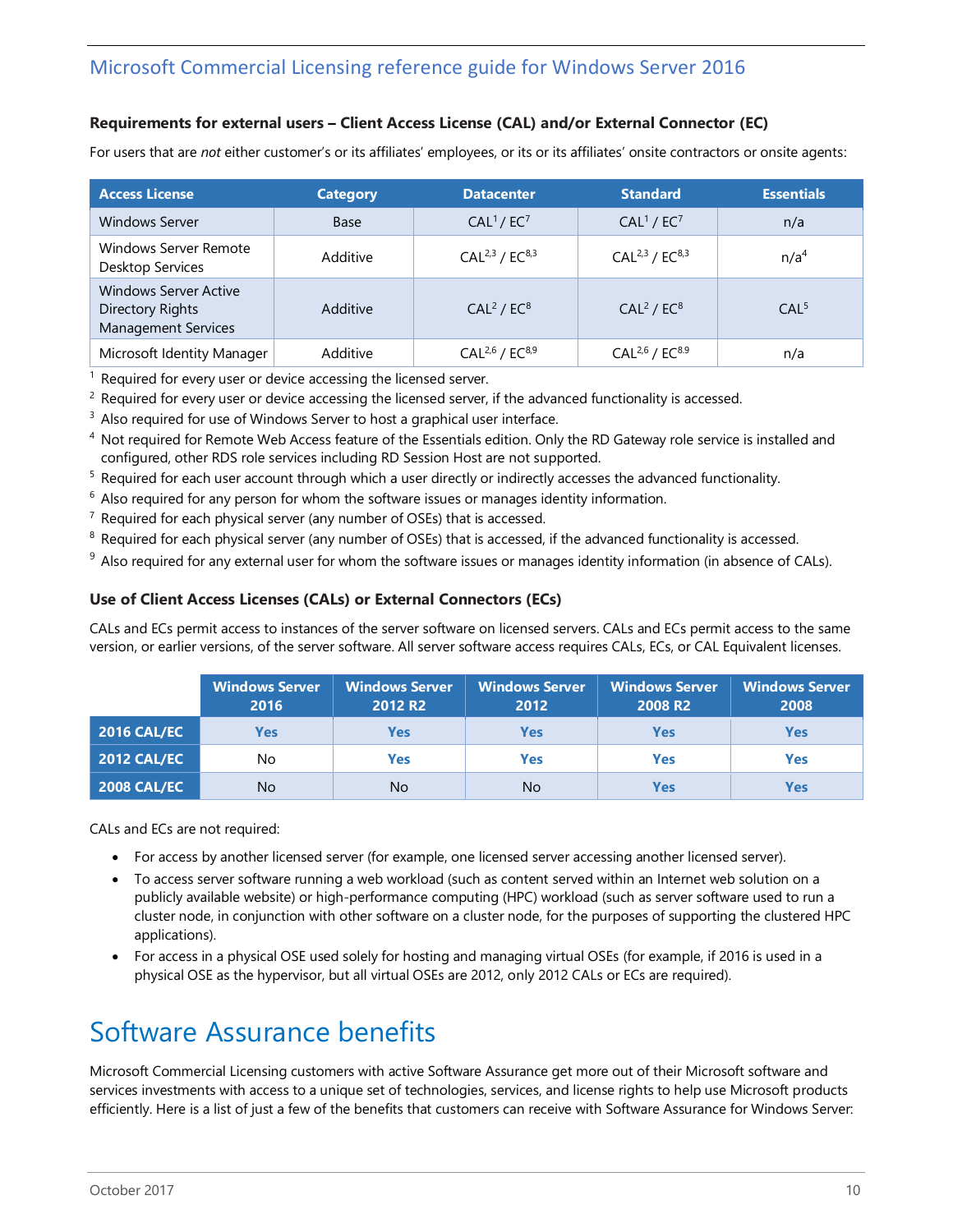### <span id="page-9-0"></span>**Requirements for external users – Client Access License (CAL) and/or External Connector (EC)**

For users that are *not* either customer's or its affiliates' employees, or its or its affiliates' onsite contractors or onsite agents:

| <b>Access License</b>                                                                 | <b>Category</b> | <b>Datacenter</b>                  | <b>Standard</b>                        | <b>Essentials</b> |
|---------------------------------------------------------------------------------------|-----------------|------------------------------------|----------------------------------------|-------------------|
| <b>Windows Server</b>                                                                 | Base            | CAL <sup>1</sup> / EC <sup>7</sup> | CAL <sup>1</sup> / EC <sup>7</sup>     | n/a               |
| Windows Server Remote<br>Desktop Services                                             | Additive        | $CAL^{2,3} / EC^{8,3}$             | CAL <sup>2,3</sup> / EC <sup>8,3</sup> | n/a <sup>4</sup>  |
| <b>Windows Server Active</b><br><b>Directory Rights</b><br><b>Management Services</b> | Additive        | CAL <sup>2</sup> / $EC^8$          | CAL <sup>2</sup> / EC <sup>8</sup>     | CAI <sup>5</sup>  |
| Microsoft Identity Manager                                                            | Additive        | $CAL^{2,6} / EC^{8,9}$             | $CAL^{2,6} / EC^{8.9}$                 | n/a               |

 $1$  Required for every user or device accessing the licensed server.

 $<sup>2</sup>$  Required for every user or device accessing the licensed server, if the advanced functionality is accessed.</sup>

- <sup>3</sup> Also required for use of Windows Server to host a graphical user interface.
- <sup>4</sup> Not required for Remote Web Access feature of the Essentials edition. Only the RD Gateway role service is installed and configured, other RDS role services including RD Session Host are not supported.
- <sup>5</sup> Required for each user account through which a user directly or indirectly accesses the advanced functionality.
- $6$  Also required for any person for whom the software issues or manages identity information.
- $7$  Required for each physical server (any number of OSEs) that is accessed.
- $8$  Required for each physical server (any number of OSEs) that is accessed, if the advanced functionality is accessed.
- <span id="page-9-1"></span> $9$  Also required for any external user for whom the software issues or manages identity information (in absence of CALs).

### **Use of Client Access Licenses (CALs) or External Connectors (ECs)**

CALs and ECs permit access to instances of the server software on licensed servers. CALs and ECs permit access to the same version, or earlier versions, of the server software. All server software access requires CALs, ECs, or CAL Equivalent licenses.

|             | <b>Windows Server</b><br>2016 | <b>Windows Server</b><br>2012 R <sub>2</sub> | <b>Windows Server</b><br>2012 | <b>Windows Server</b><br><b>2008 R2</b> | <b>Windows Server</b><br>2008 |
|-------------|-------------------------------|----------------------------------------------|-------------------------------|-----------------------------------------|-------------------------------|
| 2016 CAL/EC | Yes                           | Yes                                          | Yes                           | Yes                                     | Yes                           |
| 2012 CAL/EC | No                            | Yes                                          | <b>Yes</b>                    | Yes                                     | Yes                           |
| 2008 CAL/EC | No                            | <b>No</b>                                    | No                            | Yes                                     | Yes                           |

CALs and ECs are not required:

- For access by another licensed server (for example, one licensed server accessing another licensed server).
- To access server software running a web workload (such as content served within an Internet web solution on a publicly available website) or high-performance computing (HPC) workload (such as server software used to run a cluster node, in conjunction with other software on a cluster node, for the purposes of supporting the clustered HPC applications).
- For access in a physical OSE used solely for hosting and managing virtual OSEs (for example, if 2016 is used in a physical OSE as the hypervisor, but all virtual OSEs are 2012, only 2012 CALs or ECs are required).

# <span id="page-9-2"></span>Software Assurance benefits

Microsoft Commercial Licensing customers with active Software Assurance get more out of their Microsoft software and services investments with access to a unique set of technologies, services, and license rights to help use Microsoft products efficiently. Here is a list of just a few of the benefits that customers can receive with Software Assurance for Windows Server: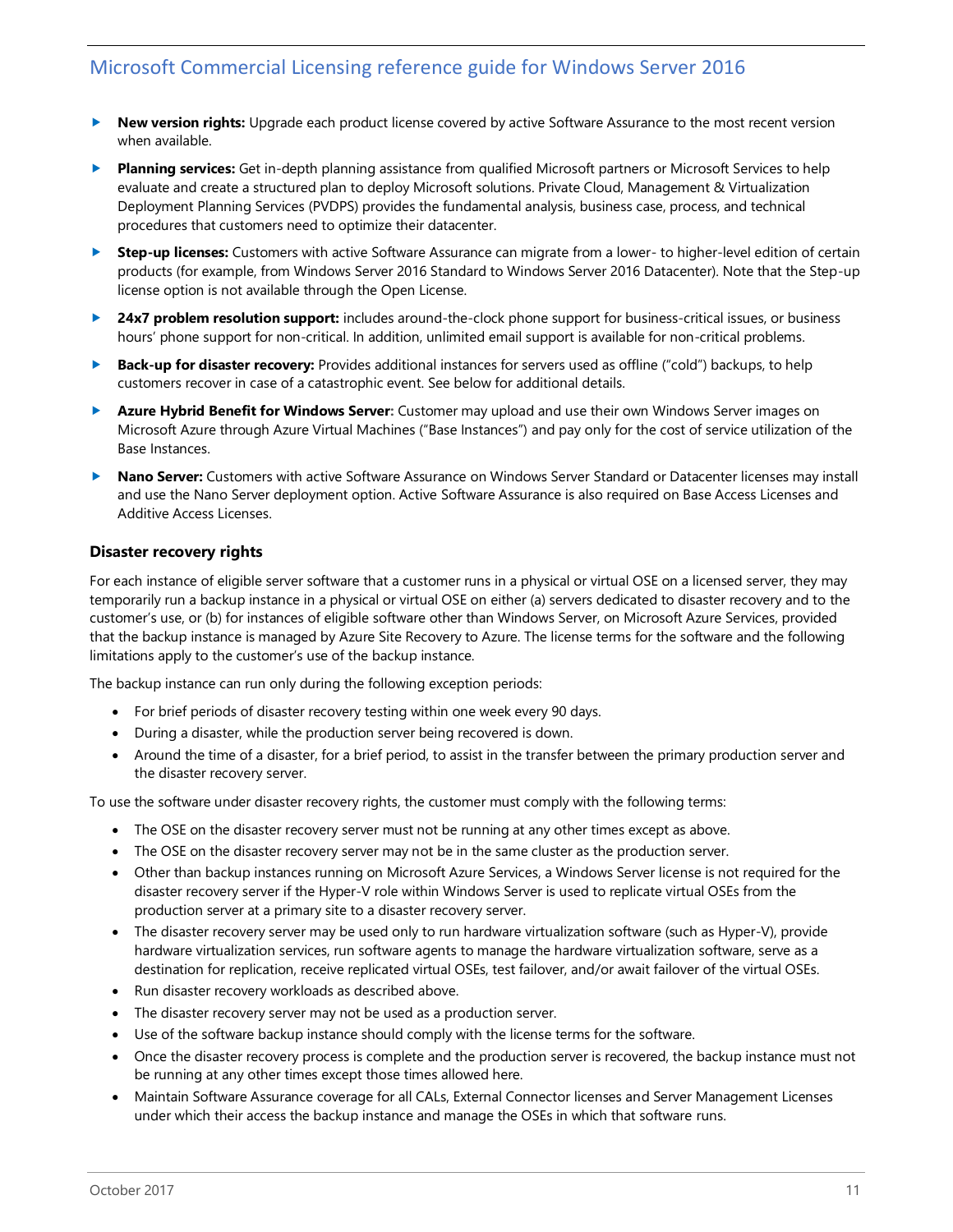- **New version rights:** Upgrade each product license covered by active Software Assurance to the most recent version when available.
- **Planning services:** Get in-depth planning assistance from qualified Microsoft partners or Microsoft Services to help evaluate and create a structured plan to deploy Microsoft solutions. Private Cloud, Management & Virtualization Deployment Planning Services (PVDPS) provides the fundamental analysis, business case, process, and technical procedures that customers need to optimize their datacenter.
- **Step-up licenses:** Customers with active Software Assurance can migrate from a lower- to higher-level edition of certain products (for example, from Windows Server 2016 Standard to Windows Server 2016 Datacenter). Note that the Step-up license option is not available through the Open License.
- **24x7 problem resolution support:** includes around-the-clock phone support for business-critical issues, or business hours' phone support for non-critical. In addition, unlimited email support is available for non-critical problems.
- **Back-up for disaster recovery:** Provides additional instances for servers used as offline ("cold") backups, to help customers recover in case of a catastrophic event. See below for additional details.
- **Azure Hybrid Benefit for Windows Server:** Customer may upload and use their own Windows Server images on Microsoft Azure through Azure Virtual Machines ("Base Instances") and pay only for the cost of service utilization of the Base Instances.
- **Nano Server:** Customers with active Software Assurance on Windows Server Standard or Datacenter licenses may install and use the Nano Server deployment option. Active Software Assurance is also required on Base Access Licenses and Additive Access Licenses.

#### <span id="page-10-0"></span>**Disaster recovery rights**

For each instance of eligible server software that a customer runs in a physical or virtual OSE on a licensed server, they may temporarily run a backup instance in a physical or virtual OSE on either (a) servers dedicated to disaster recovery and to the customer's use, or (b) for instances of eligible software other than Windows Server, on Microsoft Azure Services, provided that the backup instance is managed by Azure Site Recovery to Azure. The license terms for the software and the following limitations apply to the customer's use of the backup instance.

The backup instance can run only during the following exception periods:

- For brief periods of disaster recovery testing within one week every 90 days.
- During a disaster, while the production server being recovered is down.
- Around the time of a disaster, for a brief period, to assist in the transfer between the primary production server and the disaster recovery server.

To use the software under disaster recovery rights, the customer must comply with the following terms:

- The OSE on the disaster recovery server must not be running at any other times except as above.
- The OSE on the disaster recovery server may not be in the same cluster as the production server.
- Other than backup instances running on Microsoft Azure Services, a Windows Server license is not required for the disaster recovery server if the Hyper-V role within Windows Server is used to replicate virtual OSEs from the production server at a primary site to a disaster recovery server.
- The disaster recovery server may be used only to run hardware virtualization software (such as Hyper-V), provide hardware virtualization services, run software agents to manage the hardware virtualization software, serve as a destination for replication, receive replicated virtual OSEs, test failover, and/or await failover of the virtual OSEs.
- Run disaster recovery workloads as described above.
- The disaster recovery server may not be used as a production server.
- Use of the software backup instance should comply with the license terms for the software.
- Once the disaster recovery process is complete and the production server is recovered, the backup instance must not be running at any other times except those times allowed here.
- Maintain Software Assurance coverage for all CALs, External Connector licenses and Server Management Licenses under which their access the backup instance and manage the OSEs in which that software runs.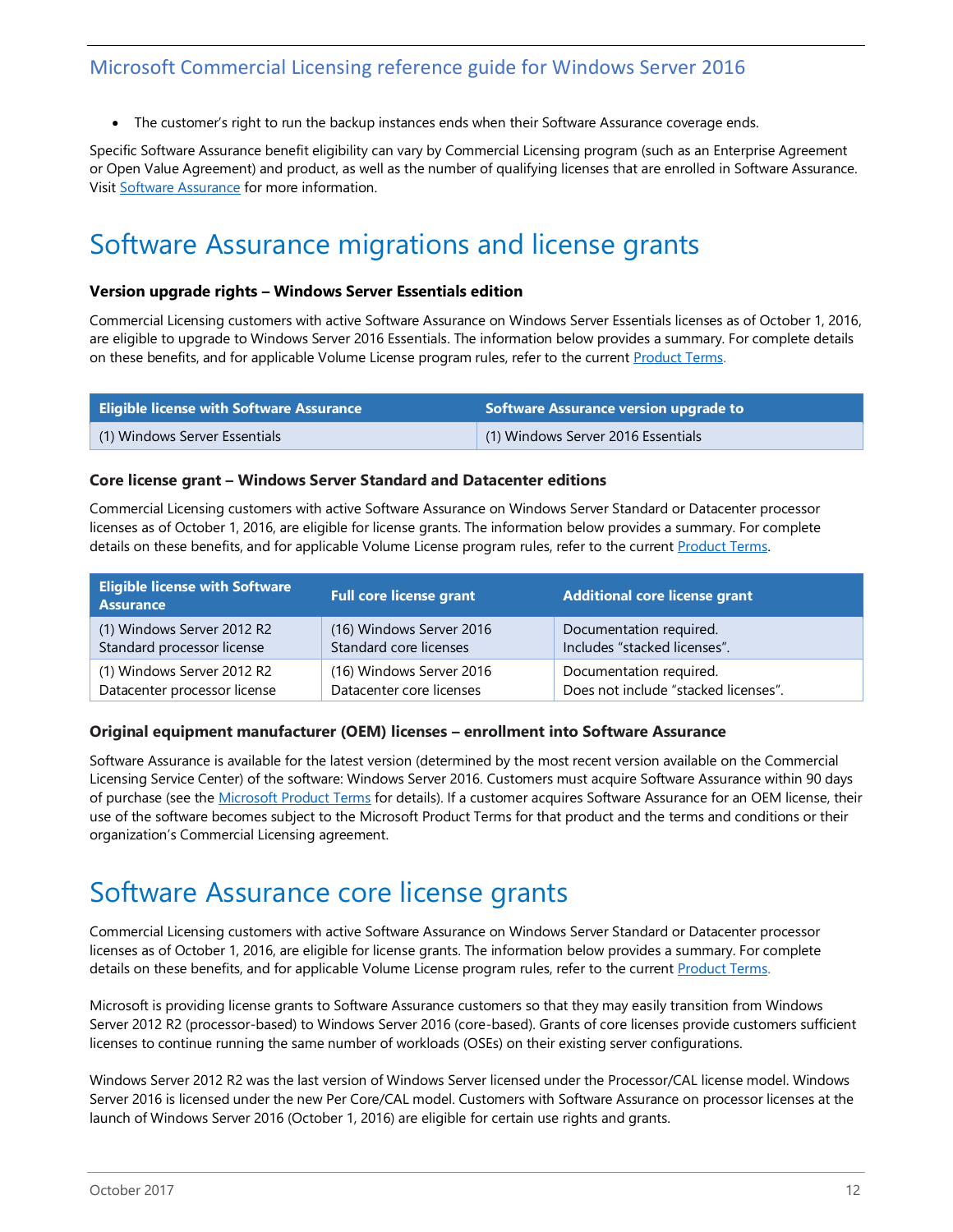• The customer's right to run the backup instances ends when their Software Assurance coverage ends.

Specific Software Assurance benefit eligibility can vary by Commercial Licensing program (such as an Enterprise Agreement or Open Value Agreement) and product, as well as the number of qualifying licenses that are enrolled in Software Assurance. Visit **[Software Assurance](https://www.microsoft.com/en-us/licensing/licensing-programs/software-assurance-default.aspx#tab=2)** for more information.

# <span id="page-11-0"></span>Software Assurance migrations and license grants

### <span id="page-11-1"></span>**Version upgrade rights – Windows Server Essentials edition**

Commercial Licensing customers with active Software Assurance on Windows Server Essentials licenses as of October 1, 2016, are eligible to upgrade to Windows Server 2016 Essentials. The information below provides a summary. For complete details on these benefits, and for applicable Volume License program rules, refer to the current [Product Terms.](http://microsoftvolumelicensing.com/DocumentSearch.aspx?Mode=3&DocumentTypeId=53)

| <b>Eligible license with Software Assurance</b> | Software Assurance version upgrade to |
|-------------------------------------------------|---------------------------------------|
| (1) Windows Server Essentials                   | (1) Windows Server 2016 Essentials    |

#### <span id="page-11-2"></span>**Core license grant – Windows Server Standard and Datacenter editions**

Commercial Licensing customers with active Software Assurance on Windows Server Standard or Datacenter processor licenses as of October 1, 2016, are eligible for license grants. The information below provides a summary. For complete details on these benefits, and for applicable Volume License program rules, refer to the curren[t Product Terms.](http://microsoftvolumelicensing.com/DocumentSearch.aspx?Mode=3&DocumentTypeId=53)

| <b>Eligible license with Software</b><br><b>Assurance</b> | <b>Full core license grant</b> | <b>Additional core license grant</b> |
|-----------------------------------------------------------|--------------------------------|--------------------------------------|
| (1) Windows Server 2012 R2                                | (16) Windows Server 2016       | Documentation required.              |
| Standard processor license                                | Standard core licenses         | Includes "stacked licenses".         |
| (1) Windows Server 2012 R2                                | (16) Windows Server 2016       | Documentation required.              |
| Datacenter processor license                              | Datacenter core licenses       | Does not include "stacked licenses". |

### <span id="page-11-3"></span>**Original equipment manufacturer (OEM) licenses – enrollment into Software Assurance**

Software Assurance is available for the latest version (determined by the most recent version available on the Commercial Licensing Service Center) of the software: Windows Server 2016. Customers must acquire Software Assurance within 90 days of purchase (see the [Microsoft Product Terms](https://www.microsoft.com/en-us/licensing/product-licensing/products.aspx#PT) for details). If a customer acquires Software Assurance for an OEM license, their use of the software becomes subject to the Microsoft Product Terms for that product and the terms and conditions or their organization's Commercial Licensing agreement.

## <span id="page-11-4"></span>Software Assurance core license grants

Commercial Licensing customers with active Software Assurance on Windows Server Standard or Datacenter processor licenses as of October 1, 2016, are eligible for license grants. The information below provides a summary. For complete details on these benefits, and for applicable Volume License program rules, refer to the curren[t Product Terms.](http://microsoftvolumelicensing.com/DocumentSearch.aspx?Mode=3&DocumentTypeId=53)

Microsoft is providing license grants to Software Assurance customers so that they may easily transition from Windows Server 2012 R2 (processor-based) to Windows Server 2016 (core-based). Grants of core licenses provide customers sufficient licenses to continue running the same number of workloads (OSEs) on their existing server configurations.

Windows Server 2012 R2 was the last version of Windows Server licensed under the Processor/CAL license model. Windows Server 2016 is licensed under the new Per Core/CAL model. Customers with Software Assurance on processor licenses at the launch of Windows Server 2016 (October 1, 2016) are eligible for certain use rights and grants.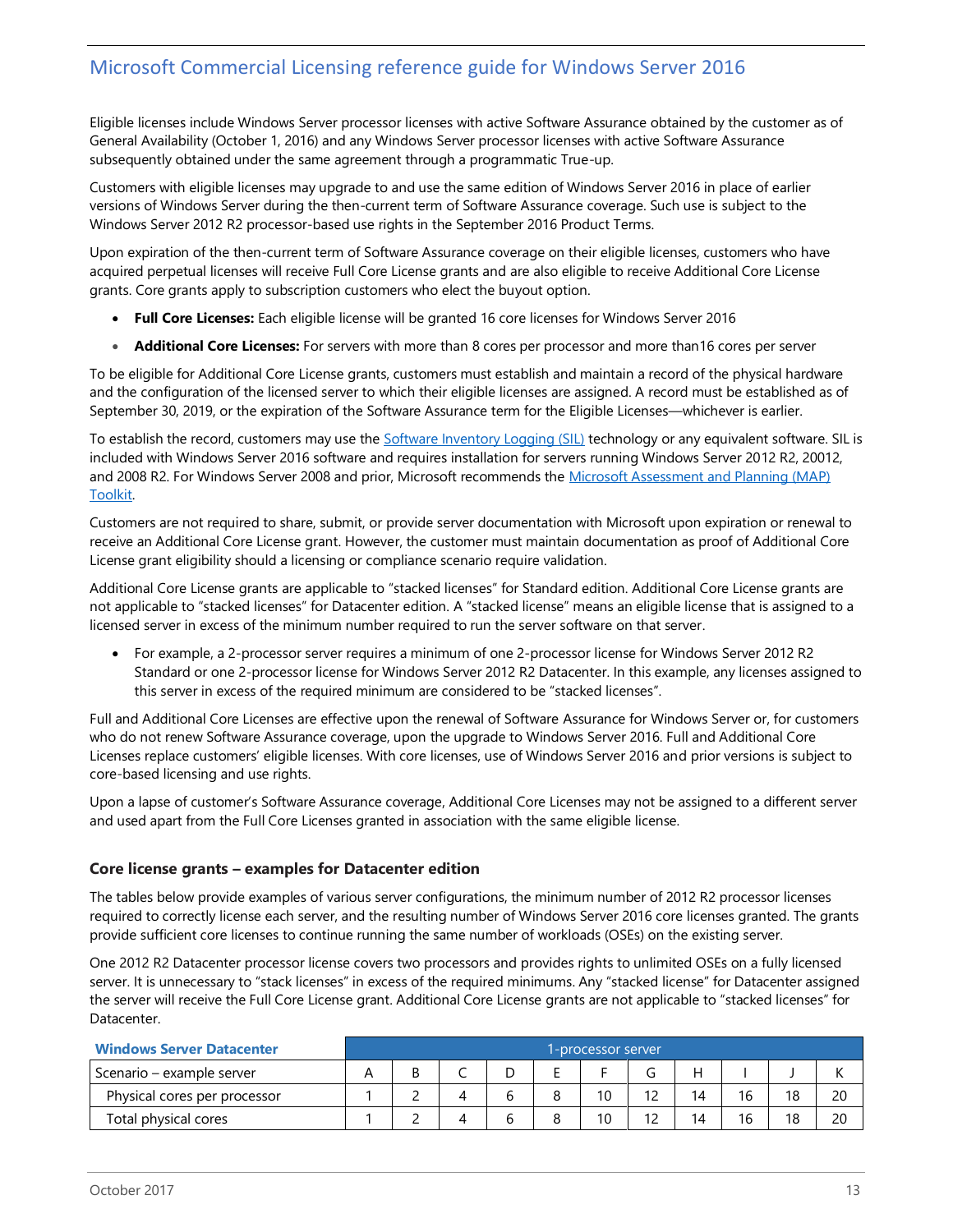Eligible licenses include Windows Server processor licenses with active Software Assurance obtained by the customer as of General Availability (October 1, 2016) and any Windows Server processor licenses with active Software Assurance subsequently obtained under the same agreement through a programmatic True-up.

Customers with eligible licenses may upgrade to and use the same edition of Windows Server 2016 in place of earlier versions of Windows Server during the then-current term of Software Assurance coverage. Such use is subject to the Windows Server 2012 R2 processor-based use rights in the September 2016 Product Terms.

Upon expiration of the then-current term of Software Assurance coverage on their eligible licenses, customers who have acquired perpetual licenses will receive Full Core License grants and are also eligible to receive Additional Core License grants. Core grants apply to subscription customers who elect the buyout option.

- **Full Core Licenses:** Each eligible license will be granted 16 core licenses for Windows Server 2016
- **Additional Core Licenses:** For servers with more than 8 cores per processor and more than16 cores per server

To be eligible for Additional Core License grants, customers must establish and maintain a record of the physical hardware and the configuration of the licensed server to which their eligible licenses are assigned. A record must be established as of September 30, 2019, or the expiration of the Software Assurance term for the Eligible Licenses—whichever is earlier.

To establish the record, customers may use th[e Software Inventory Logging \(SIL\)](https://technet.microsoft.com/en-us/library/dn383584(v=ws.11).aspx) technology or any equivalent software. SIL is included with Windows Server 2016 software and requires installation for servers running Windows Server 2012 R2, 20012, and 2008 R2. For Windows Server 2008 and prior, Microsoft recommends the Microsoft Assessment and Planning (MAP) [Toolkit.](https://msdn.microsoft.com/en-us/library/bb977556.aspx) 

Customers are not required to share, submit, or provide server documentation with Microsoft upon expiration or renewal to receive an Additional Core License grant. However, the customer must maintain documentation as proof of Additional Core License grant eligibility should a licensing or compliance scenario require validation.

Additional Core License grants are applicable to "stacked licenses" for Standard edition. Additional Core License grants are not applicable to "stacked licenses" for Datacenter edition. A "stacked license" means an eligible license that is assigned to a licensed server in excess of the minimum number required to run the server software on that server.

• For example, a 2-processor server requires a minimum of one 2-processor license for Windows Server 2012 R2 Standard or one 2-processor license for Windows Server 2012 R2 Datacenter. In this example, any licenses assigned to this server in excess of the required minimum are considered to be "stacked licenses".

Full and Additional Core Licenses are effective upon the renewal of Software Assurance for Windows Server or, for customers who do not renew Software Assurance coverage, upon the upgrade to Windows Server 2016. Full and Additional Core Licenses replace customers' eligible licenses. With core licenses, use of Windows Server 2016 and prior versions is subject to core-based licensing and use rights.

Upon a lapse of customer's Software Assurance coverage, Additional Core Licenses may not be assigned to a different server and used apart from the Full Core Licenses granted in association with the same eligible license.

### <span id="page-12-0"></span>**Core license grants – examples for Datacenter edition**

The tables below provide examples of various server configurations, the minimum number of 2012 R2 processor licenses required to correctly license each server, and the resulting number of Windows Server 2016 core licenses granted. The grants provide sufficient core licenses to continue running the same number of workloads (OSEs) on the existing server.

One 2012 R2 Datacenter processor license covers two processors and provides rights to unlimited OSEs on a fully licensed server. It is unnecessary to "stack licenses" in excess of the required minimums. Any "stacked license" for Datacenter assigned the server will receive the Full Core License grant. Additional Core License grants are not applicable to "stacked licenses" for Datacenter.

| <b>Windows Server Datacenter</b> |  |  | 1-processor server |                   |    |    |    |    |
|----------------------------------|--|--|--------------------|-------------------|----|----|----|----|
| Scenario – example server        |  |  |                    | G                 |    |    |    |    |
| Physical cores per processor     |  |  | 10                 | 12                | 14 | 16 | 18 | 20 |
| Total physical cores             |  |  | 10                 | $12 \overline{ }$ | 14 | 16 | 18 | 20 |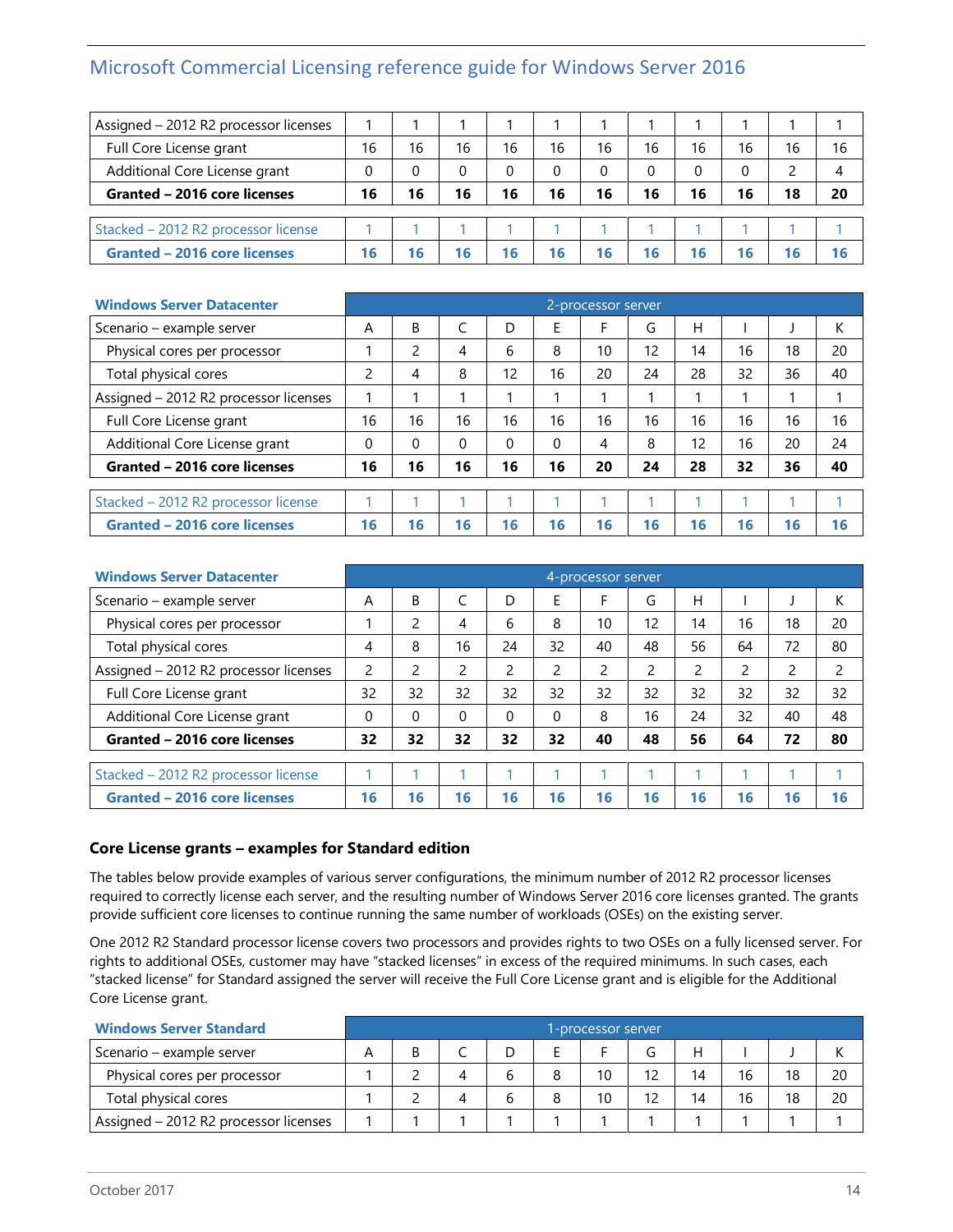| Assigned - 2012 R2 processor licenses |    |    |    |    |    |    |    |    |    |    |    |
|---------------------------------------|----|----|----|----|----|----|----|----|----|----|----|
| Full Core License grant               | 16 | 16 | 16 | 16 | 16 | 16 | 16 | 16 | 16 | 16 | 16 |
| Additional Core License grant         |    | 0  | 0  | 0  | 0  | 0  | 0  |    | 0  |    |    |
| <b>Granted - 2016 core licenses</b>   | 16 | 16 | 16 | 16 | 16 | 16 | 16 | 16 | 16 | 18 | 20 |
|                                       |    |    |    |    |    |    |    |    |    |    |    |
|                                       |    |    |    |    |    |    |    |    |    |    |    |
| Stacked - 2012 R2 processor license   |    |    |    |    |    |    |    |    |    |    |    |

| <b>Windows Server Datacenter</b>      |               |              |          |    |    | 2-processor server |    |    |    |    |    |
|---------------------------------------|---------------|--------------|----------|----|----|--------------------|----|----|----|----|----|
| Scenario - example server             | А             | B            |          | D  |    |                    | G  | H  |    |    | К  |
| Physical cores per processor          |               | 2            | 4        | 6  | 8  | 10                 | 12 | 14 | 16 | 18 | 20 |
| Total physical cores                  | $\mathcal{P}$ | 4            | 8        | 12 | 16 | 20                 | 24 | 28 | 32 | 36 | 40 |
| Assigned - 2012 R2 processor licenses |               |              |          |    |    |                    |    |    |    |    |    |
| Full Core License grant               | 16            | 16           | 16       | 16 | 16 | 16                 | 16 | 16 | 16 | 16 | 16 |
| Additional Core License grant         | 0             | $\mathbf{0}$ | $\Omega$ | 0  | 0  | 4                  | 8  | 12 | 16 | 20 | 24 |
| Granted - 2016 core licenses          | 16            | 16           | 16       | 16 | 16 | 20                 | 24 | 28 | 32 | 36 | 40 |
|                                       |               |              |          |    |    |                    |    |    |    |    |    |
| Stacked - 2012 R2 processor license   |               |              |          |    |    |                    |    |    |    |    |    |
| <b>Granted - 2016 core licenses</b>   | 16            | 16           | 16       | 16 | 16 | 16                 | 16 | 16 | 16 | 16 | 16 |

| <b>Windows Server Datacenter</b>      |    |          |    |          |    | 4-processor server |    |    |    |    |    |
|---------------------------------------|----|----------|----|----------|----|--------------------|----|----|----|----|----|
| Scenario – example server             | A  | B        |    | D        | F  |                    | G  | Н  |    |    | K  |
| Physical cores per processor          |    | 2        | 4  | 6        | 8  | 10                 | 12 | 14 | 16 | 18 | 20 |
| Total physical cores                  | 4  | 8        | 16 | 24       | 32 | 40                 | 48 | 56 | 64 | 72 | 80 |
| Assigned - 2012 R2 processor licenses | 2  | 2        | ∍  | 2        | ∍  | 2                  | 2  | 2  | っ  | 2  | 2  |
| Full Core License grant               | 32 | 32       | 32 | 32       | 32 | 32                 | 32 | 32 | 32 | 32 | 32 |
| Additional Core License grant         | 0  | $\Omega$ | 0  | $\Omega$ | 0  | 8                  | 16 | 24 | 32 | 40 | 48 |
| Granted - 2016 core licenses          | 32 | 32       | 32 | 32       | 32 | 40                 | 48 | 56 | 64 | 72 | 80 |
|                                       |    |          |    |          |    |                    |    |    |    |    |    |
| Stacked - 2012 R2 processor license   |    |          |    |          |    |                    |    |    |    |    |    |
| <b>Granted - 2016 core licenses</b>   | 16 | 16       | 16 | 16       | 16 | 16                 | 16 | 16 | 16 | 16 | 16 |

### <span id="page-13-0"></span>**Core License grants – examples for Standard edition**

The tables below provide examples of various server configurations, the minimum number of 2012 R2 processor licenses required to correctly license each server, and the resulting number of Windows Server 2016 core licenses granted. The grants provide sufficient core licenses to continue running the same number of workloads (OSEs) on the existing server.

One 2012 R2 Standard processor license covers two processors and provides rights to two OSEs on a fully licensed server. For rights to additional OSEs, customer may have "stacked licenses" in excess of the required minimums. In such cases, each "stacked license" for Standard assigned the server will receive the Full Core License grant and is eligible for the Additional Core License grant.

| <b>Windows Server Standard</b>        |  |   | 1-processor server |                   |    |    |    |    |
|---------------------------------------|--|---|--------------------|-------------------|----|----|----|----|
| Scenario – example server             |  |   |                    | G                 |    |    |    |    |
| Physical cores per processor          |  | h | 10                 | $12 \overline{ }$ | 14 | 16 | 18 | 20 |
| Total physical cores                  |  |   | 10                 | 12                | 14 | 16 | 18 | 20 |
| Assigned – 2012 R2 processor licenses |  |   |                    |                   |    |    |    |    |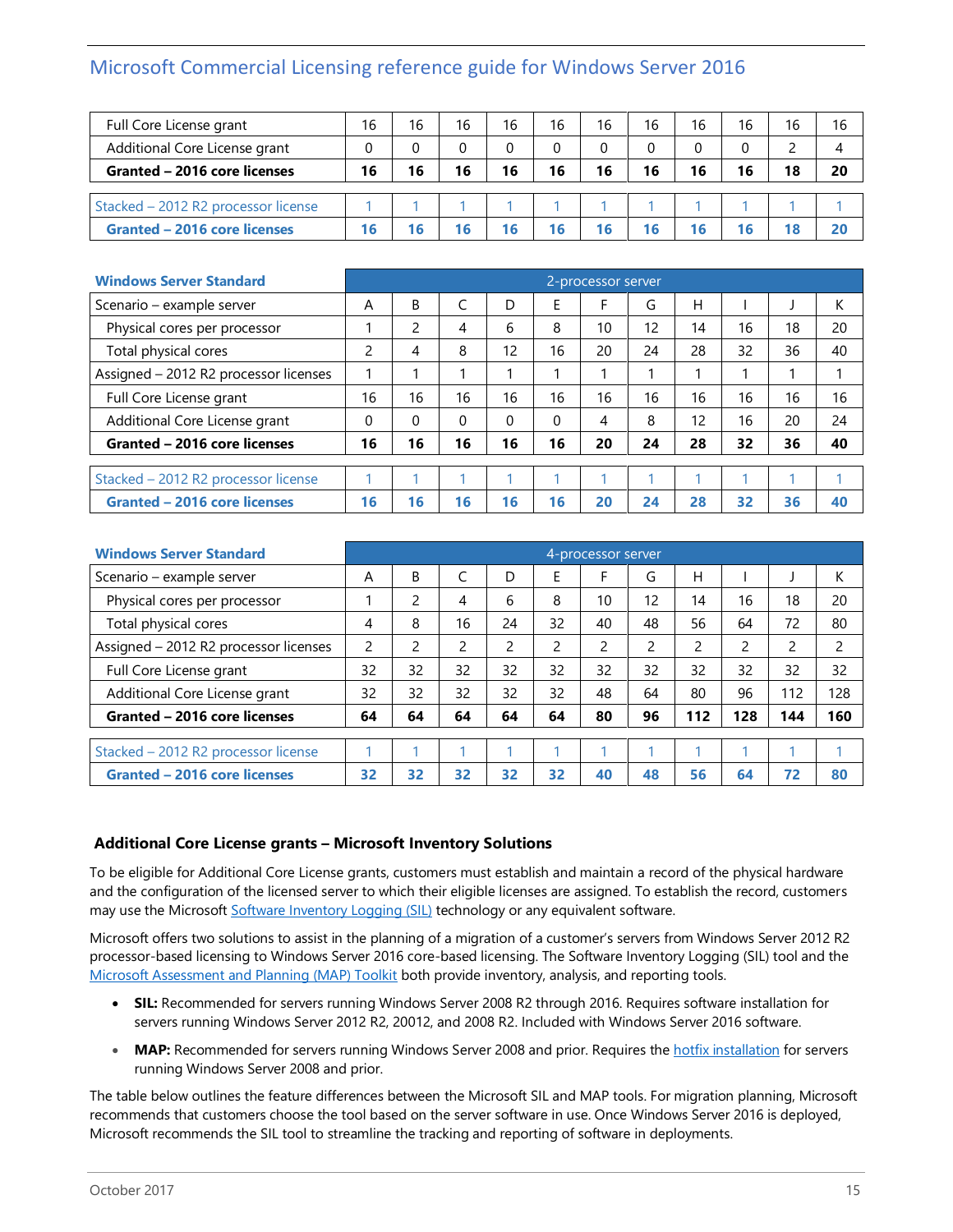| Full Core License grant             | 16 | 16 | 16 | 16 | 16 | 16 | 16           | 16 | 16 | 16 | 16 |
|-------------------------------------|----|----|----|----|----|----|--------------|----|----|----|----|
| Additional Core License grant       |    |    |    | 0  |    |    | $\mathbf{0}$ | 0  |    |    |    |
| Granted - 2016 core licenses        | 16 | 16 | 16 | 16 | 16 | 16 | 16           | 16 | 16 | 18 | 20 |
| Stacked - 2012 R2 processor license |    |    |    |    |    |    |              |    |    |    |    |
| <b>Granted - 2016 core licenses</b> | 16 | 16 | 16 | 16 |    | 16 | 16           | 16 |    | 18 |    |

| <b>Windows Server Standard</b>        |    |          |    |          |          | 2-processor server |    |    |    |    |    |
|---------------------------------------|----|----------|----|----------|----------|--------------------|----|----|----|----|----|
| Scenario – example server             | A  | B        |    | D        | F        |                    | G  | Н  |    |    | К  |
| Physical cores per processor          |    | 2        | 4  | 6        | 8        | 10                 | 12 | 14 | 16 | 18 | 20 |
| Total physical cores                  | 2  | 4        | 8  | 12       | 16       | 20                 | 24 | 28 | 32 | 36 | 40 |
| Assigned - 2012 R2 processor licenses |    |          |    |          |          |                    |    |    |    |    |    |
| Full Core License grant               | 16 | 16       | 16 | 16       | 16       | 16                 | 16 | 16 | 16 | 16 | 16 |
| Additional Core License grant         | 0  | $\Omega$ | 0  | $\Omega$ | $\Omega$ | 4                  | 8  | 12 | 16 | 20 | 24 |
| Granted - 2016 core licenses          | 16 | 16       | 16 | 16       | 16       | 20                 | 24 | 28 | 32 | 36 | 40 |
|                                       |    |          |    |          |          |                    |    |    |    |    |    |
| Stacked - 2012 R2 processor license   |    |          |    |          |          |                    |    |    |    |    |    |
| <b>Granted - 2016 core licenses</b>   | 16 | 16       | 16 | 16       | 16       | 20                 | 24 | 28 | 32 | 36 | 40 |

| <b>Windows Server Standard</b>        |               |    |    |    |               | 4-processor server |    |               |                |     |               |
|---------------------------------------|---------------|----|----|----|---------------|--------------------|----|---------------|----------------|-----|---------------|
| Scenario - example server             | А             | B  |    | D  | E             |                    | G  | Н             |                |     | K             |
| Physical cores per processor          |               | 2  | 4  | 6  | 8             | 10                 | 12 | 14            | 16             | 18  | 20            |
| Total physical cores                  | 4             | 8  | 16 | 24 | 32            | 40                 | 48 | 56            | 64             | 72  | 80            |
| Assigned - 2012 R2 processor licenses | $\mathcal{P}$ | 2  | 2  | 2  | $\mathcal{P}$ | 2                  | 2  | $\mathcal{P}$ | $\overline{c}$ | 2   | $\mathcal{P}$ |
| Full Core License grant               | 32            | 32 | 32 | 32 | 32            | 32                 | 32 | 32            | 32             | 32  | 32            |
| Additional Core License grant         | 32            | 32 | 32 | 32 | 32            | 48                 | 64 | 80            | 96             | 112 | 128           |
| Granted - 2016 core licenses          | 64            | 64 | 64 | 64 | 64            | 80                 | 96 | 112           | 128            | 144 | 160           |
|                                       |               |    |    |    |               |                    |    |               |                |     |               |
| Stacked - 2012 R2 processor license   |               |    |    |    |               |                    |    |               |                |     |               |
| <b>Granted - 2016 core licenses</b>   | 32            | 32 | 32 | 32 | 32            | 40                 | 48 | 56            | 64             | 72  | 80            |

### <span id="page-14-0"></span>**Additional Core License grants – Microsoft Inventory Solutions**

To be eligible for Additional Core License grants, customers must establish and maintain a record of the physical hardware and the configuration of the licensed server to which their eligible licenses are assigned. To establish the record, customers may use the Microsoft [Software Inventory Logging \(SIL\)](https://technet.microsoft.com/en-us/library/dn383584(v=ws.11).aspx) technology or any equivalent software.

Microsoft offers two solutions to assist in the planning of a migration of a customer's servers from Windows Server 2012 R2 processor-based licensing to Windows Server 2016 core-based licensing. The Software Inventory Logging (SIL) tool and the [Microsoft Assessment and Planning \(MAP\) Toolkit](https://msdn.microsoft.com/en-us/library/bb977556.aspx) both provide inventory, analysis, and reporting tools.

- **SIL:** Recommended for servers running Windows Server 2008 R2 through 2016. Requires software installation for servers running Windows Server 2012 R2, 20012, and 2008 R2. Included with Windows Server 2016 software.
- MAP: Recommended for servers running Windows Server 2008 and prior. Requires the **hotfix installation** for servers running Windows Server 2008 and prior.

The table below outlines the feature differences between the Microsoft SIL and MAP tools. For migration planning, Microsoft recommends that customers choose the tool based on the server software in use. Once Windows Server 2016 is deployed, Microsoft recommends the SIL tool to streamline the tracking and reporting of software in deployments.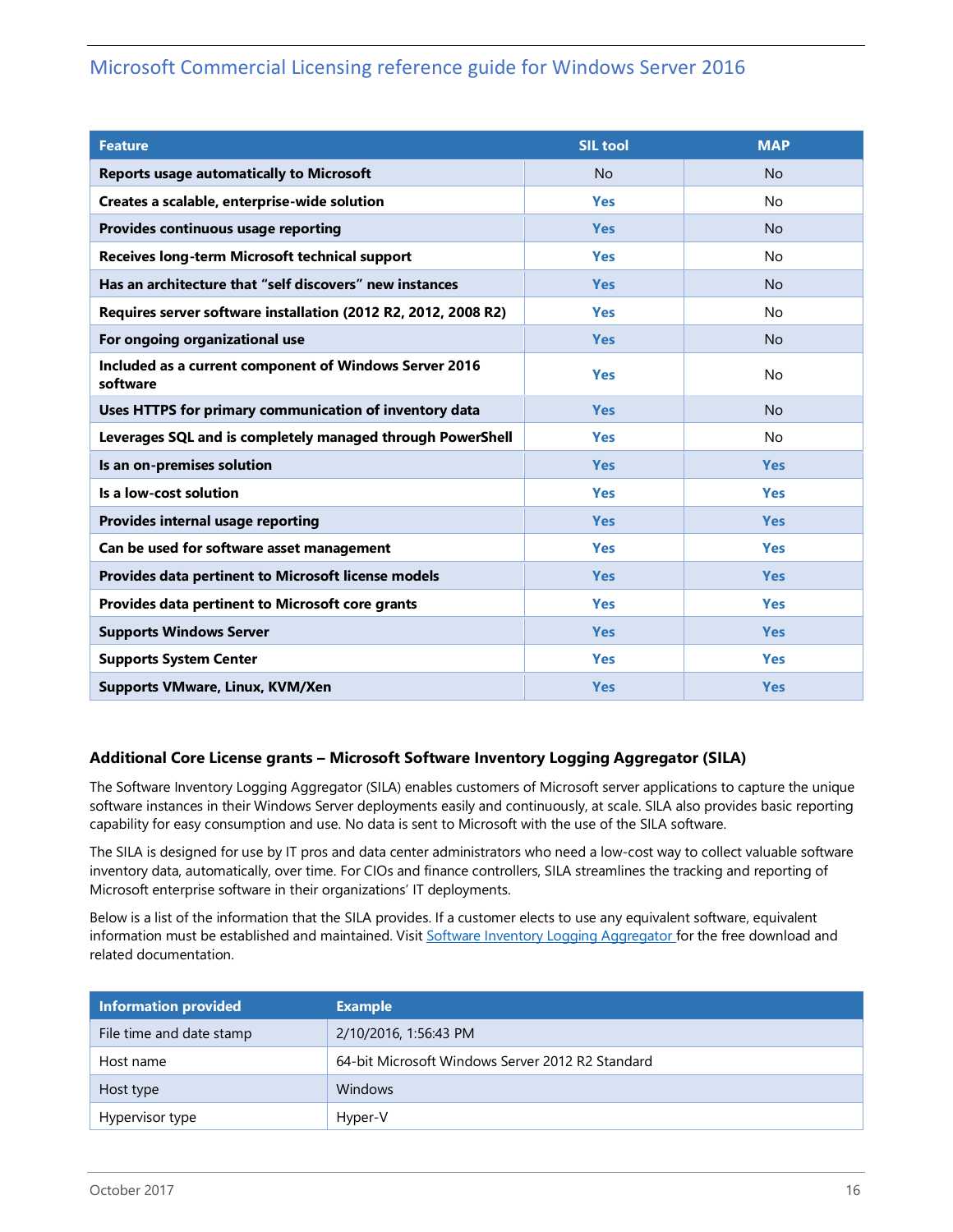| <b>Feature</b>                                                     | <b>SIL tool</b> | <b>MAP</b>     |
|--------------------------------------------------------------------|-----------------|----------------|
| <b>Reports usage automatically to Microsoft</b>                    | <b>No</b>       | <b>No</b>      |
| Creates a scalable, enterprise-wide solution                       | <b>Yes</b>      | <b>No</b>      |
| Provides continuous usage reporting                                | <b>Yes</b>      | <b>No</b>      |
| Receives long-term Microsoft technical support                     | <b>Yes</b>      | N <sub>o</sub> |
| Has an architecture that "self discovers" new instances            | <b>Yes</b>      | <b>No</b>      |
| Requires server software installation (2012 R2, 2012, 2008 R2)     | <b>Yes</b>      | No             |
| For ongoing organizational use                                     | <b>Yes</b>      | <b>No</b>      |
| Included as a current component of Windows Server 2016<br>software | <b>Yes</b>      | No             |
| Uses HTTPS for primary communication of inventory data             | <b>Yes</b>      | No             |
| Leverages SQL and is completely managed through PowerShell         | <b>Yes</b>      | <b>No</b>      |
| Is an on-premises solution                                         | <b>Yes</b>      | <b>Yes</b>     |
| Is a low-cost solution                                             | <b>Yes</b>      | <b>Yes</b>     |
| Provides internal usage reporting                                  | <b>Yes</b>      | <b>Yes</b>     |
| Can be used for software asset management                          | <b>Yes</b>      | <b>Yes</b>     |
| Provides data pertinent to Microsoft license models                | <b>Yes</b>      | <b>Yes</b>     |
| Provides data pertinent to Microsoft core grants                   | <b>Yes</b>      | <b>Yes</b>     |
| <b>Supports Windows Server</b>                                     | <b>Yes</b>      | <b>Yes</b>     |
| <b>Supports System Center</b>                                      | <b>Yes</b>      | <b>Yes</b>     |
| Supports VMware, Linux, KVM/Xen                                    | <b>Yes</b>      | <b>Yes</b>     |

### <span id="page-15-0"></span>**Additional Core License grants – Microsoft Software Inventory Logging Aggregator (SILA)**

The Software Inventory Logging Aggregator (SILA) enables customers of Microsoft server applications to capture the unique software instances in their Windows Server deployments easily and continuously, at scale. SILA also provides basic reporting capability for easy consumption and use. No data is sent to Microsoft with the use of the SILA software.

The SILA is designed for use by IT pros and data center administrators who need a low-cost way to collect valuable software inventory data, automatically, over time. For CIOs and finance controllers, SILA streamlines the tracking and reporting of Microsoft enterprise software in their organizations' IT deployments.

Below is a list of the information that the SILA provides. If a customer elects to use any equivalent software, equivalent information must be established and maintained. Visit [Software Inventory Logging Aggregator](https://technet.microsoft.com/en-us/library/mt572043.aspx) for the free download and related documentation.

| Information provided     | <b>Example</b>                                   |
|--------------------------|--------------------------------------------------|
| File time and date stamp | 2/10/2016, 1:56:43 PM                            |
| Host name                | 64-bit Microsoft Windows Server 2012 R2 Standard |
| Host type                | <b>Windows</b>                                   |
| Hypervisor type          | Hyper-V                                          |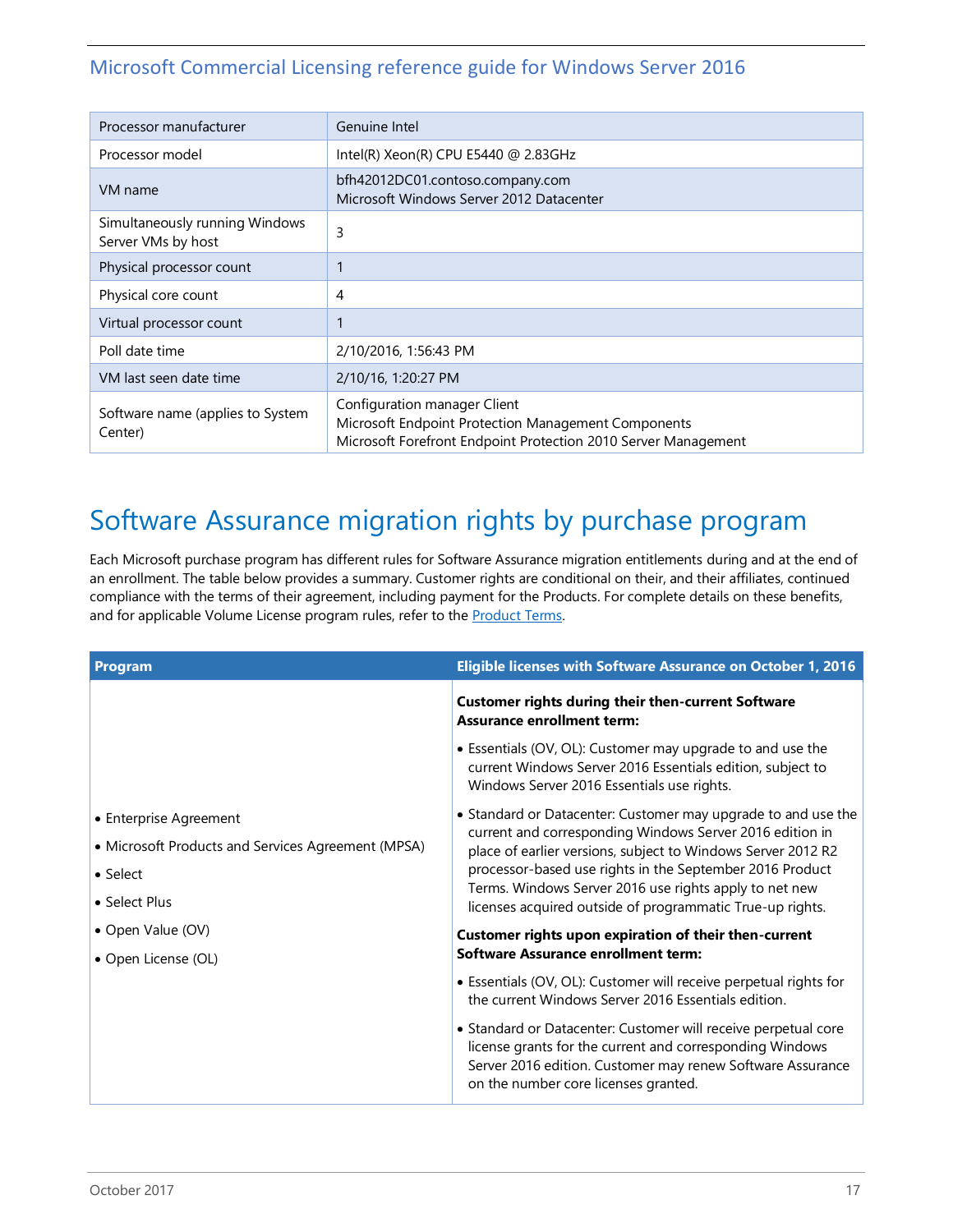| Processor manufacturer                               | Genuine Intel                                                                                                                                         |
|------------------------------------------------------|-------------------------------------------------------------------------------------------------------------------------------------------------------|
| Processor model                                      | Intel(R) Xeon(R) CPU E5440 @ 2.83GHz                                                                                                                  |
| VM name                                              | bfh42012DC01.contoso.company.com<br>Microsoft Windows Server 2012 Datacenter                                                                          |
| Simultaneously running Windows<br>Server VMs by host | 3                                                                                                                                                     |
| Physical processor count                             | 1                                                                                                                                                     |
| Physical core count                                  | 4                                                                                                                                                     |
| Virtual processor count                              | 1                                                                                                                                                     |
| Poll date time                                       | 2/10/2016, 1:56:43 PM                                                                                                                                 |
| VM last seen date time                               | 2/10/16, 1:20:27 PM                                                                                                                                   |
| Software name (applies to System<br>Center)          | Configuration manager Client<br>Microsoft Endpoint Protection Management Components<br>Microsoft Forefront Endpoint Protection 2010 Server Management |

# <span id="page-16-0"></span>Software Assurance migration rights by purchase program

Each Microsoft purchase program has different rules for Software Assurance migration entitlements during and at the end of an enrollment. The table below provides a summary. Customer rights are conditional on their, and their affiliates, continued compliance with the terms of their agreement, including payment for the Products. For complete details on these benefits, and for applicable Volume License program rules, refer to the **Product Terms**.

| Program                                            | Eligible licenses with Software Assurance on October 1, 2016                                                                                                                                                                     |
|----------------------------------------------------|----------------------------------------------------------------------------------------------------------------------------------------------------------------------------------------------------------------------------------|
|                                                    | <b>Customer rights during their then-current Software</b><br><b>Assurance enrollment term:</b>                                                                                                                                   |
|                                                    | • Essentials (OV, OL): Customer may upgrade to and use the<br>current Windows Server 2016 Essentials edition, subject to<br>Windows Server 2016 Essentials use rights.                                                           |
| • Enterprise Agreement                             | • Standard or Datacenter: Customer may upgrade to and use the                                                                                                                                                                    |
| • Microsoft Products and Services Agreement (MPSA) | current and corresponding Windows Server 2016 edition in<br>place of earlier versions, subject to Windows Server 2012 R2                                                                                                         |
| $\bullet$ Select                                   | processor-based use rights in the September 2016 Product<br>Terms. Windows Server 2016 use rights apply to net new                                                                                                               |
| • Select Plus                                      | licenses acquired outside of programmatic True-up rights.                                                                                                                                                                        |
| • Open Value (OV)                                  | <b>Customer rights upon expiration of their then-current</b>                                                                                                                                                                     |
| • Open License (OL)                                | <b>Software Assurance enrollment term:</b>                                                                                                                                                                                       |
|                                                    | • Essentials (OV, OL): Customer will receive perpetual rights for<br>the current Windows Server 2016 Essentials edition.                                                                                                         |
|                                                    | • Standard or Datacenter: Customer will receive perpetual core<br>license grants for the current and corresponding Windows<br>Server 2016 edition. Customer may renew Software Assurance<br>on the number core licenses granted. |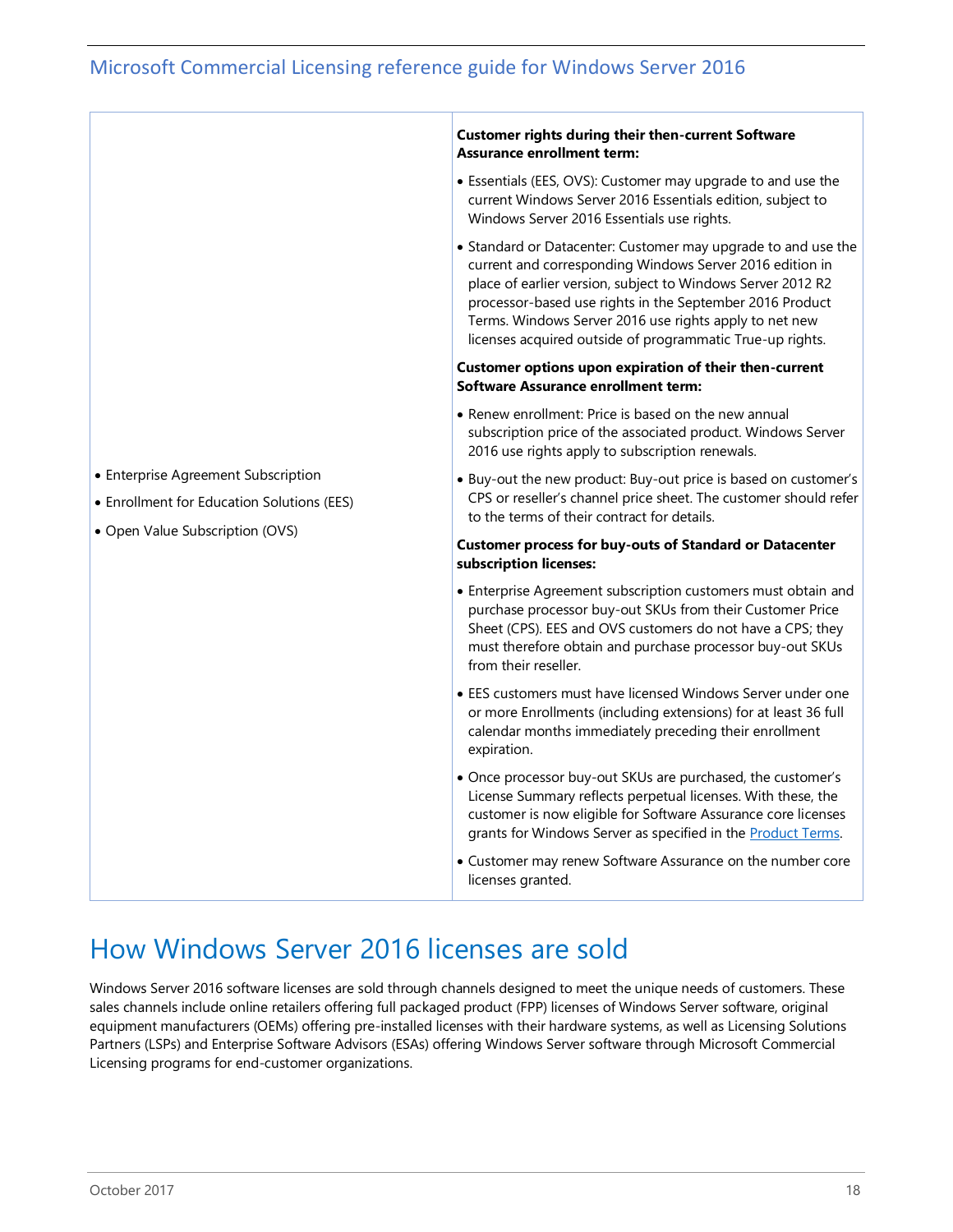- Enterprise Agreement Subscription
- Enrollment for Education Solutions (EES)
- Open Value Subscription (OVS)

#### **Customer rights during their then-current Software Assurance enrollment term:**

- Essentials (EES, OVS): Customer may upgrade to and use the current Windows Server 2016 Essentials edition, subject to Windows Server 2016 Essentials use rights.
- Standard or Datacenter: Customer may upgrade to and use the current and corresponding Windows Server 2016 edition in place of earlier version, subject to Windows Server 2012 R2 processor-based use rights in the September 2016 Product Terms. Windows Server 2016 use rights apply to net new licenses acquired outside of programmatic True-up rights.

#### **Customer options upon expiration of their then-current Software Assurance enrollment term:**

- Renew enrollment: Price is based on the new annual subscription price of the associated product. Windows Server 2016 use rights apply to subscription renewals.
- Buy-out the new product: Buy-out price is based on customer's CPS or reseller's channel price sheet. The customer should refer to the terms of their contract for details.

#### **Customer process for buy-outs of Standard or Datacenter subscription licenses:**

- Enterprise Agreement subscription customers must obtain and purchase processor buy-out SKUs from their Customer Price Sheet (CPS). EES and OVS customers do not have a CPS; they must therefore obtain and purchase processor buy-out SKUs from their reseller.
- EES customers must have licensed Windows Server under one or more Enrollments (including extensions) for at least 36 full calendar months immediately preceding their enrollment expiration.
- Once processor buy-out SKUs are purchased, the customer's License Summary reflects perpetual licenses. With these, the customer is now eligible for Software Assurance core licenses grants for Windows Server as specified in th[e Product Terms.](http://microsoftvolumelicensing.com/DocumentSearch.aspx?Mode=3&DocumentTypeId=53)
- Customer may renew Software Assurance on the number core licenses granted.

## <span id="page-17-0"></span>How Windows Server 2016 licenses are sold

Windows Server 2016 software licenses are sold through channels designed to meet the unique needs of customers. These sales channels include online retailers offering full packaged product (FPP) licenses of Windows Server software, original equipment manufacturers (OEMs) offering pre-installed licenses with their hardware systems, as well as Licensing Solutions Partners (LSPs) and Enterprise Software Advisors (ESAs) offering Windows Server software through Microsoft Commercial Licensing programs for end-customer organizations.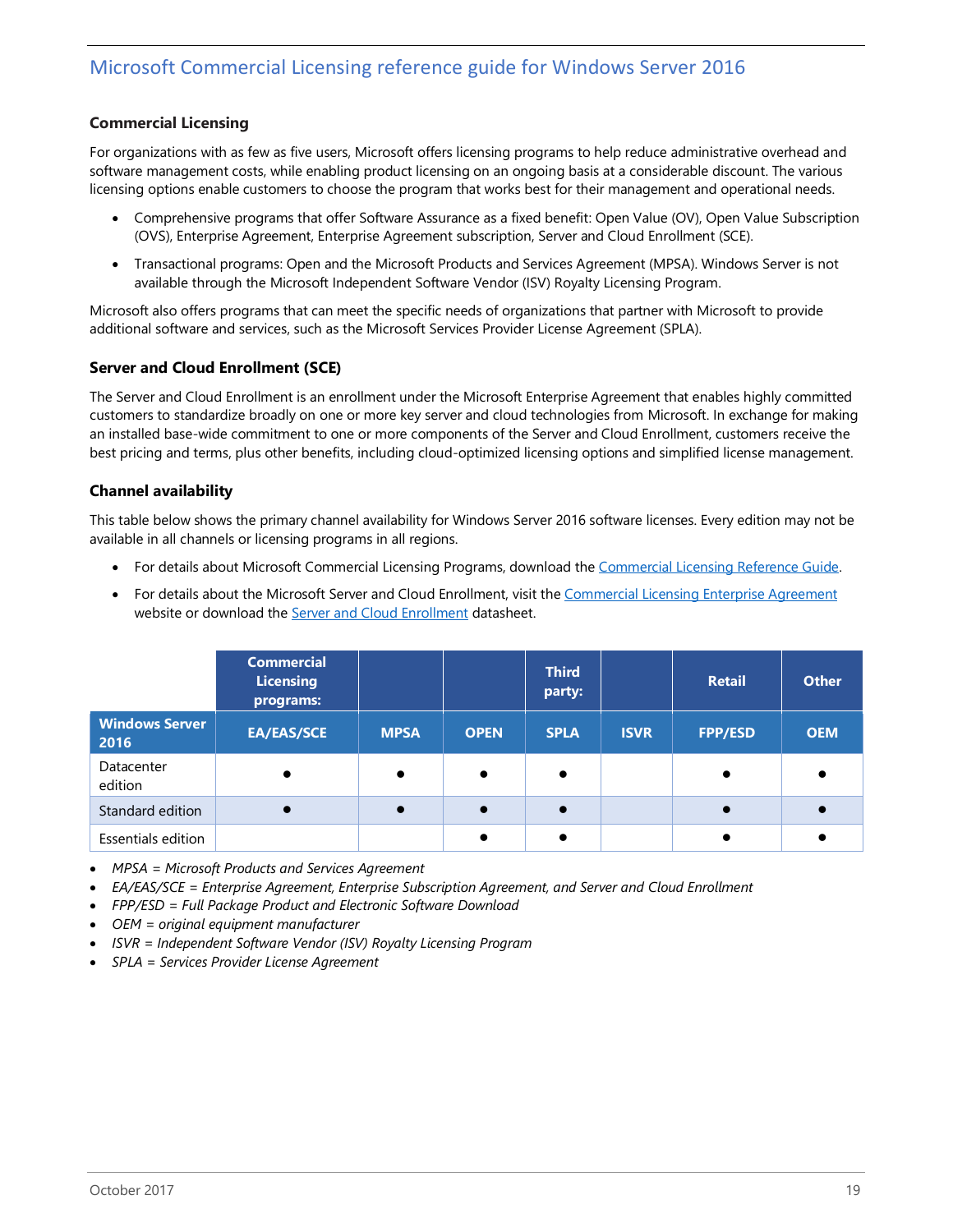### <span id="page-18-0"></span>**Commercial Licensing**

For organizations with as few as five users, Microsoft offers licensing programs to help reduce administrative overhead and software management costs, while enabling product licensing on an ongoing basis at a considerable discount. The various licensing options enable customers to choose the program that works best for their management and operational needs.

- Comprehensive programs that offer Software Assurance as a fixed benefit: Open Value (OV), Open Value Subscription (OVS), Enterprise Agreement, Enterprise Agreement subscription, Server and Cloud Enrollment (SCE).
- Transactional programs: Open and the Microsoft Products and Services Agreement (MPSA). Windows Server is not available through the Microsoft Independent Software Vendor (ISV) Royalty Licensing Program.

Microsoft also offers programs that can meet the specific needs of organizations that partner with Microsoft to provide additional software and services, such as the Microsoft Services Provider License Agreement (SPLA).

#### <span id="page-18-1"></span>**Server and Cloud Enrollment (SCE)**

The Server and Cloud Enrollment is an enrollment under the Microsoft Enterprise Agreement that enables highly committed customers to standardize broadly on one or more key server and cloud technologies from Microsoft. In exchange for making an installed base-wide commitment to one or more components of the Server and Cloud Enrollment, customers receive the best pricing and terms, plus other benefits, including cloud-optimized licensing options and simplified license management.

#### <span id="page-18-2"></span>**Channel availability**

This table below shows the primary channel availability for Windows Server 2016 software licenses. Every edition may not be available in all channels or licensing programs in all regions.

- For details about Microsoft Commercial Licensing Programs, download th[e Commercial Licensing Reference Guide.](http://download.microsoft.com/download/a/7/0/a70853c1-a783-4d48-a7ad-f404abdb1e7d/Microsoft_Volume_Licensing_Reference_Guide.pdf)
- For details about the Microsoft Server and Cloud Enrollment, visit th[e Commercial Licensing Enterprise Agreement](https://www.microsoft.com/en-us/licensing/licensing-programs/enterprise.aspx) website or download the [Server and Cloud Enrollment](http://download.microsoft.com/download/8/9/A/89A3F8B9-94DE-4956-A56E-F6D2B215D0E6/SCE_Datasheet.pdf) datasheet.

|                               | <b>Commercial</b><br><b>Licensing</b><br>programs: |             |             | <b>Third</b><br>party: |             | <b>Retail</b>  | <b>Other</b> |
|-------------------------------|----------------------------------------------------|-------------|-------------|------------------------|-------------|----------------|--------------|
| <b>Windows Server</b><br>2016 | <b>EA/EAS/SCE</b>                                  | <b>MPSA</b> | <b>OPEN</b> | <b>SPLA</b>            | <b>ISVR</b> | <b>FPP/ESD</b> | <b>OEM</b>   |
| Datacenter<br>edition         |                                                    |             | $\bullet$   | $\bullet$              |             | $\bullet$      |              |
| Standard edition              |                                                    |             |             | $\bullet$              |             |                |              |
| Essentials edition            |                                                    |             | ●           | $\bullet$              |             |                |              |

- *MPSA = Microsoft Products and Services Agreement*
- *EA/EAS/SCE = Enterprise Agreement, Enterprise Subscription Agreement, and Server and Cloud Enrollment*
- *FPP/ESD = Full Package Product and Electronic Software Download*
- *OEM = original equipment manufacturer*
- *ISVR = Independent Software Vendor (ISV) Royalty Licensing Program*
- *SPLA = Services Provider License Agreement*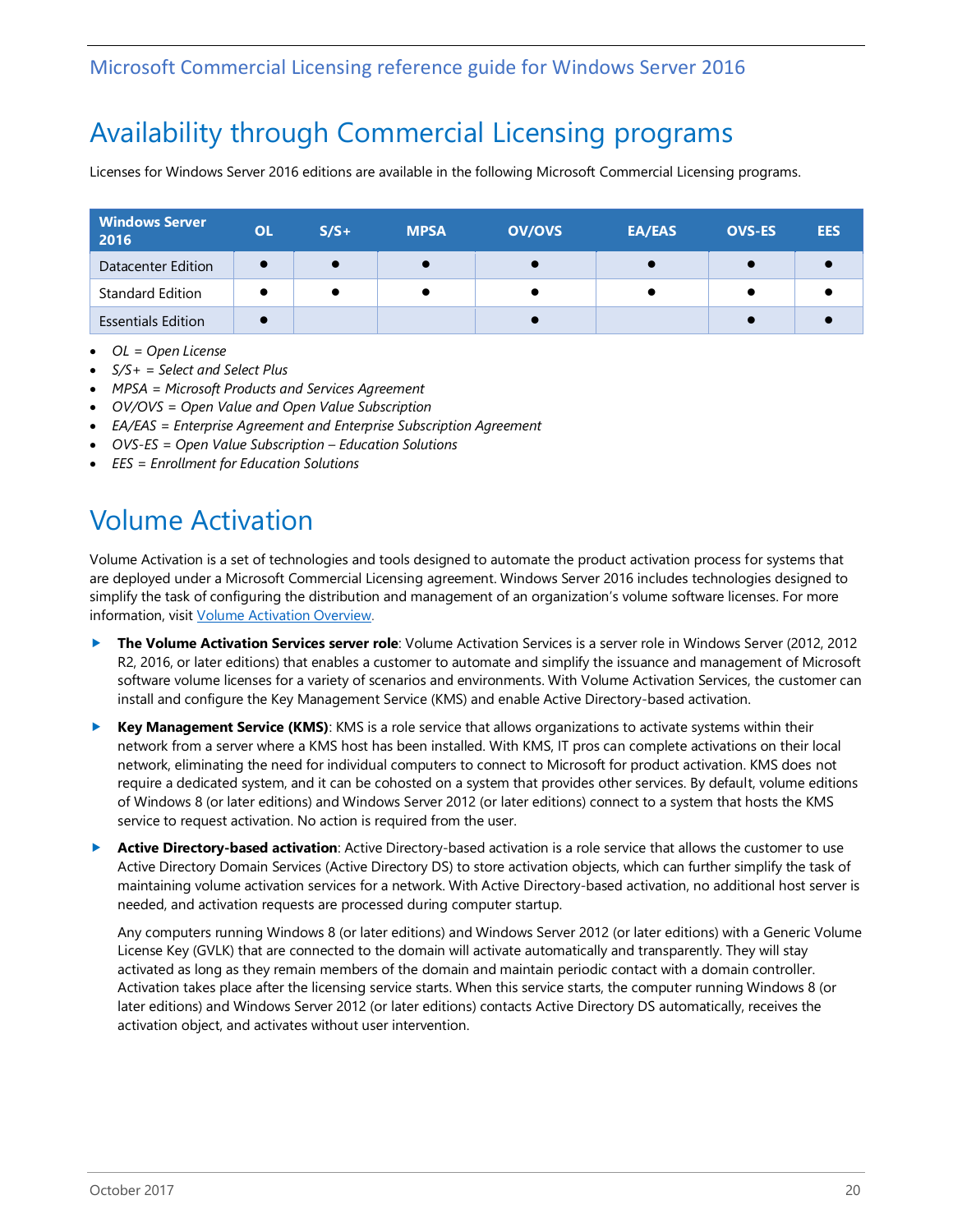# <span id="page-19-0"></span>Availability through Commercial Licensing programs

Licenses for Windows Server 2016 editions are available in the following Microsoft Commercial Licensing programs.

| <b>Windows Server</b><br>2016 | <b>OL</b> | $S/S+$    | <b>MPSA</b> | <b>OV/OVS</b> | <b>EA/EAS</b> | <b>OVS-ES</b> | <b>EES</b> |
|-------------------------------|-----------|-----------|-------------|---------------|---------------|---------------|------------|
| Datacenter Edition            |           | $\bullet$ | $\bullet$   |               |               |               |            |
| <b>Standard Edition</b>       |           | $\bullet$ | $\bullet$   |               |               |               |            |
| <b>Essentials Edition</b>     |           |           |             |               |               |               |            |

- *OL = Open License*
- *S/S+ = Select and Select Plus*
- *MPSA = Microsoft Products and Services Agreement*
- *OV/OVS = Open Value and Open Value Subscription*
- *EA/EAS = Enterprise Agreement and Enterprise Subscription Agreement*
- *OVS-ES = Open Value Subscription – Education Solutions*
- <span id="page-19-1"></span>• *EES = Enrollment for Education Solutions*

# Volume Activation

Volume Activation is a set of technologies and tools designed to automate the product activation process for systems that are deployed under a Microsoft Commercial Licensing agreement. Windows Server 2016 includes technologies designed to simplify the task of configuring the distribution and management of an organization's volume software licenses. For more information, visit [Volume Activation Overview.](http://technet.microsoft.com/en-us/library/hh831612.aspx) 

- **The Volume Activation Services server role**: Volume Activation Services is a server role in Windows Server (2012, 2012 R2, 2016, or later editions) that enables a customer to automate and simplify the issuance and management of Microsoft software volume licenses for a variety of scenarios and environments. With Volume Activation Services, the customer can install and configure the Key Management Service (KMS) and enable Active Directory-based activation.
- **Key Management Service (KMS)**: KMS is a role service that allows organizations to activate systems within their network from a server where a KMS host has been installed. With KMS, IT pros can complete activations on their local network, eliminating the need for individual computers to connect to Microsoft for product activation. KMS does not require a dedicated system, and it can be cohosted on a system that provides other services. By default, volume editions of Windows 8 (or later editions) and Windows Server 2012 (or later editions) connect to a system that hosts the KMS service to request activation. No action is required from the user.
- **Active Directory-based activation**: Active Directory-based activation is a role service that allows the customer to use Active Directory Domain Services (Active Directory DS) to store activation objects, which can further simplify the task of maintaining volume activation services for a network. With Active Directory-based activation, no additional host server is needed, and activation requests are processed during computer startup.

Any computers running Windows 8 (or later editions) and Windows Server 2012 (or later editions) with a Generic Volume License Key (GVLK) that are connected to the domain will activate automatically and transparently. They will stay activated as long as they remain members of the domain and maintain periodic contact with a domain controller. Activation takes place after the licensing service starts. When this service starts, the computer running Windows 8 (or later editions) and Windows Server 2012 (or later editions) contacts Active Directory DS automatically, receives the activation object, and activates without user intervention.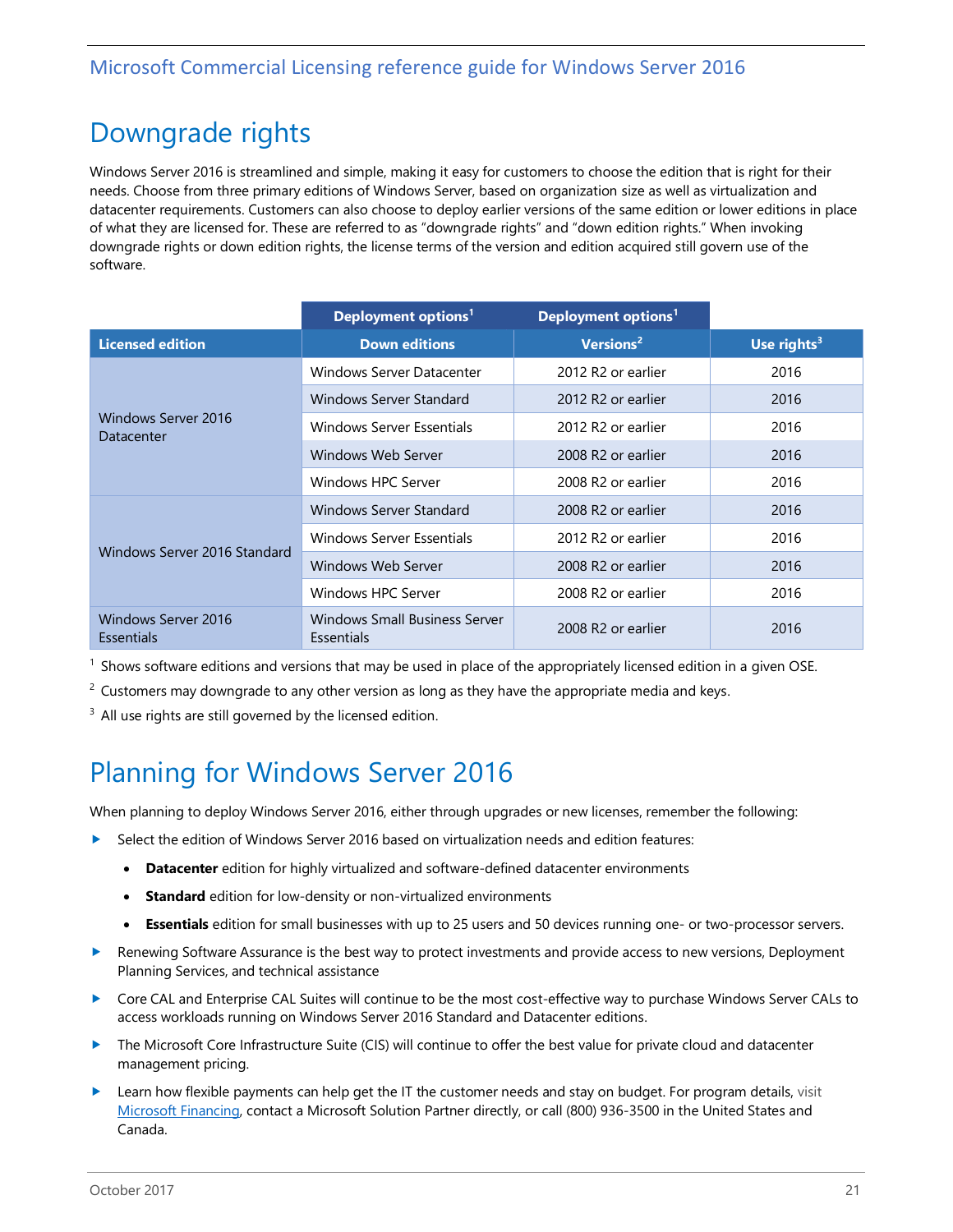# <span id="page-20-0"></span>Downgrade rights

Windows Server 2016 is streamlined and simple, making it easy for customers to choose the edition that is right for their needs. Choose from three primary editions of Windows Server, based on organization size as well as virtualization and datacenter requirements. Customers can also choose to deploy earlier versions of the same edition or lower editions in place of what they are licensed for. These are referred to as "downgrade rights" and "down edition rights." When invoking downgrade rights or down edition rights, the license terms of the version and edition acquired still govern use of the software.

|                                   | Deployment options <sup>1</sup>             | Deployment options <sup>1</sup> |                         |
|-----------------------------------|---------------------------------------------|---------------------------------|-------------------------|
| <b>Licensed edition</b>           | <b>Down editions</b>                        | Versions <sup>2</sup>           | Use rights <sup>3</sup> |
|                                   | Windows Server Datacenter                   | 2012 R2 or earlier              | 2016                    |
|                                   | <b>Windows Server Standard</b>              | 2012 R <sub>2</sub> or earlier  | 2016                    |
| Windows Server 2016<br>Datacenter | <b>Windows Server Essentials</b>            | 2012 R2 or earlier              | 2016                    |
|                                   | Windows Web Server                          | 2008 R2 or earlier              | 2016                    |
|                                   | Windows HPC Server                          | 2008 R2 or earlier              | 2016                    |
|                                   | <b>Windows Server Standard</b>              | 2008 R2 or earlier              | 2016                    |
|                                   | Windows Server Essentials                   | 2012 R2 or earlier              | 2016                    |
| Windows Server 2016 Standard      | Windows Web Server                          | 2008 R2 or earlier              | 2016                    |
|                                   | Windows HPC Server                          | 2008 R2 or earlier              | 2016                    |
| Windows Server 2016<br>Essentials | Windows Small Business Server<br>Essentials | 2008 R2 or earlier              | 2016                    |

 $1$  Shows software editions and versions that may be used in place of the appropriately licensed edition in a given OSE.

 $2 \text{ Customers}$  may downgrade to any other version as long as they have the appropriate media and keys.

<span id="page-20-1"></span> $3$  All use rights are still governed by the licensed edition.

# Planning for Windows Server 2016

When planning to deploy Windows Server 2016, either through upgrades or new licenses, remember the following:

- $\triangleright$  Select the edition of Windows Server 2016 based on virtualization needs and edition features:
	- **Datacenter** edition for highly virtualized and software-defined datacenter environments
	- **Standard** edition for low-density or non-virtualized environments
	- **Essentials** edition for small businesses with up to 25 users and 50 devices running one- or two-processor servers.
- ▶ Renewing Software Assurance is the best way to protect investments and provide access to new versions, Deployment Planning Services, and technical assistance
- ▶ Core CAL and Enterprise CAL Suites will continue to be the most cost-effective way to purchase Windows Server CALs to access workloads running on Windows Server 2016 Standard and Datacenter editions.
- The Microsoft Core Infrastructure Suite (CIS) will continue to offer the best value for private cloud and datacenter management pricing.
- $\blacktriangleright$  Learn how flexible payments can help get the IT the customer needs and stay on budget. For program details, visit [Microsoft Financing,](https://www.microsoft.com/en-us/licensing/how-to-buy/financing.aspx) contact a Microsoft Solution Partner directly, or call (800) 936-3500 in the United States and Canada.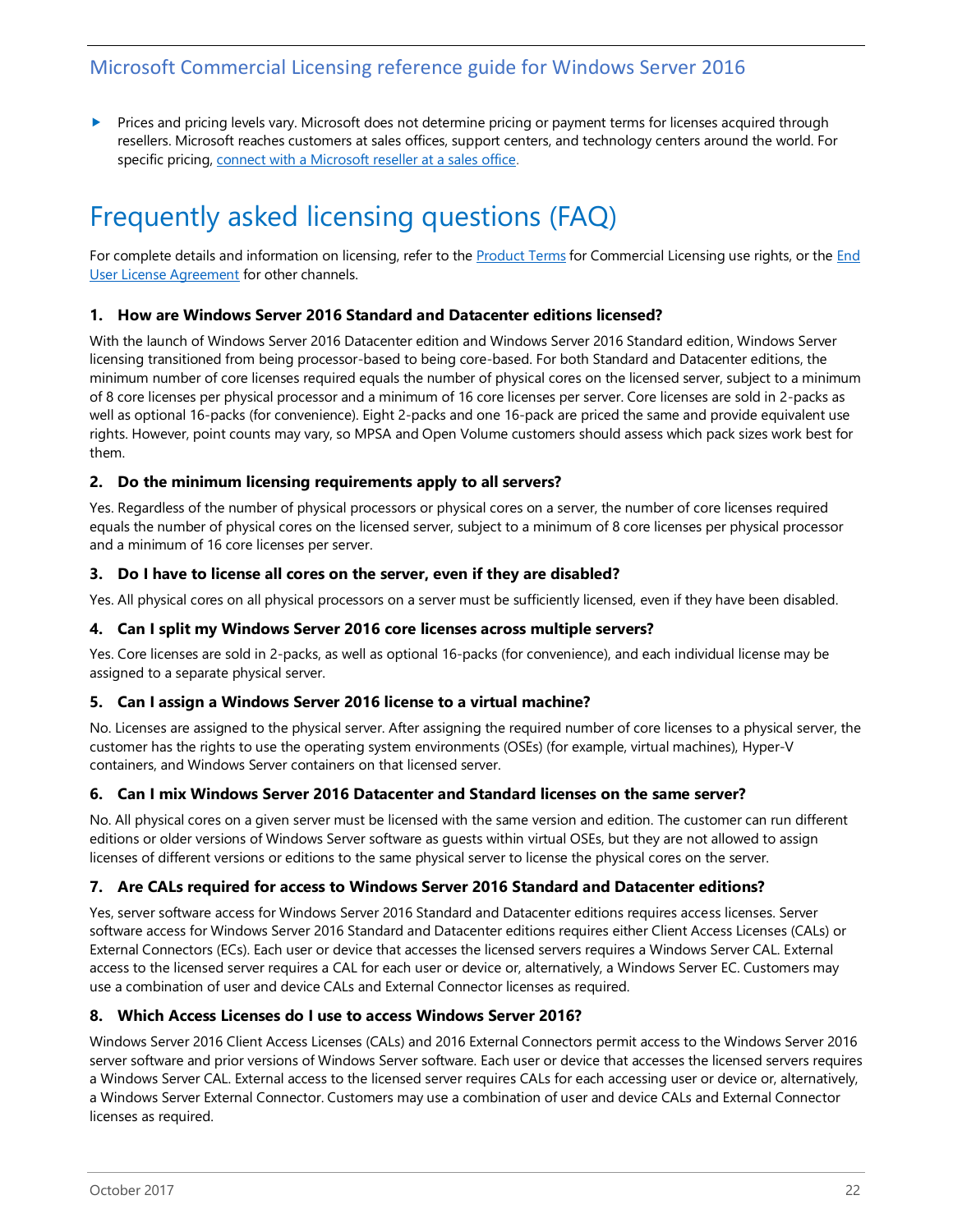Prices and pricing levels vary. Microsoft does not determine pricing or payment terms for licenses acquired through resellers. Microsoft reaches customers at sales offices, support centers, and technology centers around the world. For specific pricing, [connect with a Microsoft reseller at a sales office.](https://www.microsoft.com/en-us/WorldWide.aspx) 

# <span id="page-21-0"></span>Frequently asked licensing questions (FAQ)

For complete details and information on licensing, refer to the **[Product Terms](https://www.microsoft.com/en-us/licensing/product-licensing/products.aspx#PT)** for Commercial Licensing use rights, or the *End* [User License Agreement](http://www.microsoft.com/en-us/legal/intellectualproperty/UseTerms/default.aspx) for other channels.

#### **1. How are Windows Server 2016 Standard and Datacenter editions licensed?**

With the launch of Windows Server 2016 Datacenter edition and Windows Server 2016 Standard edition, Windows Server licensing transitioned from being processor-based to being core-based. For both Standard and Datacenter editions, the minimum number of core licenses required equals the number of physical cores on the licensed server, subject to a minimum of 8 core licenses per physical processor and a minimum of 16 core licenses per server. Core licenses are sold in 2-packs as well as optional 16-packs (for convenience). Eight 2-packs and one 16-pack are priced the same and provide equivalent use rights. However, point counts may vary, so MPSA and Open Volume customers should assess which pack sizes work best for them.

#### **2. Do the minimum licensing requirements apply to all servers?**

Yes. Regardless of the number of physical processors or physical cores on a server, the number of core licenses required equals the number of physical cores on the licensed server, subject to a minimum of 8 core licenses per physical processor and a minimum of 16 core licenses per server.

#### **3. Do I have to license all cores on the server, even if they are disabled?**

Yes. All physical cores on all physical processors on a server must be sufficiently licensed, even if they have been disabled.

#### **4. Can I split my Windows Server 2016 core licenses across multiple servers?**

Yes. Core licenses are sold in 2-packs, as well as optional 16-packs (for convenience), and each individual license may be assigned to a separate physical server.

#### **5. Can I assign a Windows Server 2016 license to a virtual machine?**

No. Licenses are assigned to the physical server. After assigning the required number of core licenses to a physical server, the customer has the rights to use the operating system environments (OSEs) (for example, virtual machines), Hyper-V containers, and Windows Server containers on that licensed server.

#### **6. Can I mix Windows Server 2016 Datacenter and Standard licenses on the same server?**

No. All physical cores on a given server must be licensed with the same version and edition. The customer can run different editions or older versions of Windows Server software as guests within virtual OSEs, but they are not allowed to assign licenses of different versions or editions to the same physical server to license the physical cores on the server.

### **7. Are CALs required for access to Windows Server 2016 Standard and Datacenter editions?**

Yes, server software access for Windows Server 2016 Standard and Datacenter editions requires access licenses. Server software access for Windows Server 2016 Standard and Datacenter editions requires either Client Access Licenses (CALs) or External Connectors (ECs). Each user or device that accesses the licensed servers requires a Windows Server CAL. External access to the licensed server requires a CAL for each user or device or, alternatively, a Windows Server EC. Customers may use a combination of user and device CALs and External Connector licenses as required.

### **8. Which Access Licenses do I use to access Windows Server 2016?**

Windows Server 2016 Client Access Licenses (CALs) and 2016 External Connectors permit access to the Windows Server 2016 server software and prior versions of Windows Server software. Each user or device that accesses the licensed servers requires a Windows Server CAL. External access to the licensed server requires CALs for each accessing user or device or, alternatively, a Windows Server External Connector. Customers may use a combination of user and device CALs and External Connector licenses as required.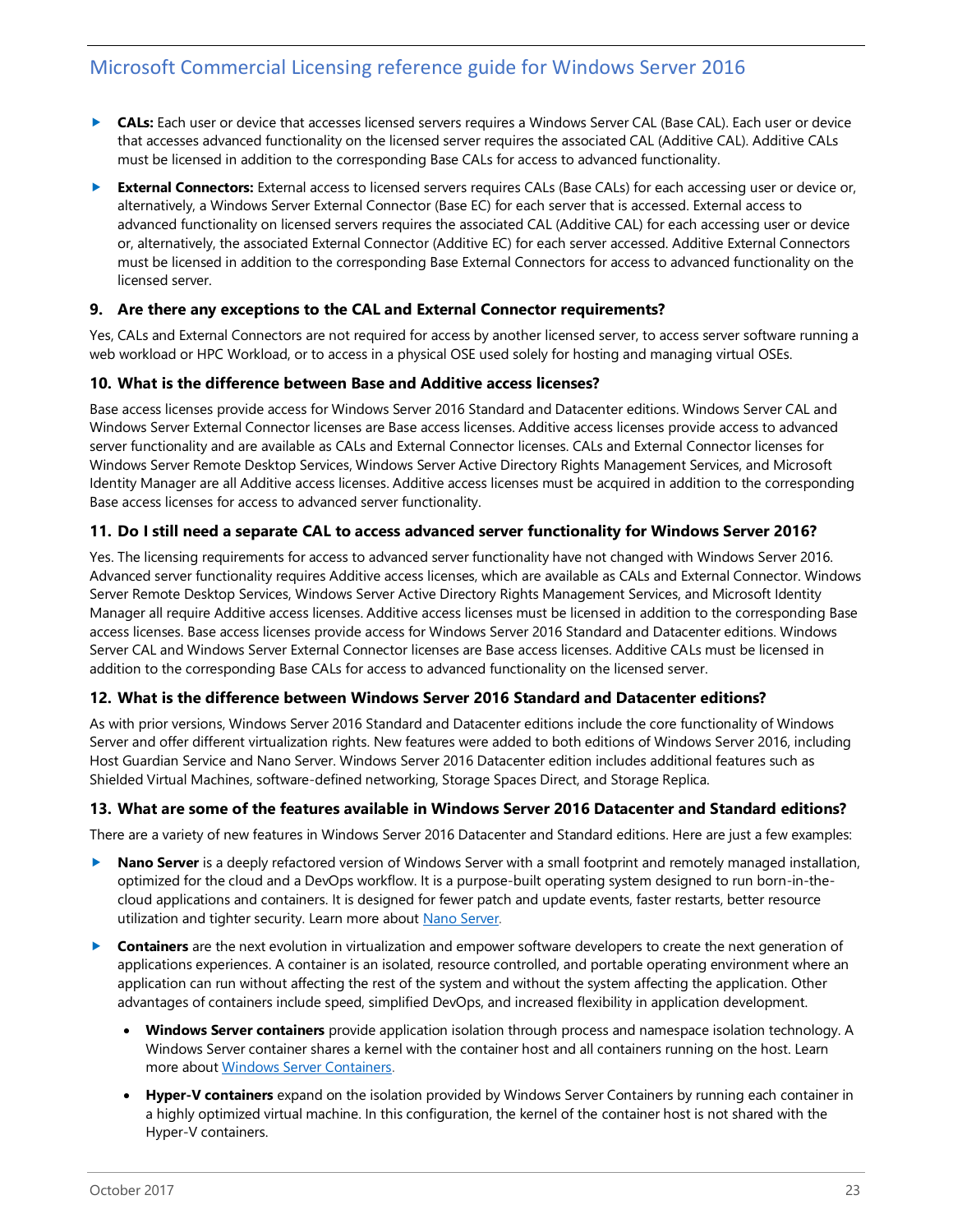- ▶ CALs: Each user or device that accesses licensed servers requires a Windows Server CAL (Base CAL). Each user or device that accesses advanced functionality on the licensed server requires the associated CAL (Additive CAL). Additive CALs must be licensed in addition to the corresponding Base CALs for access to advanced functionality.
- **External Connectors:** External access to licensed servers requires CALs (Base CALs) for each accessing user or device or, alternatively, a Windows Server External Connector (Base EC) for each server that is accessed. External access to advanced functionality on licensed servers requires the associated CAL (Additive CAL) for each accessing user or device or, alternatively, the associated External Connector (Additive EC) for each server accessed. Additive External Connectors must be licensed in addition to the corresponding Base External Connectors for access to advanced functionality on the licensed server.

#### **9. Are there any exceptions to the CAL and External Connector requirements?**

Yes, CALs and External Connectors are not required for access by another licensed server, to access server software running a web workload or HPC Workload, or to access in a physical OSE used solely for hosting and managing virtual OSEs.

#### **10. What is the difference between Base and Additive access licenses?**

Base access licenses provide access for Windows Server 2016 Standard and Datacenter editions. Windows Server CAL and Windows Server External Connector licenses are Base access licenses. Additive access licenses provide access to advanced server functionality and are available as CALs and External Connector licenses. CALs and External Connector licenses for Windows Server Remote Desktop Services, Windows Server Active Directory Rights Management Services, and Microsoft Identity Manager are all Additive access licenses. Additive access licenses must be acquired in addition to the corresponding Base access licenses for access to advanced server functionality.

### **11. Do I still need a separate CAL to access advanced server functionality for Windows Server 2016?**

Yes. The licensing requirements for access to advanced server functionality have not changed with Windows Server 2016. Advanced server functionality requires Additive access licenses, which are available as CALs and External Connector. Windows Server Remote Desktop Services, Windows Server Active Directory Rights Management Services, and Microsoft Identity Manager all require Additive access licenses. Additive access licenses must be licensed in addition to the corresponding Base access licenses. Base access licenses provide access for Windows Server 2016 Standard and Datacenter editions. Windows Server CAL and Windows Server External Connector licenses are Base access licenses. Additive CALs must be licensed in addition to the corresponding Base CALs for access to advanced functionality on the licensed server.

### **12. What is the difference between Windows Server 2016 Standard and Datacenter editions?**

As with prior versions, Windows Server 2016 Standard and Datacenter editions include the core functionality of Windows Server and offer different virtualization rights. New features were added to both editions of Windows Server 2016, including Host Guardian Service and Nano Server. Windows Server 2016 Datacenter edition includes additional features such as Shielded Virtual Machines, software-defined networking, Storage Spaces Direct, and Storage Replica.

### **13. What are some of the features available in Windows Server 2016 Datacenter and Standard editions?**

There are a variety of new features in Windows Server 2016 Datacenter and Standard editions. Here are just a few examples:

- **Nano Server** is a deeply refactored version of Windows Server with a small footprint and remotely managed installation, optimized for the cloud and a DevOps workflow. It is a purpose-built operating system designed to run born-in-thecloud applications and containers. It is designed for fewer patch and update events, faster restarts, better resource utilization and tighter security. Learn more abou[t Nano Server.](https://technet.microsoft.com/en-us/windows-server-docs/get-started/getting-started-with-nano-server)
- **Containers** are the next evolution in virtualization and empower software developers to create the next generation of applications experiences. A container is an isolated, resource controlled, and portable operating environment where an application can run without affecting the rest of the system and without the system affecting the application. Other advantages of containers include speed, simplified DevOps, and increased flexibility in application development.
	- **Windows Server containers** provide application isolation through process and namespace isolation technology. A Windows Server container shares a kernel with the container host and all containers running on the host. Learn more about [Windows Server Containers.](https://msdn.microsoft.com/en-us/virtualization/windowscontainers/about/about_overview)
	- **Hyper-V containers** expand on the isolation provided by Windows Server Containers by running each container in a highly optimized virtual machine. In this configuration, the kernel of the container host is not shared with the Hyper-V containers.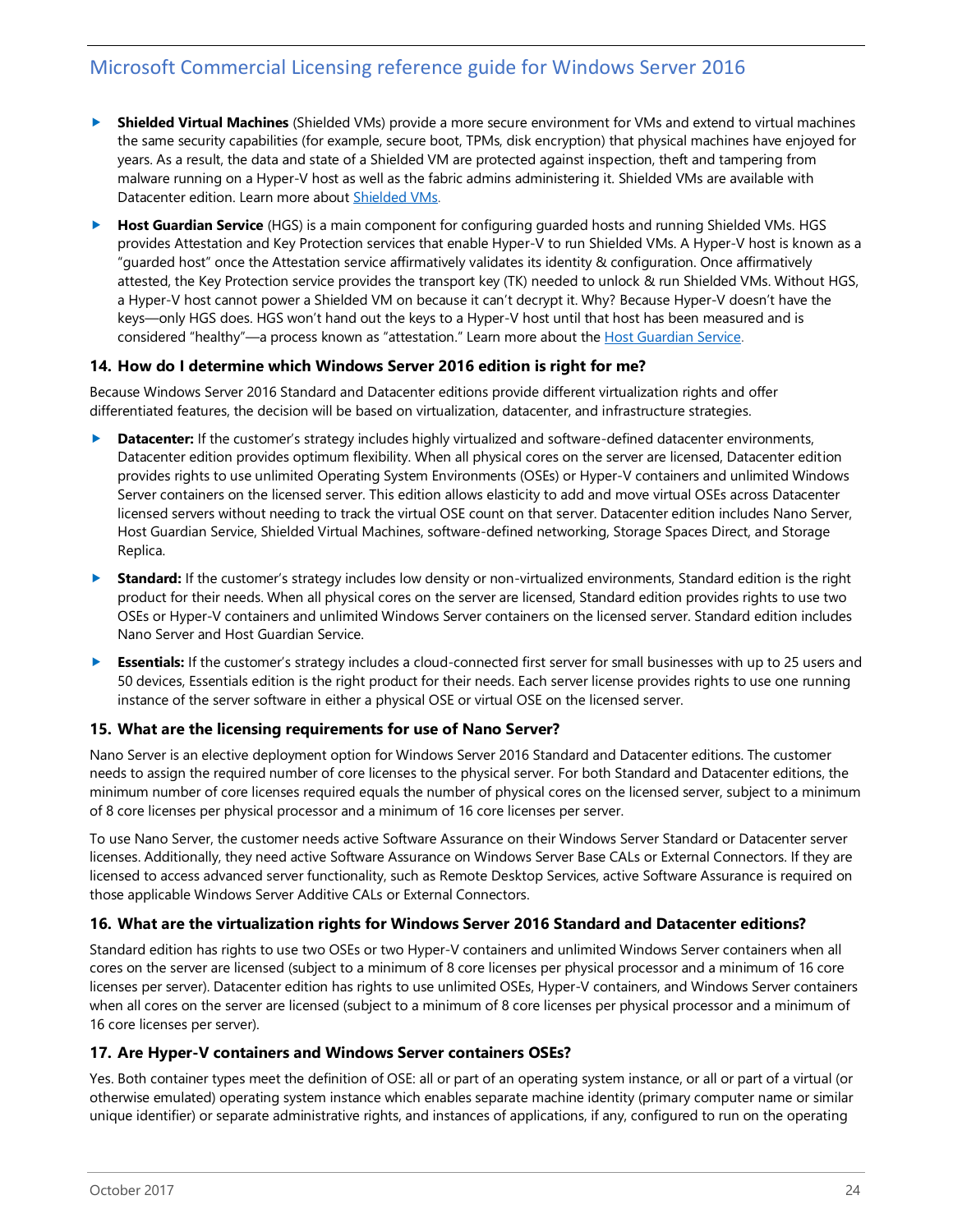- **Shielded Virtual Machines** (Shielded VMs) provide a more secure environment for VMs and extend to virtual machines the same security capabilities (for example, secure boot, TPMs, disk encryption) that physical machines have enjoyed for years. As a result, the data and state of a Shielded VM are protected against inspection, theft and tampering from malware running on a Hyper-V host as well as the fabric admins administering it. Shielded VMs are available with Datacenter edition. Learn more about [Shielded VMs.](https://blogs.technet.microsoft.com/datacentersecurity/2016/03/14/windows-server-2016-shielded-vms-protecting-tenant-secrets/)
- **Host Guardian Service** (HGS) is a main component for configuring guarded hosts and running Shielded VMs. HGS provides Attestation and Key Protection services that enable Hyper-V to run Shielded VMs. A Hyper-V host is known as a "guarded host" once the Attestation service affirmatively validates its identity & configuration. Once affirmatively attested, the Key Protection service provides the transport key (TK) needed to unlock & run Shielded VMs. Without HGS, a Hyper-V host cannot power a Shielded VM on because it can't decrypt it. Why? Because Hyper-V doesn't have the keys—only HGS does. HGS won't hand out the keys to a Hyper-V host until that host has been measured and is considered "healthy"—a process known as "attestation." Learn more about the [Host Guardian Service.](https://blogs.technet.microsoft.com/datacentersecurity/2016/03/16/windows-server-2016-and-host-guardian-service-for-shielded-vms/)

#### **14. How do I determine which Windows Server 2016 edition is right for me?**

Because Windows Server 2016 Standard and Datacenter editions provide different virtualization rights and offer differentiated features, the decision will be based on virtualization, datacenter, and infrastructure strategies.

- **Datacenter:** If the customer's strategy includes highly virtualized and software-defined datacenter environments, Datacenter edition provides optimum flexibility. When all physical cores on the server are licensed, Datacenter edition provides rights to use unlimited Operating System Environments (OSEs) or Hyper-V containers and unlimited Windows Server containers on the licensed server. This edition allows elasticity to add and move virtual OSEs across Datacenter licensed servers without needing to track the virtual OSE count on that server. Datacenter edition includes Nano Server, Host Guardian Service, Shielded Virtual Machines, software-defined networking, Storage Spaces Direct, and Storage Replica.
- ▶ **Standard:** If the customer's strategy includes low density or non-virtualized environments, Standard edition is the right product for their needs. When all physical cores on the server are licensed, Standard edition provides rights to use two OSEs or Hyper-V containers and unlimited Windows Server containers on the licensed server. Standard edition includes Nano Server and Host Guardian Service.
- **Essentials:** If the customer's strategy includes a cloud-connected first server for small businesses with up to 25 users and 50 devices, Essentials edition is the right product for their needs. Each server license provides rights to use one running instance of the server software in either a physical OSE or virtual OSE on the licensed server.

### **15. What are the licensing requirements for use of Nano Server?**

Nano Server is an elective deployment option for Windows Server 2016 Standard and Datacenter editions. The customer needs to assign the required number of core licenses to the physical server. For both Standard and Datacenter editions, the minimum number of core licenses required equals the number of physical cores on the licensed server, subject to a minimum of 8 core licenses per physical processor and a minimum of 16 core licenses per server.

To use Nano Server, the customer needs active Software Assurance on their Windows Server Standard or Datacenter server licenses. Additionally, they need active Software Assurance on Windows Server Base CALs or External Connectors. If they are licensed to access advanced server functionality, such as Remote Desktop Services, active Software Assurance is required on those applicable Windows Server Additive CALs or External Connectors.

#### **16. What are the virtualization rights for Windows Server 2016 Standard and Datacenter editions?**

Standard edition has rights to use two OSEs or two Hyper-V containers and unlimited Windows Server containers when all cores on the server are licensed (subject to a minimum of 8 core licenses per physical processor and a minimum of 16 core licenses per server). Datacenter edition has rights to use unlimited OSEs, Hyper-V containers, and Windows Server containers when all cores on the server are licensed (subject to a minimum of 8 core licenses per physical processor and a minimum of 16 core licenses per server).

#### **17. Are Hyper-V containers and Windows Server containers OSEs?**

Yes. Both container types meet the definition of OSE: all or part of an operating system instance, or all or part of a virtual (or otherwise emulated) operating system instance which enables separate machine identity (primary computer name or similar unique identifier) or separate administrative rights, and instances of applications, if any, configured to run on the operating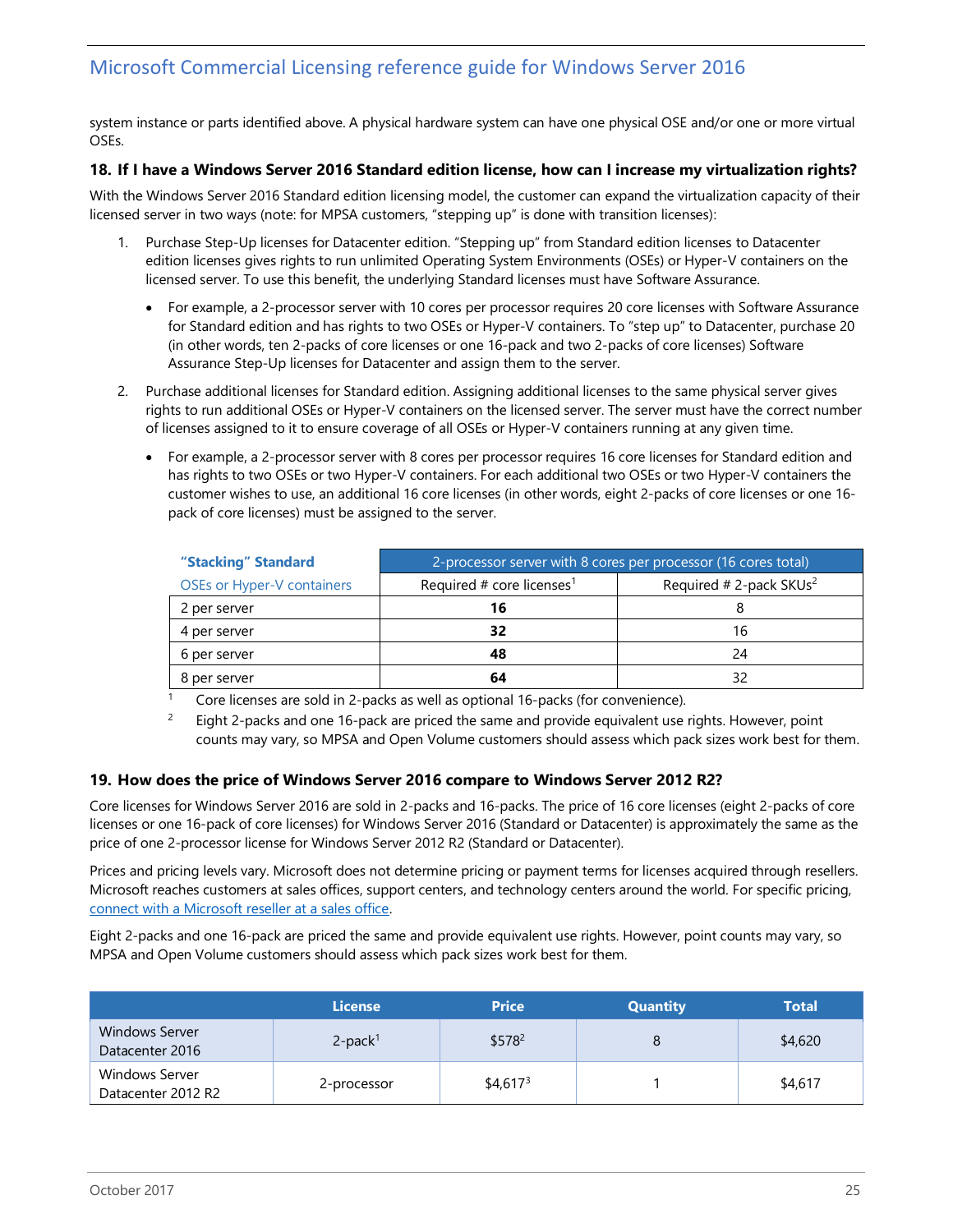system instance or parts identified above. A physical hardware system can have one physical OSE and/or one or more virtual OSEs.

#### **18. If I have a Windows Server 2016 Standard edition license, how can I increase my virtualization rights?**

With the Windows Server 2016 Standard edition licensing model, the customer can expand the virtualization capacity of their licensed server in two ways (note: for MPSA customers, "stepping up" is done with transition licenses):

- 1. Purchase Step-Up licenses for Datacenter edition. "Stepping up" from Standard edition licenses to Datacenter edition licenses gives rights to run unlimited Operating System Environments (OSEs) or Hyper-V containers on the licensed server. To use this benefit, the underlying Standard licenses must have Software Assurance.
	- For example, a 2-processor server with 10 cores per processor requires 20 core licenses with Software Assurance for Standard edition and has rights to two OSEs or Hyper-V containers. To "step up" to Datacenter, purchase 20 (in other words, ten 2-packs of core licenses or one 16-pack and two 2-packs of core licenses) Software Assurance Step-Up licenses for Datacenter and assign them to the server.
- 2. Purchase additional licenses for Standard edition. Assigning additional licenses to the same physical server gives rights to run additional OSEs or Hyper-V containers on the licensed server. The server must have the correct number of licenses assigned to it to ensure coverage of all OSEs or Hyper-V containers running at any given time.
	- For example, a 2-processor server with 8 cores per processor requires 16 core licenses for Standard edition and has rights to two OSEs or two Hyper-V containers. For each additional two OSEs or two Hyper-V containers the customer wishes to use, an additional 16 core licenses (in other words, eight 2-packs of core licenses or one 16 pack of core licenses) must be assigned to the server.

| "Stacking" Standard               | 2-processor server with 8 cores per processor (16 cores total) |                                     |  |  |  |  |
|-----------------------------------|----------------------------------------------------------------|-------------------------------------|--|--|--|--|
| <b>OSEs or Hyper-V containers</b> | Required # core licenses <sup>1</sup>                          | Required # 2-pack SKUs <sup>2</sup> |  |  |  |  |
| 2 per server                      | 16                                                             |                                     |  |  |  |  |
| 4 per server                      | 32                                                             | 16                                  |  |  |  |  |
| 6 per server                      | 48                                                             | 24                                  |  |  |  |  |
| 8 per server                      | 64                                                             |                                     |  |  |  |  |

Core licenses are sold in 2-packs as well as optional 16-packs (for convenience).

2 Eight 2-packs and one 16-pack are priced the same and provide equivalent use rights. However, point counts may vary, so MPSA and Open Volume customers should assess which pack sizes work best for them.

### **19. How does the price of Windows Server 2016 compare to Windows Server 2012 R2?**

Core licenses for Windows Server 2016 are sold in 2-packs and 16-packs. The price of 16 core licenses (eight 2-packs of core licenses or one 16-pack of core licenses) for Windows Server 2016 (Standard or Datacenter) is approximately the same as the price of one 2-processor license for Windows Server 2012 R2 (Standard or Datacenter).

Prices and pricing levels vary. Microsoft does not determine pricing or payment terms for licenses acquired through resellers. Microsoft reaches customers at sales offices, support centers, and technology centers around the world. For specific pricing, [connect with a Microsoft reseller at a sales office.](https://www.microsoft.com/en-us/WorldWide.aspx)

Eight 2-packs and one 16-pack are priced the same and provide equivalent use rights. However, point counts may vary, so MPSA and Open Volume customers should assess which pack sizes work best for them.

|                                             | <b>License</b>         | <b>Price</b> | <b>Quantity</b> | <b>Total</b> |
|---------------------------------------------|------------------------|--------------|-----------------|--------------|
| Windows Server<br>Datacenter 2016           | $2$ -pack <sup>1</sup> | $$578^2$     |                 | \$4,620      |
| <b>Windows Server</b><br>Datacenter 2012 R2 | 2-processor            | $$4,617^3$   |                 | \$4,617      |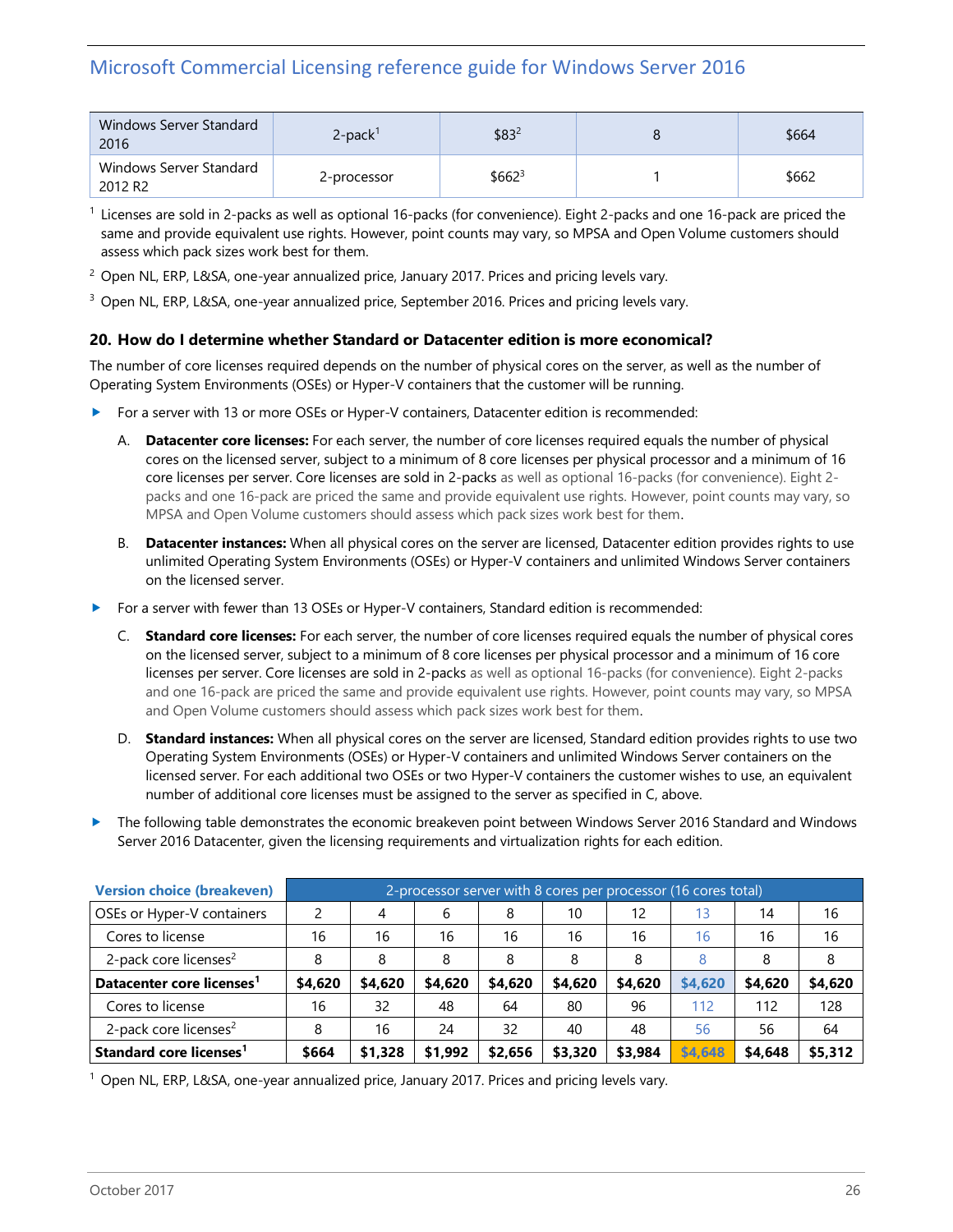| Windows Server Standard<br>2016                | $2$ -pack $1$ | \$832    | \$664 |
|------------------------------------------------|---------------|----------|-------|
| Windows Server Standard<br>2012 R <sub>2</sub> | 2-processor   | $$662^3$ | \$662 |

1 Licenses are sold in 2-packs as well as optional 16-packs (for convenience). Eight 2-packs and one 16-pack are priced the same and provide equivalent use rights. However, point counts may vary, so MPSA and Open Volume customers should assess which pack sizes work best for them.

<sup>2</sup> Open NL, ERP, L&SA, one-year annualized price, January 2017. Prices and pricing levels vary.

<sup>3</sup> Open NL, ERP, L&SA, one-year annualized price, September 2016. Prices and pricing levels vary.

#### **20. How do I determine whether Standard or Datacenter edition is more economical?**

The number of core licenses required depends on the number of physical cores on the server, as well as the number of Operating System Environments (OSEs) or Hyper-V containers that the customer will be running.

- **For a server with 13 or more OSEs or Hyper-V containers, Datacenter edition is recommended:** 
	- A. **Datacenter core licenses:** For each server, the number of core licenses required equals the number of physical cores on the licensed server, subject to a minimum of 8 core licenses per physical processor and a minimum of 16 core licenses per server. Core licenses are sold in 2-packs as well as optional 16-packs (for convenience). Eight 2 packs and one 16-pack are priced the same and provide equivalent use rights. However, point counts may vary, so MPSA and Open Volume customers should assess which pack sizes work best for them.
	- B. **Datacenter instances:** When all physical cores on the server are licensed, Datacenter edition provides rights to use unlimited Operating System Environments (OSEs) or Hyper-V containers and unlimited Windows Server containers on the licensed server.
- For a server with fewer than 13 OSEs or Hyper-V containers, Standard edition is recommended:
	- C. **Standard core licenses:** For each server, the number of core licenses required equals the number of physical cores on the licensed server, subject to a minimum of 8 core licenses per physical processor and a minimum of 16 core licenses per server. Core licenses are sold in 2-packs as well as optional 16-packs (for convenience). Eight 2-packs and one 16-pack are priced the same and provide equivalent use rights. However, point counts may vary, so MPSA and Open Volume customers should assess which pack sizes work best for them.
	- D. **Standard instances:** When all physical cores on the server are licensed, Standard edition provides rights to use two Operating System Environments (OSEs) or Hyper-V containers and unlimited Windows Server containers on the licensed server. For each additional two OSEs or two Hyper-V containers the customer wishes to use, an equivalent number of additional core licenses must be assigned to the server as specified in C, above.
- The following table demonstrates the economic breakeven point between Windows Server 2016 Standard and Windows Server 2016 Datacenter, given the licensing requirements and virtualization rights for each edition.

| <b>Version choice (breakeven)</b>     |         | 2-processor server with 8 cores per processor (16 cores total) |         |         |         |         |         |         |         |
|---------------------------------------|---------|----------------------------------------------------------------|---------|---------|---------|---------|---------|---------|---------|
| OSEs or Hyper-V containers            | 2       | 4                                                              | 6       | 8       | 10      | 12      | 13      | 14      | 16      |
| Cores to license                      | 16      | 16                                                             | 16      | 16      | 16      | 16      | 16      | 16      | 16      |
| 2-pack core licenses <sup>2</sup>     | 8       | 8                                                              | 8       | 8       | 8       | 8       | 8       | 8       | 8       |
| Datacenter core licenses <sup>1</sup> | \$4,620 | \$4,620                                                        | \$4,620 | \$4,620 | \$4,620 | \$4,620 | \$4,620 | \$4,620 | \$4,620 |
| Cores to license                      | 16      | 32                                                             | 48      | 64      | 80      | 96      | 112     | 112     | 128     |
| 2-pack core licenses <sup>2</sup>     | 8       | 16                                                             | 24      | 32      | 40      | 48      | 56      | 56      | 64      |
| Standard core licenses <sup>1</sup>   | \$664   | \$1,328                                                        | \$1,992 | \$2,656 | \$3,320 | \$3,984 | \$4,648 | \$4.648 | \$5,312 |

<sup>1</sup> Open NL, ERP, L&SA, one-year annualized price, January 2017. Prices and pricing levels vary.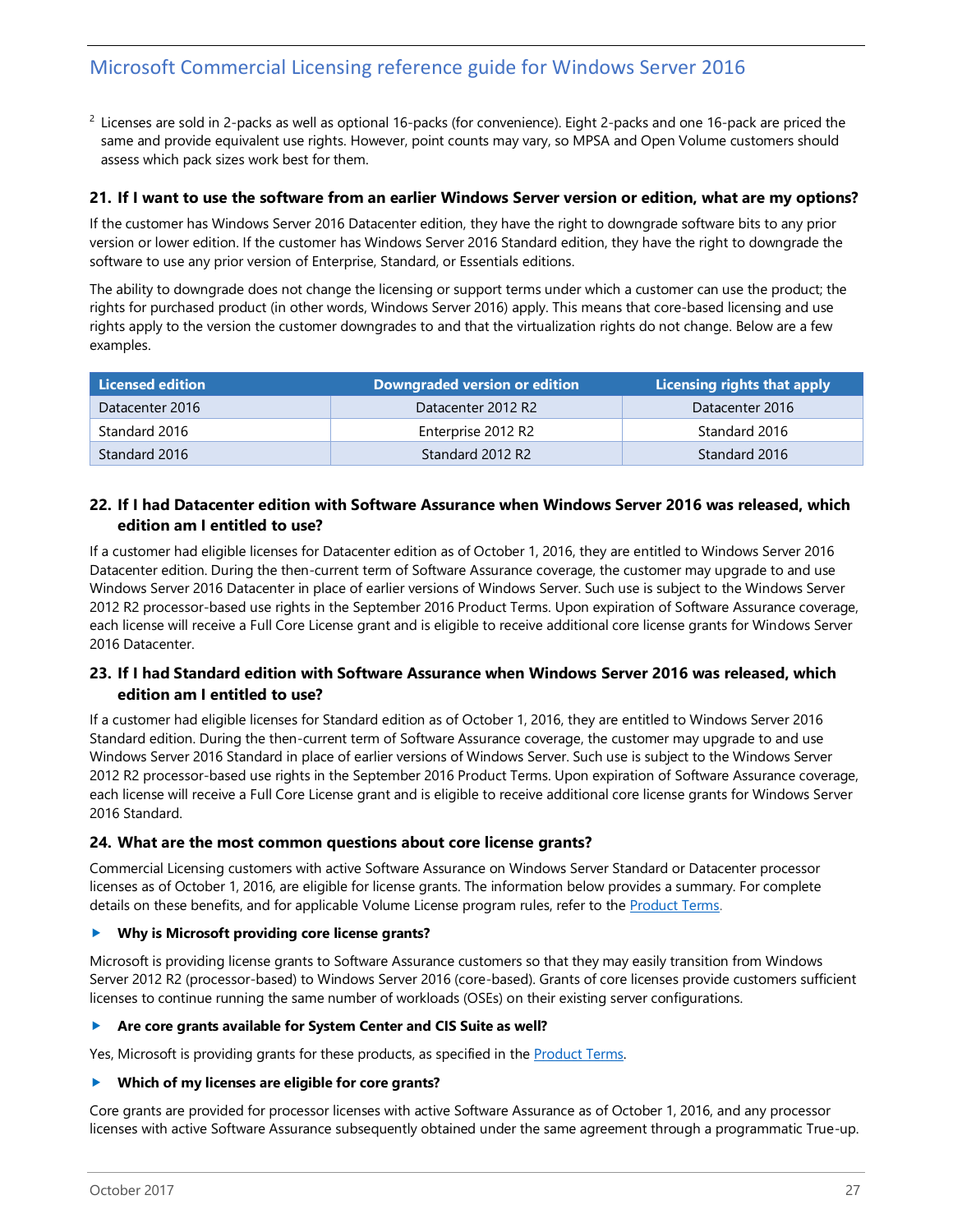$^2$  Licenses are sold in 2-packs as well as optional 16-packs (for convenience). Eight 2-packs and one 16-pack are priced the same and provide equivalent use rights. However, point counts may vary, so MPSA and Open Volume customers should assess which pack sizes work best for them.

#### **21. If I want to use the software from an earlier Windows Server version or edition, what are my options?**

If the customer has Windows Server 2016 Datacenter edition, they have the right to downgrade software bits to any prior version or lower edition. If the customer has Windows Server 2016 Standard edition, they have the right to downgrade the software to use any prior version of Enterprise, Standard, or Essentials editions.

The ability to downgrade does not change the licensing or support terms under which a customer can use the product; the rights for purchased product (in other words, Windows Server 2016) apply. This means that core-based licensing and use rights apply to the version the customer downgrades to and that the virtualization rights do not change. Below are a few examples.

| <b>Licensed edition</b> | Downgraded version or edition | Licensing rights that apply |
|-------------------------|-------------------------------|-----------------------------|
| Datacenter 2016         | Datacenter 2012 R2            | Datacenter 2016             |
| Standard 2016           | Enterprise 2012 R2            | Standard 2016               |
| Standard 2016           | Standard 2012 R2              | Standard 2016               |

### **22. If I had Datacenter edition with Software Assurance when Windows Server 2016 was released, which edition am I entitled to use?**

If a customer had eligible licenses for Datacenter edition as of October 1, 2016, they are entitled to Windows Server 2016 Datacenter edition. During the then-current term of Software Assurance coverage, the customer may upgrade to and use Windows Server 2016 Datacenter in place of earlier versions of Windows Server. Such use is subject to the Windows Server 2012 R2 processor-based use rights in the September 2016 Product Terms. Upon expiration of Software Assurance coverage, each license will receive a Full Core License grant and is eligible to receive additional core license grants for Windows Server 2016 Datacenter.

### **23. If I had Standard edition with Software Assurance when Windows Server 2016 was released, which edition am I entitled to use?**

If a customer had eligible licenses for Standard edition as of October 1, 2016, they are entitled to Windows Server 2016 Standard edition. During the then-current term of Software Assurance coverage, the customer may upgrade to and use Windows Server 2016 Standard in place of earlier versions of Windows Server. Such use is subject to the Windows Server 2012 R2 processor-based use rights in the September 2016 Product Terms. Upon expiration of Software Assurance coverage, each license will receive a Full Core License grant and is eligible to receive additional core license grants for Windows Server 2016 Standard.

#### **24. What are the most common questions about core license grants?**

Commercial Licensing customers with active Software Assurance on Windows Server Standard or Datacenter processor licenses as of October 1, 2016, are eligible for license grants. The information below provides a summary. For complete details on these benefits, and for applicable Volume License program rules, refer to th[e Product Terms.](http://microsoftvolumelicensing.com/DocumentSearch.aspx?Mode=3&DocumentTypeId=53)

#### **Why is Microsoft providing core license grants?**

Microsoft is providing license grants to Software Assurance customers so that they may easily transition from Windows Server 2012 R2 (processor-based) to Windows Server 2016 (core-based). Grants of core licenses provide customers sufficient licenses to continue running the same number of workloads (OSEs) on their existing server configurations.

#### **Are core grants available for System Center and CIS Suite as well?**

Yes, Microsoft is providing grants for these products, as specified in the **Product Terms**.

#### **Which of my licenses are eligible for core grants?**

Core grants are provided for processor licenses with active Software Assurance as of October 1, 2016, and any processor licenses with active Software Assurance subsequently obtained under the same agreement through a programmatic True-up.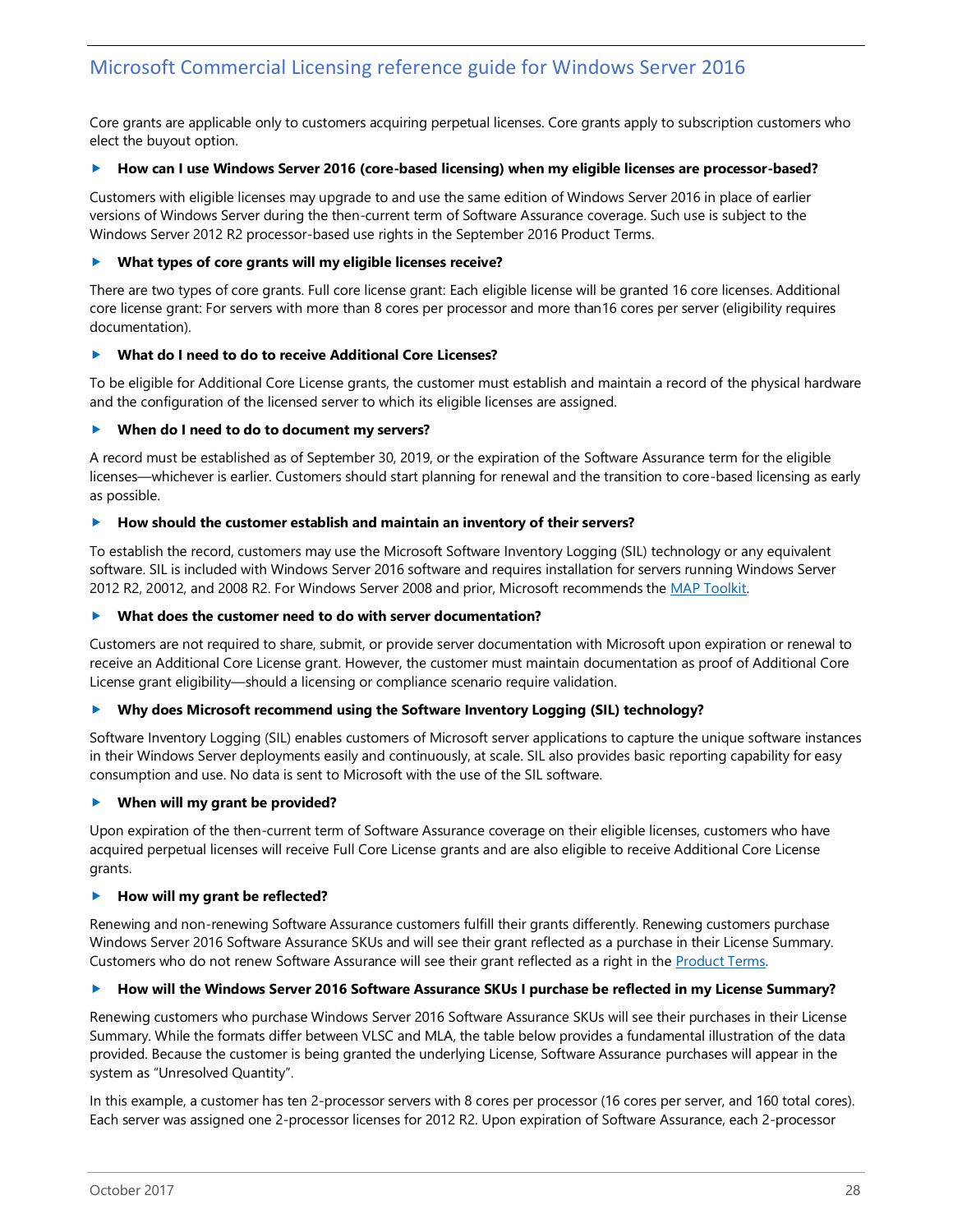Core grants are applicable only to customers acquiring perpetual licenses. Core grants apply to subscription customers who elect the buyout option.

#### **How can I use Windows Server 2016 (core-based licensing) when my eligible licenses are processor-based?**

Customers with eligible licenses may upgrade to and use the same edition of Windows Server 2016 in place of earlier versions of Windows Server during the then-current term of Software Assurance coverage. Such use is subject to the Windows Server 2012 R2 processor-based use rights in the September 2016 Product Terms.

#### **What types of core grants will my eligible licenses receive?**

There are two types of core grants. Full core license grant: Each eligible license will be granted 16 core licenses. Additional core license grant: For servers with more than 8 cores per processor and more than16 cores per server (eligibility requires documentation).

#### **What do I need to do to receive Additional Core Licenses?**

To be eligible for Additional Core License grants, the customer must establish and maintain a record of the physical hardware and the configuration of the licensed server to which its eligible licenses are assigned.

#### **When do I need to do to document my servers?**

A record must be established as of September 30, 2019, or the expiration of the Software Assurance term for the eligible licenses—whichever is earlier. Customers should start planning for renewal and the transition to core-based licensing as early as possible.

#### **How should the customer establish and maintain an inventory of their servers?**

To establish the record, customers may use the Microsoft Software Inventory Logging (SIL) technology or any equivalent software. SIL is included with Windows Server 2016 software and requires installation for servers running Windows Server 2012 R2, 20012, and 2008 R2. For Windows Server 2008 and prior, Microsoft recommends th[e MAP Toolkit.](https://msdn.microsoft.com/en-us/library/bb977556.aspx)

#### **What does the customer need to do with server documentation?**

Customers are not required to share, submit, or provide server documentation with Microsoft upon expiration or renewal to receive an Additional Core License grant. However, the customer must maintain documentation as proof of Additional Core License grant eligibility—should a licensing or compliance scenario require validation.

#### **Why does Microsoft recommend using the Software Inventory Logging (SIL) technology?**

Software Inventory Logging (SIL) enables customers of Microsoft server applications to capture the unique software instances in their Windows Server deployments easily and continuously, at scale. SIL also provides basic reporting capability for easy consumption and use. No data is sent to Microsoft with the use of the SIL software.

#### **When will my grant be provided?**

Upon expiration of the then-current term of Software Assurance coverage on their eligible licenses, customers who have acquired perpetual licenses will receive Full Core License grants and are also eligible to receive Additional Core License grants.

#### **How will my grant be reflected?**

Renewing and non-renewing Software Assurance customers fulfill their grants differently. Renewing customers purchase Windows Server 2016 Software Assurance SKUs and will see their grant reflected as a purchase in their License Summary. Customers who do not renew Software Assurance will see their grant reflected as a right in the [Product Terms.](http://microsoftvolumelicensing.com/DocumentSearch.aspx?Mode=3&DocumentTypeId=53)

#### **How will the Windows Server 2016 Software Assurance SKUs I purchase be reflected in my License Summary?**

Renewing customers who purchase Windows Server 2016 Software Assurance SKUs will see their purchases in their License Summary. While the formats differ between VLSC and MLA, the table below provides a fundamental illustration of the data provided. Because the customer is being granted the underlying License, Software Assurance purchases will appear in the system as "Unresolved Quantity".

In this example, a customer has ten 2-processor servers with 8 cores per processor (16 cores per server, and 160 total cores). Each server was assigned one 2-processor licenses for 2012 R2. Upon expiration of Software Assurance, each 2-processor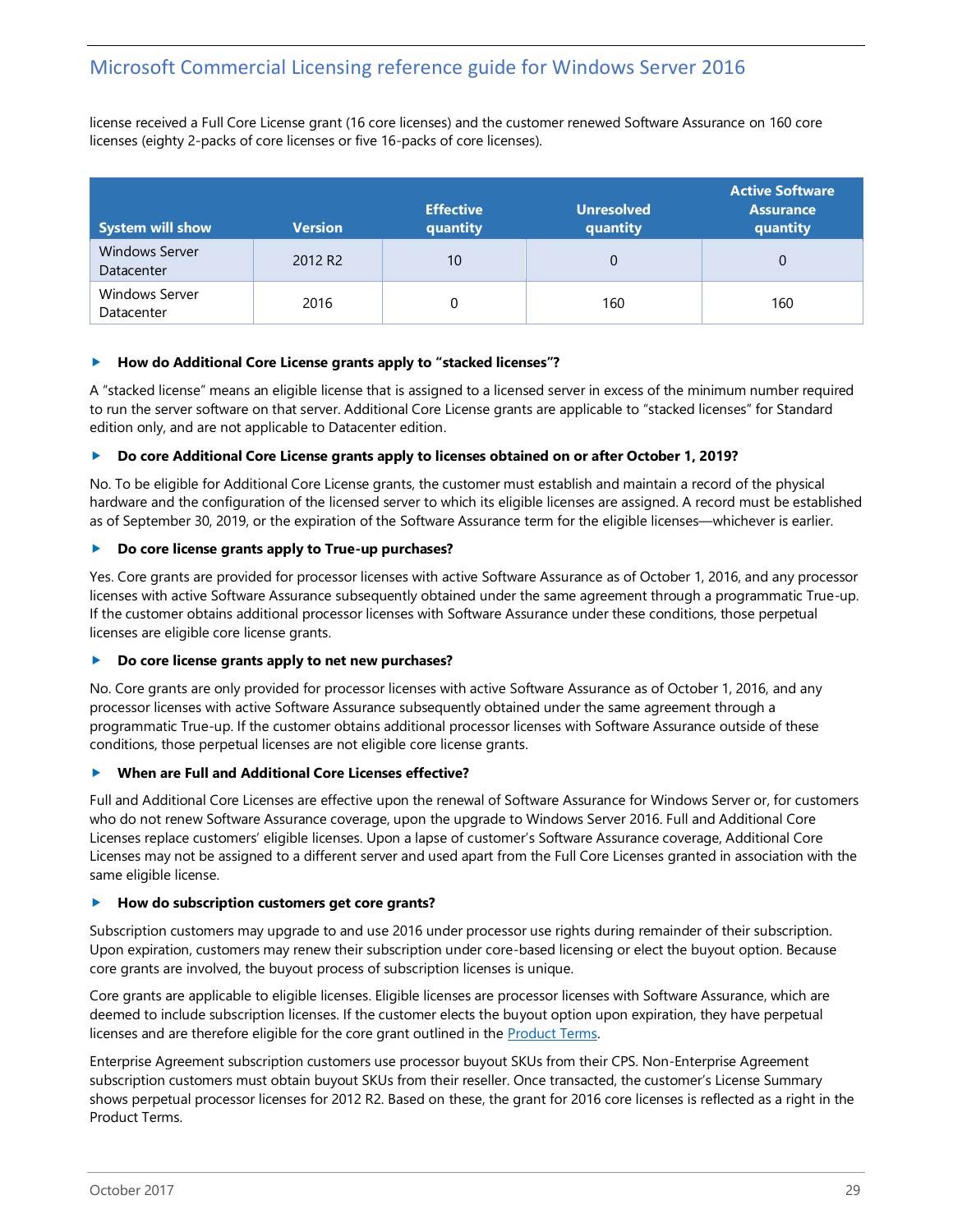license received a Full Core License grant (16 core licenses) and the customer renewed Software Assurance on 160 core licenses (eighty 2-packs of core licenses or five 16-packs of core licenses).

| System will show                    | <b>Version</b>      | <b>Effective</b><br>quantity | <b>Unresolved</b><br>quantity | <b>Active Software</b><br><b>Assurance</b><br>quantity |
|-------------------------------------|---------------------|------------------------------|-------------------------------|--------------------------------------------------------|
| <b>Windows Server</b><br>Datacenter | 2012 R <sub>2</sub> | 10 <sup>°</sup>              | 0                             |                                                        |
| <b>Windows Server</b><br>Datacenter | 2016                | 0                            | 160                           | 160                                                    |

#### **How do Additional Core License grants apply to "stacked licenses"?**

A "stacked license" means an eligible license that is assigned to a licensed server in excess of the minimum number required to run the server software on that server. Additional Core License grants are applicable to "stacked licenses" for Standard edition only, and are not applicable to Datacenter edition.

#### ▶ Do core Additional Core License grants apply to licenses obtained on or after October 1, 2019?

No. To be eligible for Additional Core License grants, the customer must establish and maintain a record of the physical hardware and the configuration of the licensed server to which its eligible licenses are assigned. A record must be established as of September 30, 2019, or the expiration of the Software Assurance term for the eligible licenses—whichever is earlier.

#### **Do core license grants apply to True-up purchases?**

Yes. Core grants are provided for processor licenses with active Software Assurance as of October 1, 2016, and any processor licenses with active Software Assurance subsequently obtained under the same agreement through a programmatic True-up. If the customer obtains additional processor licenses with Software Assurance under these conditions, those perpetual licenses are eligible core license grants.

#### **Do core license grants apply to net new purchases?**

No. Core grants are only provided for processor licenses with active Software Assurance as of October 1, 2016, and any processor licenses with active Software Assurance subsequently obtained under the same agreement through a programmatic True-up. If the customer obtains additional processor licenses with Software Assurance outside of these conditions, those perpetual licenses are not eligible core license grants.

#### **When are Full and Additional Core Licenses effective?**

Full and Additional Core Licenses are effective upon the renewal of Software Assurance for Windows Server or, for customers who do not renew Software Assurance coverage, upon the upgrade to Windows Server 2016. Full and Additional Core Licenses replace customers' eligible licenses. Upon a lapse of customer's Software Assurance coverage, Additional Core Licenses may not be assigned to a different server and used apart from the Full Core Licenses granted in association with the same eligible license.

#### **How do subscription customers get core grants?**

Subscription customers may upgrade to and use 2016 under processor use rights during remainder of their subscription. Upon expiration, customers may renew their subscription under core-based licensing or elect the buyout option. Because core grants are involved, the buyout process of subscription licenses is unique.

Core grants are applicable to eligible licenses. Eligible licenses are processor licenses with Software Assurance, which are deemed to include subscription licenses. If the customer elects the buyout option upon expiration, they have perpetual licenses and are therefore eligible for the core grant outlined in the **Product Terms**.

Enterprise Agreement subscription customers use processor buyout SKUs from their CPS. Non-Enterprise Agreement subscription customers must obtain buyout SKUs from their reseller. Once transacted, the customer's License Summary shows perpetual processor licenses for 2012 R2. Based on these, the grant for 2016 core licenses is reflected as a right in the Product Terms.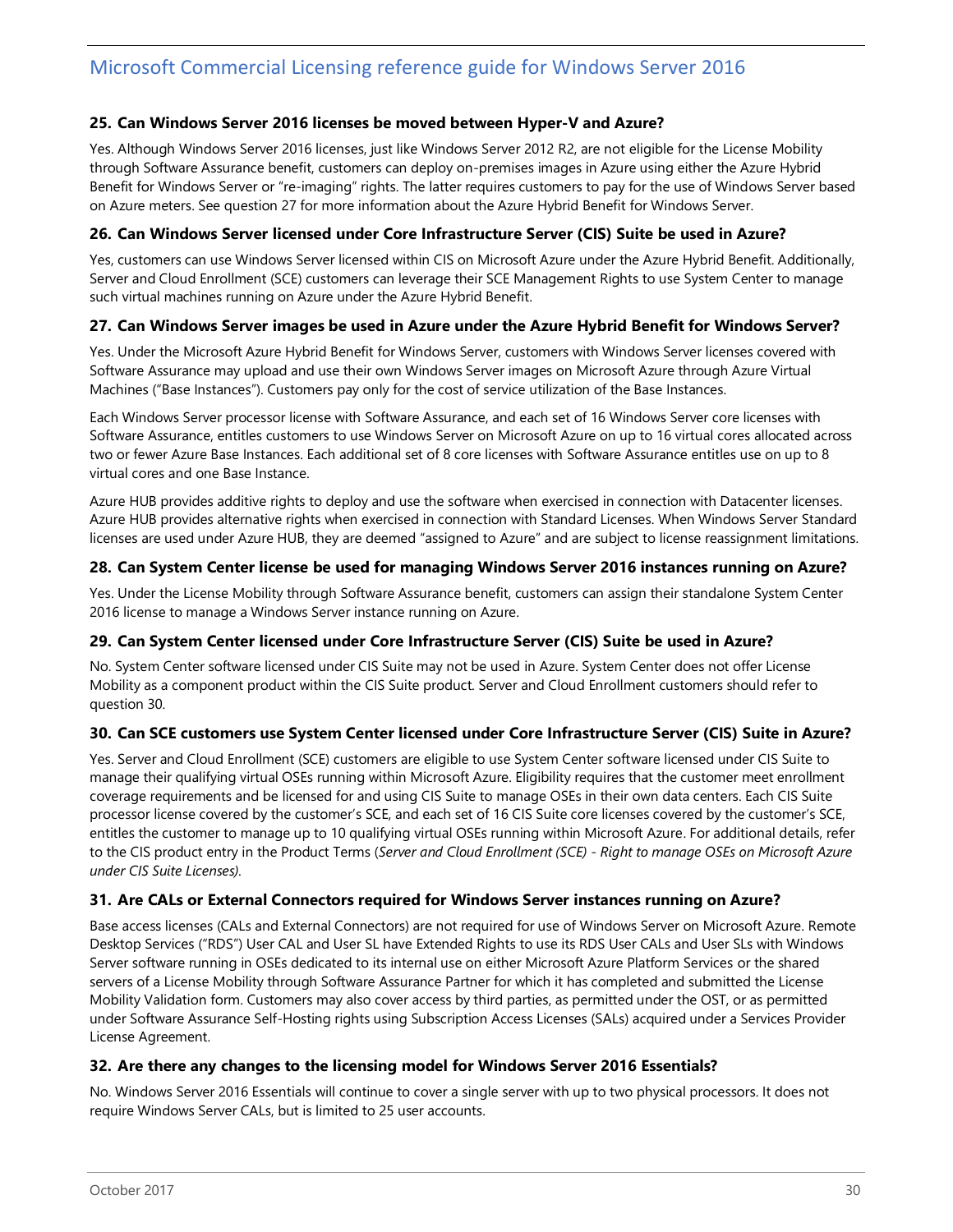### **25. Can Windows Server 2016 licenses be moved between Hyper-V and Azure?**

Yes. Although Windows Server 2016 licenses, just like Windows Server 2012 R2, are not eligible for the License Mobility through Software Assurance benefit, customers can deploy on-premises images in Azure using either the Azure Hybrid Benefit for Windows Server or "re-imaging" rights. The latter requires customers to pay for the use of Windows Server based on Azure meters. See question 27 for more information about the Azure Hybrid Benefit for Windows Server.

### **26. Can Windows Server licensed under Core Infrastructure Server (CIS) Suite be used in Azure?**

Yes, customers can use Windows Server licensed within CIS on Microsoft Azure under the Azure Hybrid Benefit. Additionally, Server and Cloud Enrollment (SCE) customers can leverage their SCE Management Rights to use System Center to manage such virtual machines running on Azure under the Azure Hybrid Benefit.

### **27. Can Windows Server images be used in Azure under the Azure Hybrid Benefit for Windows Server?**

Yes. Under the Microsoft Azure Hybrid Benefit for Windows Server, customers with Windows Server licenses covered with Software Assurance may upload and use their own Windows Server images on Microsoft Azure through Azure Virtual Machines ("Base Instances"). Customers pay only for the cost of service utilization of the Base Instances.

Each Windows Server processor license with Software Assurance, and each set of 16 Windows Server core licenses with Software Assurance, entitles customers to use Windows Server on Microsoft Azure on up to 16 virtual cores allocated across two or fewer Azure Base Instances. Each additional set of 8 core licenses with Software Assurance entitles use on up to 8 virtual cores and one Base Instance.

Azure HUB provides additive rights to deploy and use the software when exercised in connection with Datacenter licenses. Azure HUB provides alternative rights when exercised in connection with Standard Licenses. When Windows Server Standard licenses are used under Azure HUB, they are deemed "assigned to Azure" and are subject to license reassignment limitations.

### **28. Can System Center license be used for managing Windows Server 2016 instances running on Azure?**

Yes. Under the License Mobility through Software Assurance benefit, customers can assign their standalone System Center 2016 license to manage a Windows Server instance running on Azure.

### **29. Can System Center licensed under Core Infrastructure Server (CIS) Suite be used in Azure?**

No. System Center software licensed under CIS Suite may not be used in Azure. System Center does not offer License Mobility as a component product within the CIS Suite product. Server and Cloud Enrollment customers should refer to question 30.

### **30. Can SCE customers use System Center licensed under Core Infrastructure Server (CIS) Suite in Azure?**

Yes. Server and Cloud Enrollment (SCE) customers are eligible to use System Center software licensed under CIS Suite to manage their qualifying virtual OSEs running within Microsoft Azure. Eligibility requires that the customer meet enrollment coverage requirements and be licensed for and using CIS Suite to manage OSEs in their own data centers. Each CIS Suite processor license covered by the customer's SCE, and each set of 16 CIS Suite core licenses covered by the customer's SCE, entitles the customer to manage up to 10 qualifying virtual OSEs running within Microsoft Azure. For additional details, refer to the CIS product entry in the Product Terms (*Server and Cloud Enrollment (SCE) - Right to manage OSEs on Microsoft Azure under CIS Suite Licenses).*

### **31. Are CALs or External Connectors required for Windows Server instances running on Azure?**

Base access licenses (CALs and External Connectors) are not required for use of Windows Server on Microsoft Azure. Remote Desktop Services ("RDS") User CAL and User SL have Extended Rights to use its RDS User CALs and User SLs with Windows Server software running in OSEs dedicated to its internal use on either Microsoft Azure Platform Services or the shared servers of a License Mobility through Software Assurance Partner for which it has completed and submitted the License Mobility Validation form. Customers may also cover access by third parties, as permitted under the OST, or as permitted under Software Assurance Self-Hosting rights using Subscription Access Licenses (SALs) acquired under a Services Provider License Agreement.

### **32. Are there any changes to the licensing model for Windows Server 2016 Essentials?**

No. Windows Server 2016 Essentials will continue to cover a single server with up to two physical processors. It does not require Windows Server CALs, but is limited to 25 user accounts.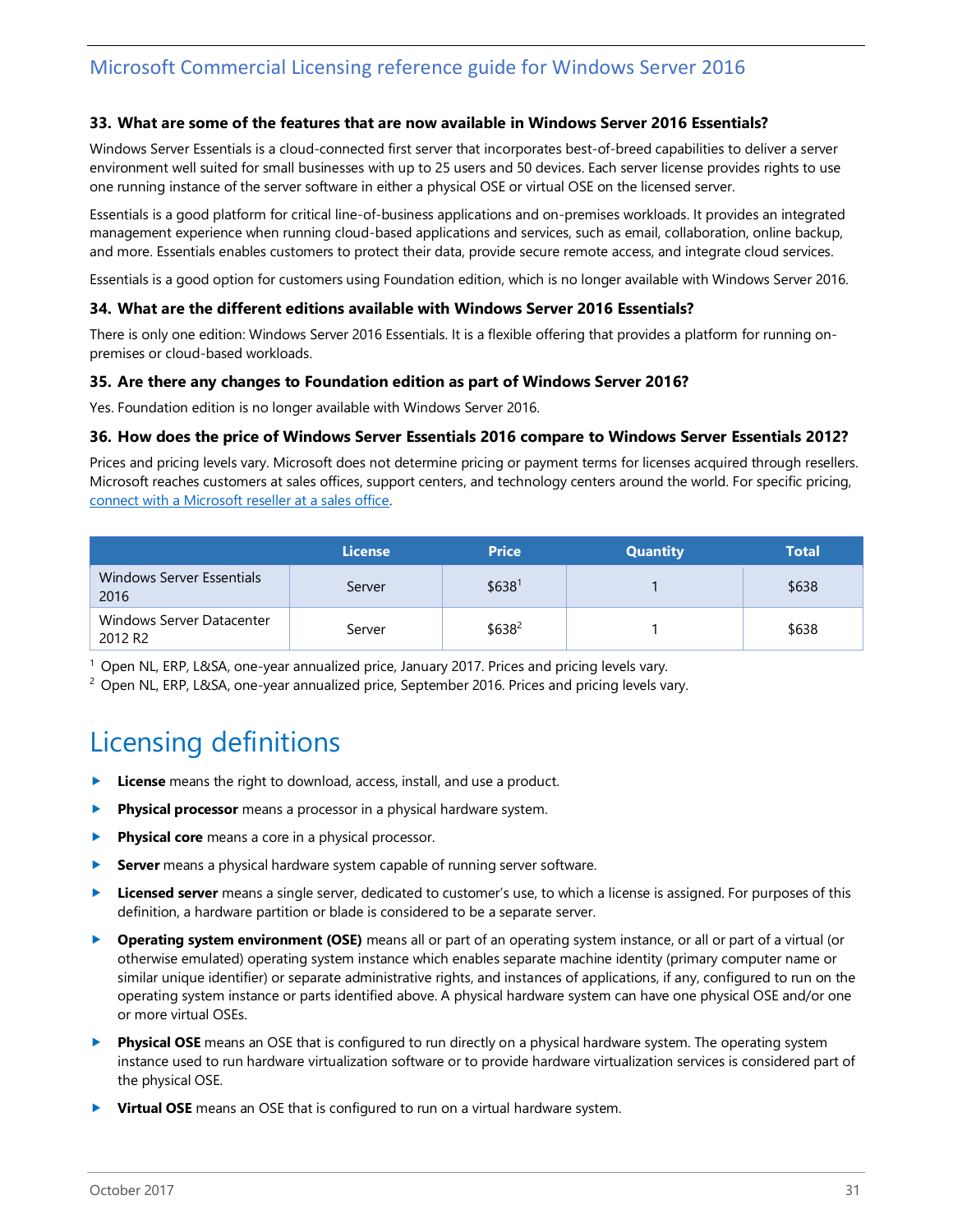#### **33. What are some of the features that are now available in Windows Server 2016 Essentials?**

Windows Server Essentials is a cloud-connected first server that incorporates best-of-breed capabilities to deliver a server environment well suited for small businesses with up to 25 users and 50 devices. Each server license provides rights to use one running instance of the server software in either a physical OSE or virtual OSE on the licensed server.

Essentials is a good platform for critical line-of-business applications and on-premises workloads. It provides an integrated management experience when running cloud-based applications and services, such as email, collaboration, online backup, and more. Essentials enables customers to protect their data, provide secure remote access, and integrate cloud services.

Essentials is a good option for customers using Foundation edition, which is no longer available with Windows Server 2016.

#### **34. What are the different editions available with Windows Server 2016 Essentials?**

There is only one edition: Windows Server 2016 Essentials. It is a flexible offering that provides a platform for running onpremises or cloud-based workloads.

#### **35. Are there any changes to Foundation edition as part of Windows Server 2016?**

Yes. Foundation edition is no longer available with Windows Server 2016.

#### **36. How does the price of Windows Server Essentials 2016 compare to Windows Server Essentials 2012?**

Prices and pricing levels vary. Microsoft does not determine pricing or payment terms for licenses acquired through resellers. Microsoft reaches customers at sales offices, support centers, and technology centers around the world. For specific pricing, [connect with a Microsoft reseller at a sales office.](https://www.microsoft.com/en-us/WorldWide.aspx)

|                                                  | <b>License</b> | <b>Price</b>       | <b>Quantity</b> | <b>Total</b> |
|--------------------------------------------------|----------------|--------------------|-----------------|--------------|
| Windows Server Essentials<br>2016                | Server         | \$638 <sup>1</sup> |                 | \$638        |
| Windows Server Datacenter<br>2012 R <sub>2</sub> | Server         | \$6382             |                 | \$638        |

 $1$  Open NL, ERP, L&SA, one-year annualized price, January 2017. Prices and pricing levels vary.

<span id="page-30-0"></span><sup>2</sup> Open NL, ERP, L&SA, one-year annualized price, September 2016. Prices and pricing levels vary.

# Licensing definitions

- **License** means the right to download, access, install, and use a product.
- **Physical processor** means a processor in a physical hardware system.
- **Physical core** means a core in a physical processor.
- **Server** means a physical hardware system capable of running server software.
- **Licensed server** means a single server, dedicated to customer's use, to which a license is assigned. For purposes of this definition, a hardware partition or blade is considered to be a separate server.
- **Operating system environment (OSE)** means all or part of an operating system instance, or all or part of a virtual (or otherwise emulated) operating system instance which enables separate machine identity (primary computer name or similar unique identifier) or separate administrative rights, and instances of applications, if any, configured to run on the operating system instance or parts identified above. A physical hardware system can have one physical OSE and/or one or more virtual OSEs.
- **Physical OSE** means an OSE that is configured to run directly on a physical hardware system. The operating system instance used to run hardware virtualization software or to provide hardware virtualization services is considered part of the physical OSE.
- **Virtual OSE** means an OSE that is configured to run on a virtual hardware system.